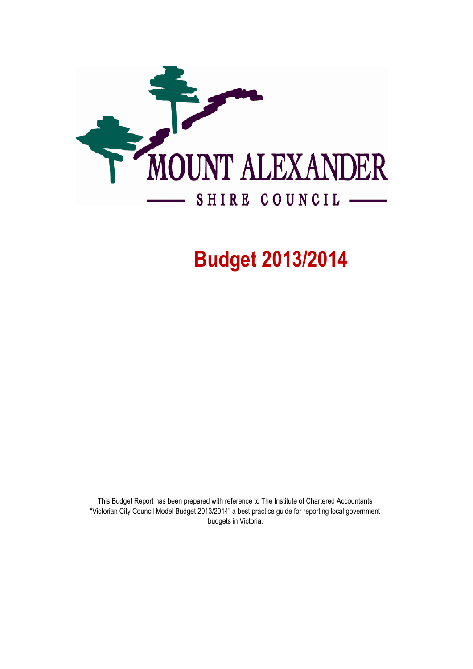

# Budget 2013/2014

This Budget Report has been prepared with reference to The Institute of Chartered Accountants "Victorian City Council Model Budget 2013/2014" a best practice guide for reporting local government budgets in Victoria.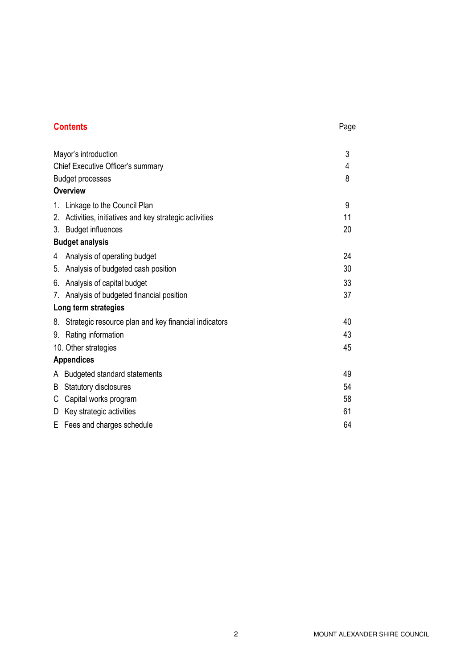# **Contents** Page

|    | Mayor's introduction                                 |    |
|----|------------------------------------------------------|----|
|    | Chief Executive Officer's summary                    |    |
|    | <b>Budget processes</b>                              | 8  |
|    | <b>Overview</b>                                      |    |
|    | 1. Linkage to the Council Plan                       | 9  |
| 2. | Activities, initiatives and key strategic activities | 11 |
| 3. | <b>Budget influences</b>                             | 20 |
|    | <b>Budget analysis</b>                               |    |
| 4  | Analysis of operating budget                         | 24 |
|    | 5. Analysis of budgeted cash position                | 30 |
|    | 6. Analysis of capital budget                        | 33 |
|    | 7. Analysis of budgeted financial position           | 37 |
|    | Long term strategies                                 |    |
| 8. | Strategic resource plan and key financial indicators | 40 |
| 9. | Rating information                                   | 43 |
|    | 10. Other strategies                                 | 45 |
|    | <b>Appendices</b>                                    |    |
|    | A Budgeted standard statements                       | 49 |
| B  | Statutory disclosures                                | 54 |
| С  | Capital works program                                | 58 |
| D  | Key strategic activities                             | 61 |
|    | E Fees and charges schedule                          | 64 |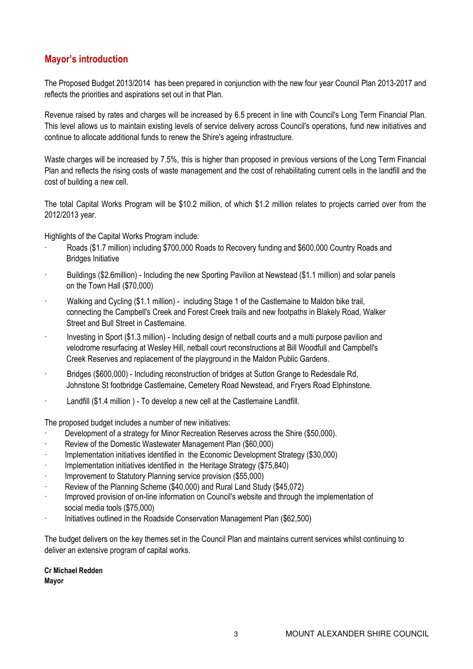# Mayor's introduction

The Proposed Budget 2013/2014 has been prepared in conjunction with the new four year Council Plan 2013-2017 and reflects the priorities and aspirations set out in that Plan.

Revenue raised by rates and charges will be increased by 6.5 precent in line with Council's Long Term Financial Plan. This level allows us to maintain existing levels of service delivery across Council's operations, fund new initiatives and continue to allocate additional funds to renew the Shire's ageing infrastructure.

Waste charges will be increased by 7.5%, this is higher than proposed in previous versions of the Long Term Financial Plan and reflects the rising costs of waste management and the cost of rehabilitating current cells in the landfill and the cost of building a new cell.

The total Capital Works Program will be \$10.2 million, of which \$1.2 million relates to projects carried over from the 2012/2013 year.

Highlights of the Capital Works Program include:

- · Roads (\$1.7 million) including \$700,000 Roads to Recovery funding and \$600,000 Country Roads and Bridges Initiative
- · Buildings (\$2.6million) Including the new Sporting Pavilion at Newstead (\$1.1 million) and solar panels on the Town Hall (\$70,000)
- · Walking and Cycling (\$1.1 million) including Stage 1 of the Castlemaine to Maldon bike trail, connecting the Campbell's Creek and Forest Creek trails and new footpaths in Blakely Road, Walker Street and Bull Street in Castlemaine.
- Investing in Sport (\$1.3 million) Including design of netball courts and a multi purpose pavilion and velodrome resurfacing at Wesley Hill, netball court reconstructions at Bill Woodfull and Campbell's Creek Reserves and replacement of the playground in the Maldon Public Gardens.
- · Bridges (\$600,000) Including reconstruction of bridges at Sutton Grange to Redesdale Rd, Johnstone St footbridge Castlemaine, Cemetery Road Newstead, and Fryers Road Elphinstone.
- Landfill (\$1.4 million) To develop a new cell at the Castlemaine Landfill.

The proposed budget includes a number of new initiatives:

- Development of a strategy for Minor Recreation Reserves across the Shire (\$50,000).
- Review of the Domestic Wastewater Management Plan (\$60,000)
- Implementation initiatives identified in the Economic Development Strategy (\$30,000)
- Implementation initiatives identified in the Heritage Strategy (\$75,840)
- Improvement to Statutory Planning service provision (\$55,000)
- · Review of the Planning Scheme (\$40,000) and Rural Land Study (\$45,072)
- Improved provision of on-line information on Council's website and through the implementation of social media tools (\$75,000)
- · Initiatives outlined in the Roadside Conservation Management Plan (\$62,500)

The budget delivers on the key themes set in the Council Plan and maintains current services whilst continuing to deliver an extensive program of capital works.

Cr Michael Redden Mayor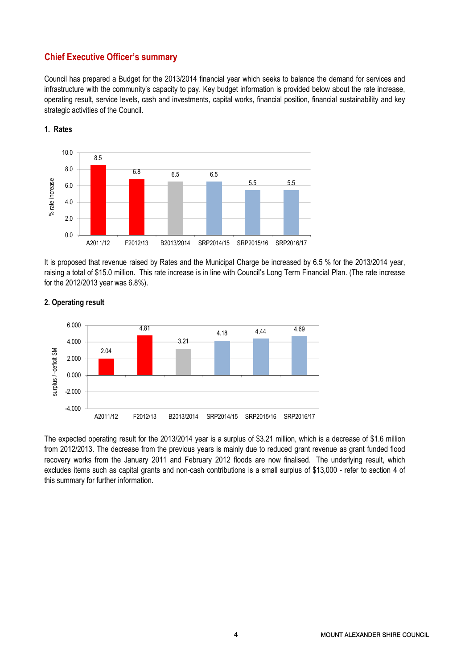# Chief Executive Officer's summary

Council has prepared a Budget for the 2013/2014 financial year which seeks to balance the demand for services and infrastructure with the community's capacity to pay. Key budget information is provided below about the rate increase, operating result, service levels, cash and investments, capital works, financial position, financial sustainability and key strategic activities of the Council.



1. Rates

It is proposed that revenue raised by Rates and the Municipal Charge be increased by 6.5 % for the 2013/2014 year, raising a total of \$15.0 million. This rate increase is in line with Council's Long Term Financial Plan. (The rate increase for the 2012/2013 year was 6.8%).



# 2. Operating result

The expected operating result for the 2013/2014 year is a surplus of \$3.21 million, which is a decrease of \$1.6 million from 2012/2013. The decrease from the previous years is mainly due to reduced grant revenue as grant funded flood recovery works from the January 2011 and February 2012 floods are now finalised. The underlying result, which excludes items such as capital grants and non-cash contributions is a small surplus of \$13,000 - refer to section 4 of this summary for further information.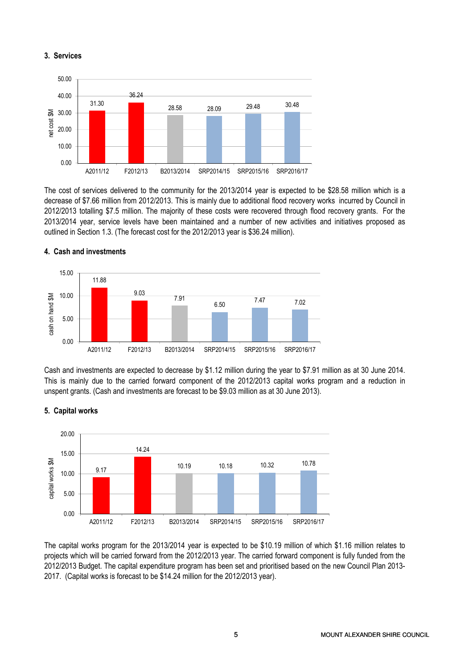## 3. Services



The cost of services delivered to the community for the 2013/2014 year is expected to be \$28.58 million which is a decrease of \$7.66 million from 2012/2013. This is mainly due to additional flood recovery works incurred by Council in 2012/2013 totalling \$7.5 million. The majority of these costs were recovered through flood recovery grants. For the 2013/2014 year, service levels have been maintained and a number of new activities and initiatives proposed as outlined in Section 1.3. (The forecast cost for the 2012/2013 year is \$36.24 million).



## 4. Cash and investments

Cash and investments are expected to decrease by \$1.12 million during the year to \$7.91 million as at 30 June 2014. This is mainly due to the carried forward component of the 2012/2013 capital works program and a reduction in unspent grants. (Cash and investments are forecast to be \$9.03 million as at 30 June 2013).



# 5. Capital works

The capital works program for the 2013/2014 year is expected to be \$10.19 million of which \$1.16 million relates to projects which will be carried forward from the 2012/2013 year. The carried forward component is fully funded from the 2012/2013 Budget. The capital expenditure program has been set and prioritised based on the new Council Plan 2013- 2017. (Capital works is forecast to be \$14.24 million for the 2012/2013 year).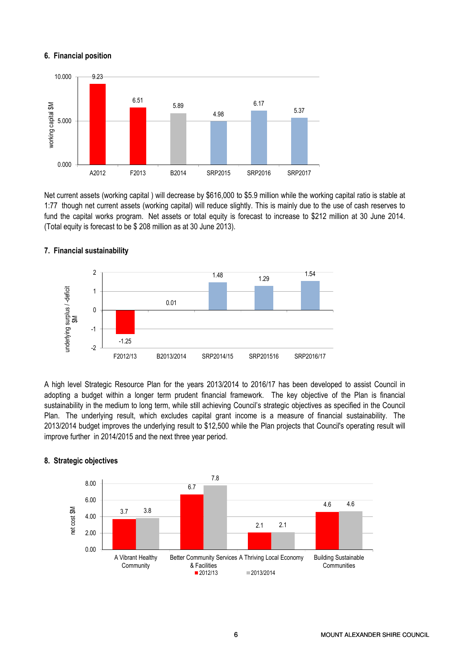# 6. Financial position



Net current assets (working capital ) will decrease by \$616,000 to \$5.9 million while the working capital ratio is stable at 1:77 though net current assets (working capital) will reduce slightly. This is mainly due to the use of cash reserves to fund the capital works program. Net assets or total equity is forecast to increase to \$212 million at 30 June 2014. (Total equity is forecast to be \$ 208 million as at 30 June 2013).



## 7. Financial sustainability

A high level Strategic Resource Plan for the years 2013/2014 to 2016/17 has been developed to assist Council in adopting a budget within a longer term prudent financial framework. The key objective of the Plan is financial sustainability in the medium to long term, while still achieving Council's strategic objectives as specified in the Council Plan. The underlying result, which excludes capital grant income is a measure of financial sustainability. The 2013/2014 budget improves the underlying result to \$12,500 while the Plan projects that Council's operating result will improve further in 2014/2015 and the next three year period.



#### 8. Strategic objectives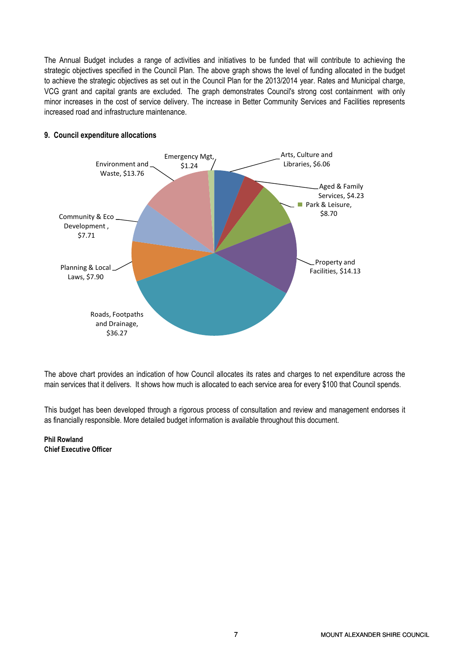The Annual Budget includes a range of activities and initiatives to be funded that will contribute to achieving the strategic objectives specified in the Council Plan. The above graph shows the level of funding allocated in the budget to achieve the strategic objectives as set out in the Council Plan for the 2013/2014 year. Rates and Municipal charge, VCG grant and capital grants are excluded. The graph demonstrates Council's strong cost containment with only minor increases in the cost of service delivery. The increase in Better Community Services and Facilities represents increased road and infrastructure maintenance.



# 9. Council expenditure allocations

The above chart provides an indication of how Council allocates its rates and charges to net expenditure across the main services that it delivers. It shows how much is allocated to each service area for every \$100 that Council spends.

This budget has been developed through a rigorous process of consultation and review and management endorses it as financially responsible. More detailed budget information is available throughout this document.

Phil Rowland Chief Executive Officer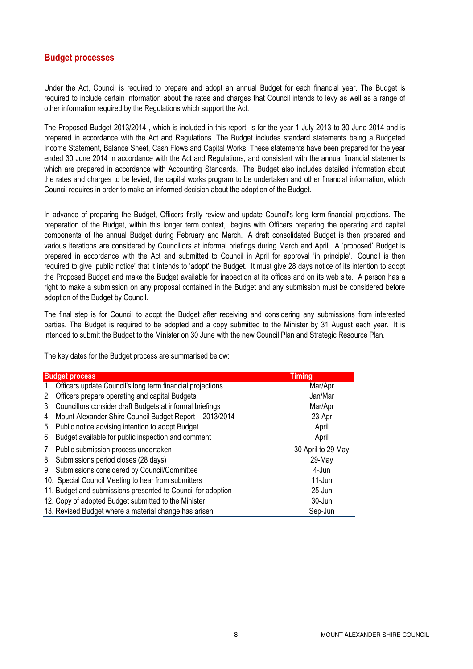# Budget processes

Under the Act, Council is required to prepare and adopt an annual Budget for each financial year. The Budget is required to include certain information about the rates and charges that Council intends to levy as well as a range of other information required by the Regulations which support the Act.

The Proposed Budget 2013/2014 , which is included in this report, is for the year 1 July 2013 to 30 June 2014 and is prepared in accordance with the Act and Regulations. The Budget includes standard statements being a Budgeted Income Statement, Balance Sheet, Cash Flows and Capital Works. These statements have been prepared for the year ended 30 June 2014 in accordance with the Act and Regulations, and consistent with the annual financial statements which are prepared in accordance with Accounting Standards. The Budget also includes detailed information about the rates and charges to be levied, the capital works program to be undertaken and other financial information, which Council requires in order to make an informed decision about the adoption of the Budget.

In advance of preparing the Budget, Officers firstly review and update Council's long term financial projections. The preparation of the Budget, within this longer term context, begins with Officers preparing the operating and capital components of the annual Budget during February and March. A draft consolidated Budget is then prepared and various iterations are considered by Councillors at informal briefings during March and April. A 'proposed' Budget is prepared in accordance with the Act and submitted to Council in April for approval 'in principle'. Council is then required to give 'public notice' that it intends to 'adopt' the Budget. It must give 28 days notice of its intention to adopt the Proposed Budget and make the Budget available for inspection at its offices and on its web site. A person has a right to make a submission on any proposal contained in the Budget and any submission must be considered before adoption of the Budget by Council.

The final step is for Council to adopt the Budget after receiving and considering any submissions from interested parties. The Budget is required to be adopted and a copy submitted to the Minister by 31 August each year. It is intended to submit the Budget to the Minister on 30 June with the new Council Plan and Strategic Resource Plan.

The key dates for the Budget process are summarised below:

|             | <b>Budget process</b>                                        | <b>Timing</b>      |
|-------------|--------------------------------------------------------------|--------------------|
| $1_{\cdot}$ | Officers update Council's long term financial projections    | Mar/Apr            |
| 2.          | Officers prepare operating and capital Budgets               | Jan/Mar            |
| 3.          | Councillors consider draft Budgets at informal briefings     | Mar/Apr            |
|             | 4. Mount Alexander Shire Council Budget Report - 2013/2014   | 23-Apr             |
|             | 5. Public notice advising intention to adopt Budget          | April              |
| 6.          | Budget available for public inspection and comment           | April              |
|             | 7. Public submission process undertaken                      | 30 April to 29 May |
| 8.          | Submissions period closes (28 days)                          | 29-May             |
|             | 9. Submissions considered by Council/Committee               | 4-Jun              |
|             | 10. Special Council Meeting to hear from submitters          | $11$ -Jun          |
|             | 11. Budget and submissions presented to Council for adoption | $25 - Jun$         |
|             | 12. Copy of adopted Budget submitted to the Minister         | 30-Jun             |
|             | 13. Revised Budget where a material change has arisen        | Sep-Jun            |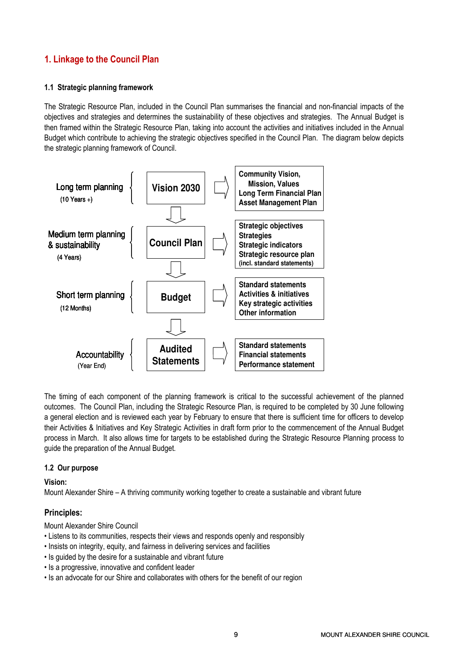# 1. Linkage to the Council Plan

# 1.1 Strategic planning framework

The Strategic Resource Plan, included in the Council Plan summarises the financial and non-financial impacts of the objectives and strategies and determines the sustainability of these objectives and strategies. The Annual Budget is then framed within the Strategic Resource Plan, taking into account the activities and initiatives included in the Annual Budget which contribute to achieving the strategic objectives specified in the Council Plan. The diagram below depicts the strategic planning framework of Council.



The timing of each component of the planning framework is critical to the successful achievement of the planned outcomes. The Council Plan, including the Strategic Resource Plan, is required to be completed by 30 June following a general election and is reviewed each year by February to ensure that there is sufficient time for officers to develop their Activities & Initiatives and Key Strategic Activities in draft form prior to the commencement of the Annual Budget process in March. It also allows time for targets to be established during the Strategic Resource Planning process to guide the preparation of the Annual Budget.

# 1.2 Our purpose

Vision:

Mount Alexander Shire – A thriving community working together to create a sustainable and vibrant future

# Principles:

Mount Alexander Shire Council

- Listens to its communities, respects their views and responds openly and responsibly
- Insists on integrity, equity, and fairness in delivering services and facilities
- Is guided by the desire for a sustainable and vibrant future
- Is a progressive, innovative and confident leader
- Is an advocate for our Shire and collaborates with others for the benefit of our region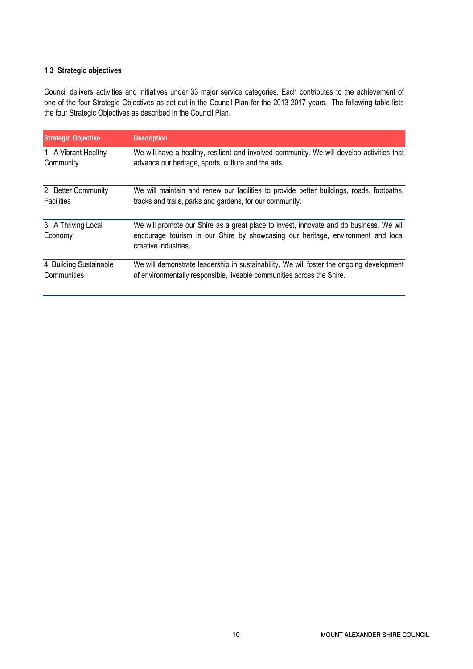# 1.3 Strategic objectives

Council delivers activities and initiatives under 33 major service categories. Each contributes to the achievement of one of the four Strategic Objectives as set out in the Council Plan for the 2013-2017 years. The following table lists the four Strategic Objectives as described in the Council Plan.

| <b>Strategic Objective</b>     | <b>Description</b>                                                                                                                                                                                  |
|--------------------------------|-----------------------------------------------------------------------------------------------------------------------------------------------------------------------------------------------------|
| 1. A Vibrant Healthy           | We will have a healthy, resilient and involved community. We will develop activities that                                                                                                           |
| Community                      | advance our heritage, sports, culture and the arts.                                                                                                                                                 |
| 2. Better Community            | We will maintain and renew our facilities to provide better buildings, roads, footpaths,                                                                                                            |
| <b>Facilities</b>              | tracks and trails, parks and gardens, for our community.                                                                                                                                            |
| 3. A Thriving Local<br>Economy | We will promote our Shire as a great place to invest, innovate and do business. We will<br>encourage tourism in our Shire by showcasing our heritage, environment and local<br>creative industries. |
| 4. Building Sustainable        | We will demonstrate leadership in sustainability. We will foster the ongoing development                                                                                                            |
| Communities                    | of environmentally responsible, liveable communities across the Shire.                                                                                                                              |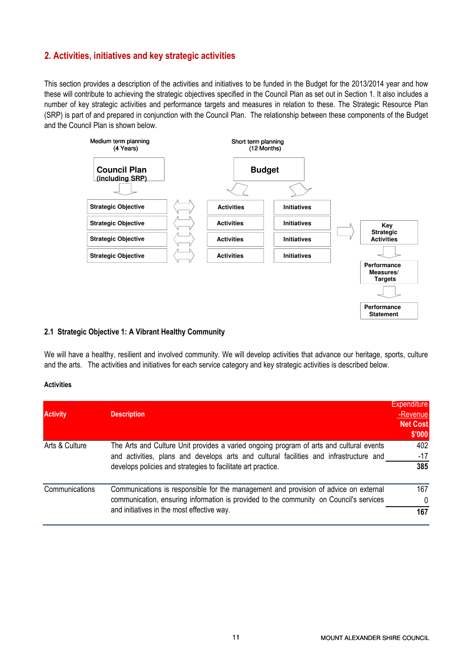# 2. Activities, initiatives and key strategic activities

This section provides a description of the activities and initiatives to be funded in the Budget for the 2013/2014 year and how these will contribute to achieving the strategic objectives specified in the Council Plan as set out in Section 1. It also includes a number of key strategic activities and performance targets and measures in relation to these. The Strategic Resource Plan (SRP) is part of and prepared in conjunction with the Council Plan. The relationship between these components of the Budget and the Council Plan is shown below.



## 2.1 Strategic Objective 1: A Vibrant Healthy Community

We will have a healthy, resilient and involved community. We will develop activities that advance our heritage, sports, culture and the arts. The activities and initiatives for each service category and key strategic activities is described below.

#### **Activities**

| <b>Activity</b> | <b>Description</b>                                                                                                                                                                                                                                | <b>Expenditure</b><br>-Revenue<br><b>Net Cost</b><br>\$'000 |
|-----------------|---------------------------------------------------------------------------------------------------------------------------------------------------------------------------------------------------------------------------------------------------|-------------------------------------------------------------|
| Arts & Culture  | The Arts and Culture Unit provides a varied ongoing program of arts and cultural events<br>and activities, plans and develops arts and cultural facilities and infrastructure and<br>develops policies and strategies to facilitate art practice. | 402<br>$-17$<br>385                                         |
| Communications  | Communications is responsible for the management and provision of advice on external<br>communication, ensuring information is provided to the community on Council's services<br>and initiatives in the most effective way.                      | 167<br>$\Omega$<br>167                                      |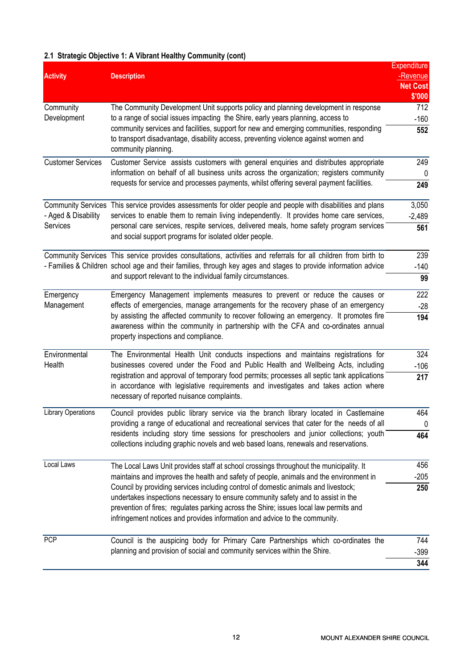# 2.1 Strategic Objective 1: A Vibrant Healthy Community (cont)

|                           |                                                                                                                                                                                                                                                                                                             | <b>Expenditure</b> |
|---------------------------|-------------------------------------------------------------------------------------------------------------------------------------------------------------------------------------------------------------------------------------------------------------------------------------------------------------|--------------------|
| <b>Activity</b>           | <b>Description</b>                                                                                                                                                                                                                                                                                          | -Revenue           |
|                           |                                                                                                                                                                                                                                                                                                             | <b>Net Cost</b>    |
|                           |                                                                                                                                                                                                                                                                                                             | \$'000             |
| Community                 | The Community Development Unit supports policy and planning development in response                                                                                                                                                                                                                         | 712                |
| Development               | to a range of social issues impacting the Shire, early years planning, access to                                                                                                                                                                                                                            | $-160$             |
|                           | community services and facilities, support for new and emerging communities, responding<br>to transport disadvantage, disability access, preventing violence against women and<br>community planning.                                                                                                       | 552                |
| <b>Customer Services</b>  | Customer Service assists customers with general enquiries and distributes appropriate                                                                                                                                                                                                                       | 249                |
|                           | information on behalf of all business units across the organization; registers community                                                                                                                                                                                                                    | 0                  |
|                           | requests for service and processes payments, whilst offering several payment facilities.                                                                                                                                                                                                                    | 249                |
|                           | Community Services This service provides assessments for older people and people with disabilities and plans                                                                                                                                                                                                | 3,050              |
| - Aged & Disability       | services to enable them to remain living independently. It provides home care services,                                                                                                                                                                                                                     | $-2,489$           |
| Services                  | personal care services, respite services, delivered meals, home safety program services<br>and social support programs for isolated older people.                                                                                                                                                           | 561                |
|                           | Community Services This service provides consultations, activities and referrals for all children from birth to                                                                                                                                                                                             | 239                |
|                           | - Families & Children school age and their families, through key ages and stages to provide information advice<br>and support relevant to the individual family circumstances.                                                                                                                              |                    |
|                           |                                                                                                                                                                                                                                                                                                             |                    |
| Emergency                 | Emergency Management implements measures to prevent or reduce the causes or                                                                                                                                                                                                                                 | 222                |
| Management                | effects of emergencies, manage arrangements for the recovery phase of an emergency<br>by assisting the affected community to recover following an emergency. It promotes fire<br>awareness within the community in partnership with the CFA and co-ordinates annual<br>property inspections and compliance. | $-28$              |
|                           |                                                                                                                                                                                                                                                                                                             | 194                |
| Environmental             | The Environmental Health Unit conducts inspections and maintains registrations for                                                                                                                                                                                                                          | 324                |
| Health                    | businesses covered under the Food and Public Health and Wellbeing Acts, including                                                                                                                                                                                                                           | $-106$             |
|                           | registration and approval of temporary food permits; processes all septic tank applications<br>in accordance with legislative requirements and investigates and takes action where<br>necessary of reported nuisance complaints.                                                                            |                    |
| <b>Library Operations</b> | Council provides public library service via the branch library located in Castlemaine                                                                                                                                                                                                                       | 464                |
|                           | providing a range of educational and recreational services that cater for the needs of all                                                                                                                                                                                                                  |                    |
|                           | residents including story time sessions for preschoolers and junior collections; youth<br>collections including graphic novels and web based loans, renewals and reservations.                                                                                                                              | 464                |
| Local Laws                | The Local Laws Unit provides staff at school crossings throughout the municipality. It                                                                                                                                                                                                                      |                    |
|                           | maintains and improves the health and safety of people, animals and the environment in                                                                                                                                                                                                                      | $-205$             |
|                           | Council by providing services including control of domestic animals and livestock;                                                                                                                                                                                                                          | 250                |
|                           | undertakes inspections necessary to ensure community safety and to assist in the                                                                                                                                                                                                                            |                    |
|                           | prevention of fires; regulates parking across the Shire; issues local law permits and<br>infringement notices and provides information and advice to the community.                                                                                                                                         |                    |
| <b>PCP</b>                | Council is the auspicing body for Primary Care Partnerships which co-ordinates the<br>planning and provision of social and community services within the Shire.                                                                                                                                             |                    |
|                           |                                                                                                                                                                                                                                                                                                             |                    |
|                           |                                                                                                                                                                                                                                                                                                             | 344                |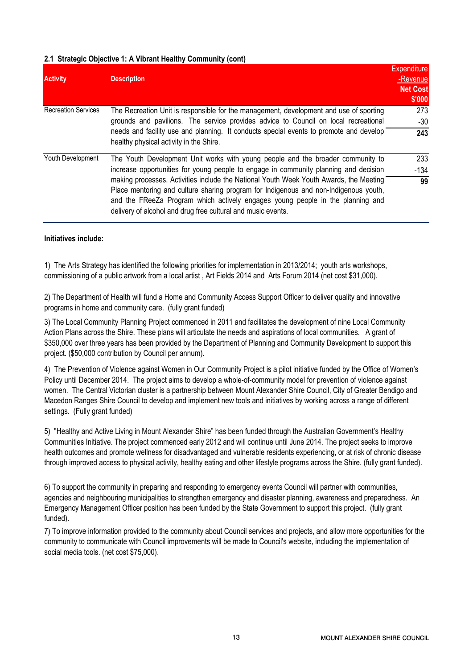# 2.1 Strategic Objective 1: A Vibrant Healthy Community (cont)

| <b>Activity</b>            | <b>Description</b>                                                                                                                                                                                                                                                                                                               | <b>Expenditure</b><br>-Revenue |
|----------------------------|----------------------------------------------------------------------------------------------------------------------------------------------------------------------------------------------------------------------------------------------------------------------------------------------------------------------------------|--------------------------------|
|                            |                                                                                                                                                                                                                                                                                                                                  |                                |
| <b>Recreation Services</b> | The Recreation Unit is responsible for the management, development and use of sporting<br>grounds and pavilions. The service provides advice to Council on local recreational                                                                                                                                                    | \$'000<br>273<br>-30           |
|                            | needs and facility use and planning. It conducts special events to promote and develop<br>healthy physical activity in the Shire.                                                                                                                                                                                                | 243                            |
| Youth Development          | The Youth Development Unit works with young people and the broader community to                                                                                                                                                                                                                                                  | 233                            |
|                            | increase opportunities for young people to engage in community planning and decision                                                                                                                                                                                                                                             | -134                           |
|                            | making processes. Activities include the National Youth Week Youth Awards, the Meeting<br>Place mentoring and culture sharing program for Indigenous and non-Indigenous youth,<br>and the FReeZa Program which actively engages young people in the planning and<br>delivery of alcohol and drug free cultural and music events. | 99                             |

## Initiatives include:

1) The Arts Strategy has identified the following priorities for implementation in 2013/2014; youth arts workshops, commissioning of a public artwork from a local artist , Art Fields 2014 and Arts Forum 2014 (net cost \$31,000).

2) The Department of Health will fund a Home and Community Access Support Officer to deliver quality and innovative programs in home and community care. (fully grant funded)

3) The Local Community Planning Project commenced in 2011 and facilitates the development of nine Local Community Action Plans across the Shire. These plans will articulate the needs and aspirations of local communities. A grant of \$350,000 over three years has been provided by the Department of Planning and Community Development to support this project. (\$50,000 contribution by Council per annum).

4) The Prevention of Violence against Women in Our Community Project is a pilot initiative funded by the Office of Women's Policy until December 2014. The project aims to develop a whole-of-community model for prevention of violence against women. The Central Victorian cluster is a partnership between Mount Alexander Shire Council, City of Greater Bendigo and Macedon Ranges Shire Council to develop and implement new tools and initiatives by working across a range of different settings. (Fully grant funded)

5) "Healthy and Active Living in Mount Alexander Shire" has been funded through the Australian Government's Healthy Communities Initiative. The project commenced early 2012 and will continue until June 2014. The project seeks to improve health outcomes and promote wellness for disadvantaged and vulnerable residents experiencing, or at risk of chronic disease through improved access to physical activity, healthy eating and other lifestyle programs across the Shire. (fully grant funded).

6) To support the community in preparing and responding to emergency events Council will partner with communities, agencies and neighbouring municipalities to strengthen emergency and disaster planning, awareness and preparedness. An Emergency Management Officer position has been funded by the State Government to support this project. (fully grant funded).

7) To improve information provided to the community about Council services and projects, and allow more opportunities for the community to communicate with Council improvements will be made to Council's website, including the implementation of social media tools. (net cost \$75,000).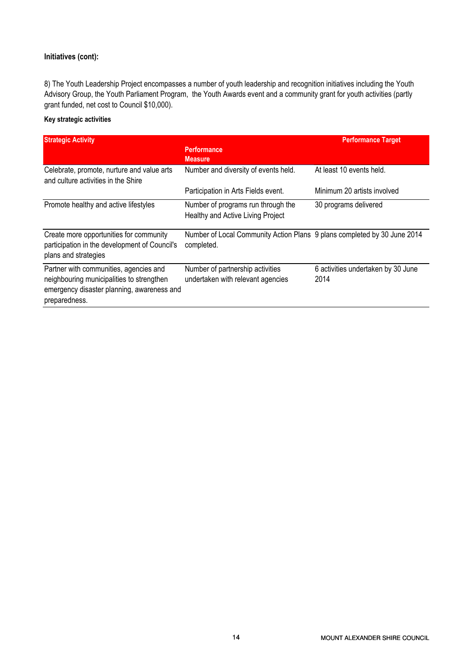# Initiatives (cont):

8) The Youth Leadership Project encompasses a number of youth leadership and recognition initiatives including the Youth Advisory Group, the Youth Parliament Program, the Youth Awards event and a community grant for youth activities (partly grant funded, net cost to Council \$10,000).

# Key strategic activities

| <b>Strategic Activity</b>                                                                                                                          |                                                                                        | <b>Performance Target</b>                  |
|----------------------------------------------------------------------------------------------------------------------------------------------------|----------------------------------------------------------------------------------------|--------------------------------------------|
|                                                                                                                                                    | <b>Performance</b><br><b>Measure</b>                                                   |                                            |
| Celebrate, promote, nurture and value arts<br>and culture activities in the Shire                                                                  | Number and diversity of events held.                                                   | At least 10 events held.                   |
|                                                                                                                                                    | Participation in Arts Fields event.                                                    | Minimum 20 artists involved                |
| Promote healthy and active lifestyles                                                                                                              | Number of programs run through the<br>Healthy and Active Living Project                | 30 programs delivered                      |
| Create more opportunities for community<br>participation in the development of Council's<br>plans and strategies                                   | Number of Local Community Action Plans 9 plans completed by 30 June 2014<br>completed. |                                            |
| Partner with communities, agencies and<br>neighbouring municipalities to strengthen<br>emergency disaster planning, awareness and<br>preparedness. | Number of partnership activities<br>undertaken with relevant agencies                  | 6 activities undertaken by 30 June<br>2014 |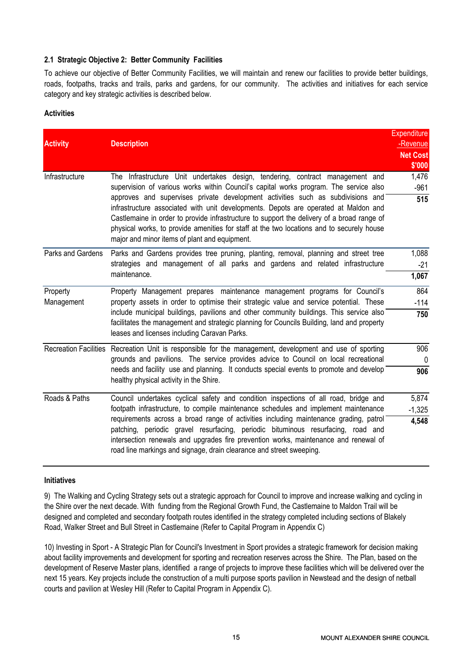# 2.1 Strategic Objective 2: Better Community Facilities

To achieve our objective of Better Community Facilities, we will maintain and renew our facilities to provide better buildings, roads, footpaths, tracks and trails, parks and gardens, for our community. The activities and initiatives for each service category and key strategic activities is described below.

# **Activities**

|                   |                                                                                                                                                                                                                                                                                                                                                                                                                    | <b>Expenditure</b> |  |
|-------------------|--------------------------------------------------------------------------------------------------------------------------------------------------------------------------------------------------------------------------------------------------------------------------------------------------------------------------------------------------------------------------------------------------------------------|--------------------|--|
| <b>Activity</b>   | <b>Description</b>                                                                                                                                                                                                                                                                                                                                                                                                 | -Revenue           |  |
|                   |                                                                                                                                                                                                                                                                                                                                                                                                                    | <b>Net Cost</b>    |  |
| Infrastructure    | The Infrastructure Unit undertakes design, tendering, contract management and                                                                                                                                                                                                                                                                                                                                      | \$'000<br>1,476    |  |
|                   | supervision of various works within Council's capital works program. The service also                                                                                                                                                                                                                                                                                                                              | $-961$             |  |
|                   | approves and supervises private development activities such as subdivisions and<br>infrastructure associated with unit developments. Depots are operated at Maldon and<br>Castlemaine in order to provide infrastructure to support the delivery of a broad range of<br>physical works, to provide amenities for staff at the two locations and to securely house<br>major and minor items of plant and equipment. | 515                |  |
| Parks and Gardens | Parks and Gardens provides tree pruning, planting, removal, planning and street tree                                                                                                                                                                                                                                                                                                                               | 1,088              |  |
|                   | strategies and management of all parks and gardens and related infrastructure                                                                                                                                                                                                                                                                                                                                      |                    |  |
|                   | maintenance.                                                                                                                                                                                                                                                                                                                                                                                                       |                    |  |
| Property          | Property Management prepares maintenance management programs for Council's<br>property assets in order to optimise their strategic value and service potential. These<br>include municipal buildings, pavilions and other community buildings. This service also<br>facilitates the management and strategic planning for Councils Building, land and property<br>leases and licenses including Caravan Parks.     |                    |  |
| Management        |                                                                                                                                                                                                                                                                                                                                                                                                                    |                    |  |
|                   |                                                                                                                                                                                                                                                                                                                                                                                                                    |                    |  |
|                   | Recreation Facilities Recreation Unit is responsible for the management, development and use of sporting                                                                                                                                                                                                                                                                                                           | 906                |  |
|                   | grounds and pavilions. The service provides advice to Council on local recreational                                                                                                                                                                                                                                                                                                                                | $\mathbf 0$        |  |
|                   | needs and facility use and planning. It conducts special events to promote and develop<br>healthy physical activity in the Shire.                                                                                                                                                                                                                                                                                  | 906                |  |
| Roads & Paths     | Council undertakes cyclical safety and condition inspections of all road, bridge and                                                                                                                                                                                                                                                                                                                               | 5,874              |  |
|                   | footpath infrastructure, to compile maintenance schedules and implement maintenance                                                                                                                                                                                                                                                                                                                                | $-1,325$           |  |
|                   | requirements across a broad range of activities including maintenance grading, patrol<br>patching, periodic gravel resurfacing, periodic bituminous resurfacing, road and<br>intersection renewals and upgrades fire prevention works, maintenance and renewal of<br>road line markings and signage, drain clearance and street sweeping.                                                                          | 4,548              |  |

# Initiatives

9) The Walking and Cycling Strategy sets out a strategic approach for Council to improve and increase walking and cycling in the Shire over the next decade. With funding from the Regional Growth Fund, the Castlemaine to Maldon Trail will be designed and completed and secondary footpath routes identified in the strategy completed including sections of Blakely Road, Walker Street and Bull Street in Castlemaine (Refer to Capital Program in Appendix C)

10) Investing in Sport - A Strategic Plan for Council's Investment in Sport provides a strategic framework for decision making about facility improvements and development for sporting and recreation reserves across the Shire. The Plan, based on the development of Reserve Master plans, identified a range of projects to improve these facilities which will be delivered over the next 15 years. Key projects include the construction of a multi purpose sports pavilion in Newstead and the design of netball courts and pavilion at Wesley Hill (Refer to Capital Program in Appendix C).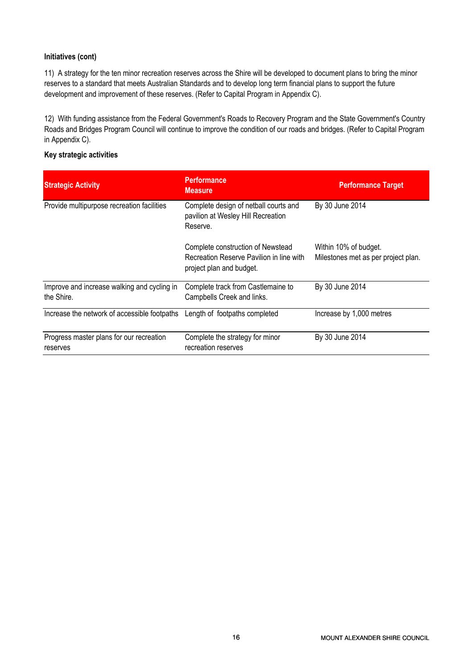# Initiatives (cont)

11) A strategy for the ten minor recreation reserves across the Shire will be developed to document plans to bring the minor reserves to a standard that meets Australian Standards and to develop long term financial plans to support the future development and improvement of these reserves. (Refer to Capital Program in Appendix C).

12) With funding assistance from the Federal Government's Roads to Recovery Program and the State Government's Country Roads and Bridges Program Council will continue to improve the condition of our roads and bridges. (Refer to Capital Program in Appendix C).

# Key strategic activities

| <b>Strategic Activity</b>                                 | <b>Performance</b><br><b>Measure</b>                                                                      | <b>Performance Target</b>                                    |
|-----------------------------------------------------------|-----------------------------------------------------------------------------------------------------------|--------------------------------------------------------------|
| Provide multipurpose recreation facilities                | Complete design of netball courts and<br>pavilion at Wesley Hill Recreation<br>Reserve.                   | By 30 June 2014                                              |
|                                                           | Complete construction of Newstead<br>Recreation Reserve Pavilion in line with<br>project plan and budget. | Within 10% of budget.<br>Milestones met as per project plan. |
| Improve and increase walking and cycling in<br>the Shire. | Complete track from Castlemaine to<br>Campbells Creek and links.                                          | By 30 June 2014                                              |
| Increase the network of accessible footpaths              | Length of footpaths completed                                                                             | Increase by 1,000 metres                                     |
| Progress master plans for our recreation<br>reserves      | Complete the strategy for minor<br>recreation reserves                                                    | By 30 June 2014                                              |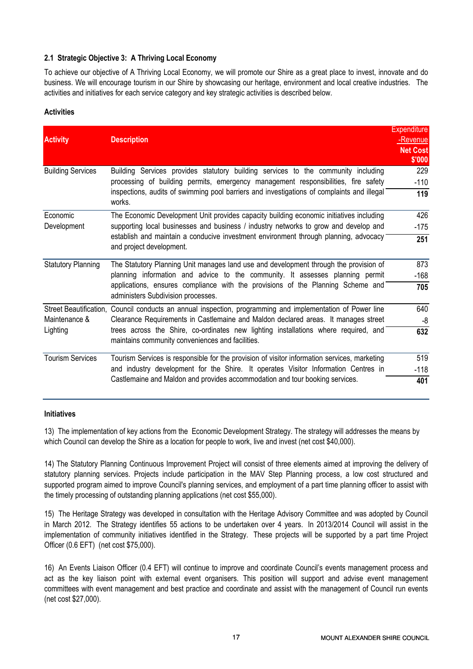# 2.1 Strategic Objective 3: A Thriving Local Economy

To achieve our objective of A Thriving Local Economy, we will promote our Shire as a great place to invest, innovate and do business. We will encourage tourism in our Shire by showcasing our heritage, environment and local creative industries. The activities and initiatives for each service category and key strategic activities is described below.

# **Activities**

| <b>Activity</b>           | <b>Description</b>                                                                                                                                                                                       | <b>Expenditure</b><br>-Revenue<br><b>Net Cost</b><br>\$'000 |  |
|---------------------------|----------------------------------------------------------------------------------------------------------------------------------------------------------------------------------------------------------|-------------------------------------------------------------|--|
| <b>Building Services</b>  | Building Services provides statutory building services to the community including<br>processing of building permits, emergency management responsibilities, fire safety                                  | 229<br>$-110$                                               |  |
|                           | inspections, audits of swimming pool barriers and investigations of complaints and illegal<br>works.                                                                                                     |                                                             |  |
| Economic                  | The Economic Development Unit provides capacity building economic initiatives including                                                                                                                  | 426                                                         |  |
| Development               | supporting local businesses and business / industry networks to grow and develop and<br>establish and maintain a conducive investment environment through planning, advocacy<br>and project development. | $-175$                                                      |  |
|                           |                                                                                                                                                                                                          | 251                                                         |  |
| <b>Statutory Planning</b> | The Statutory Planning Unit manages land use and development through the provision of                                                                                                                    | 873                                                         |  |
|                           | planning information and advice to the community. It assesses planning permit                                                                                                                            | $-168$                                                      |  |
|                           | applications, ensures compliance with the provisions of the Planning Scheme and<br>administers Subdivision processes.                                                                                    |                                                             |  |
|                           | Street Beautification, Council conducts an annual inspection, programming and implementation of Power line                                                                                               | 640                                                         |  |
| Maintenance &             | Clearance Requirements in Castlemaine and Maldon declared areas. It manages street                                                                                                                       |                                                             |  |
| Lighting                  | trees across the Shire, co-ordinates new lighting installations where required, and<br>maintains community conveniences and facilities.                                                                  | 632                                                         |  |
| <b>Tourism Services</b>   | Tourism Services is responsible for the provision of visitor information services, marketing                                                                                                             | 519                                                         |  |
|                           | and industry development for the Shire. It operates Visitor Information Centres in                                                                                                                       | $-118$                                                      |  |
|                           | Castlemaine and Maldon and provides accommodation and tour booking services.                                                                                                                             | 401                                                         |  |

## Initiatives

13) The implementation of key actions from the Economic Development Strategy. The strategy will addresses the means by which Council can develop the Shire as a location for people to work, live and invest (net cost \$40,000).

14) The Statutory Planning Continuous Improvement Project will consist of three elements aimed at improving the delivery of statutory planning services. Projects include participation in the MAV Step Planning process, a low cost structured and supported program aimed to improve Council's planning services, and employment of a part time planning officer to assist with the timely processing of outstanding planning applications (net cost \$55,000).

15) The Heritage Strategy was developed in consultation with the Heritage Advisory Committee and was adopted by Council in March 2012. The Strategy identifies 55 actions to be undertaken over 4 years. In 2013/2014 Council will assist in the implementation of community initiatives identified in the Strategy. These projects will be supported by a part time Project Officer (0.6 EFT) (net cost \$75,000).

16) An Events Liaison Officer (0.4 EFT) will continue to improve and coordinate Council's events management process and act as the key liaison point with external event organisers. This position will support and advise event management committees with event management and best practice and coordinate and assist with the management of Council run events (net cost \$27,000).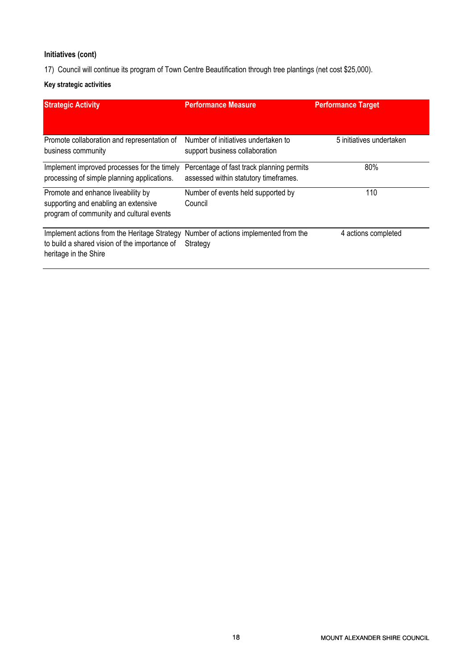# Initiatives (cont)

17) Council will continue its program of Town Centre Beautification through tree plantings (net cost \$25,000).

# Key strategic activities

| <b>Strategic Activity</b>                                                                                              | <b>Performance Measure</b>                                                         | <b>Performance Target</b> |
|------------------------------------------------------------------------------------------------------------------------|------------------------------------------------------------------------------------|---------------------------|
| Promote collaboration and representation of<br>business community                                                      | Number of initiatives undertaken to<br>support business collaboration              | 5 initiatives undertaken  |
| Implement improved processes for the timely<br>processing of simple planning applications.                             | Percentage of fast track planning permits<br>assessed within statutory timeframes. | 80%                       |
| Promote and enhance liveability by<br>supporting and enabling an extensive<br>program of community and cultural events | Number of events held supported by<br>Council                                      | 110                       |
| Implement actions from the Heritage Strategy<br>to build a shared vision of the importance of<br>heritage in the Shire | Number of actions implemented from the<br>Strategy                                 | 4 actions completed       |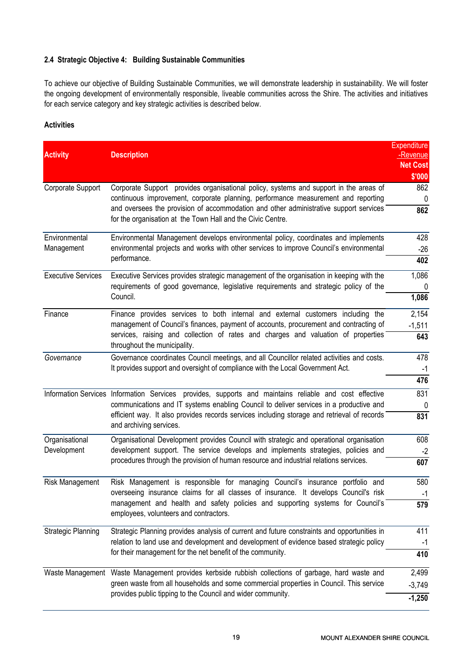# 2.4 Strategic Objective 4: Building Sustainable Communities

To achieve our objective of Building Sustainable Communities, we will demonstrate leadership in sustainability. We will foster the ongoing development of environmentally responsible, liveable communities across the Shire. The activities and initiatives for each service category and key strategic activities is described below.

# **Activities**

| <b>Activity</b>           | <b>Description</b>                                                                                                                                                           | <b>Expenditure</b><br>-Revenue |  |
|---------------------------|------------------------------------------------------------------------------------------------------------------------------------------------------------------------------|--------------------------------|--|
|                           |                                                                                                                                                                              | <b>Net Cost</b><br>\$'000      |  |
| Corporate Support         | Corporate Support provides organisational policy, systems and support in the areas of                                                                                        | 862                            |  |
|                           | continuous improvement, corporate planning, performance measurement and reporting                                                                                            | $\Omega$                       |  |
|                           | and oversees the provision of accommodation and other administrative support services<br>for the organisation at the Town Hall and the Civic Centre.                         | 862                            |  |
| Environmental             | Environmental Management develops environmental policy, coordinates and implements                                                                                           | 428                            |  |
| Management                | environmental projects and works with other services to improve Council's environmental                                                                                      |                                |  |
|                           | performance.                                                                                                                                                                 | 402                            |  |
| <b>Executive Services</b> | Executive Services provides strategic management of the organisation in keeping with the                                                                                     | 1,086<br>0                     |  |
|                           | requirements of good governance, legislative requirements and strategic policy of the                                                                                        |                                |  |
|                           | Council.                                                                                                                                                                     | 1,086<br>2,154                 |  |
| Finance                   | Finance provides services to both internal and external customers including the                                                                                              |                                |  |
|                           | management of Council's finances, payment of accounts, procurement and contracting of                                                                                        | $-1,511$                       |  |
|                           | services, raising and collection of rates and charges and valuation of properties<br>throughout the municipality.                                                            | 643                            |  |
| Governance                | Governance coordinates Council meetings, and all Councillor related activities and costs.                                                                                    | 478                            |  |
|                           | It provides support and oversight of compliance with the Local Government Act.                                                                                               |                                |  |
|                           |                                                                                                                                                                              | 476                            |  |
|                           | Information Services Information Services provides, supports and maintains reliable and cost effective                                                                       | 831<br>0                       |  |
|                           | communications and IT systems enabling Council to deliver services in a productive and                                                                                       |                                |  |
|                           | efficient way. It also provides records services including storage and retrieval of records<br>and archiving services.                                                       |                                |  |
| Organisational            | Organisational Development provides Council with strategic and operational organisation<br>development support. The service develops and implements strategies, policies and |                                |  |
| Development               |                                                                                                                                                                              |                                |  |
|                           | procedures through the provision of human resource and industrial relations services.                                                                                        | 607                            |  |
| Risk Management           | Risk Management is responsible for managing Council's insurance portfolio and                                                                                                |                                |  |
|                           | overseeing insurance claims for all classes of insurance. It develops Council's risk                                                                                         | $-1$                           |  |
|                           | management and health and safety policies and supporting systems for Council's<br>employees, volunteers and contractors.                                                     | 579                            |  |
| <b>Strategic Planning</b> | Strategic Planning provides analysis of current and future constraints and opportunities in                                                                                  | 411                            |  |
|                           | relation to land use and development and development of evidence based strategic policy<br>for their management for the net benefit of the community.                        |                                |  |
|                           |                                                                                                                                                                              |                                |  |
|                           | Waste Management Waste Management provides kerbside rubbish collections of garbage, hard waste and                                                                           | 2,499                          |  |
|                           | green waste from all households and some commercial properties in Council. This service                                                                                      | $-3,749$                       |  |
|                           | provides public tipping to the Council and wider community.                                                                                                                  |                                |  |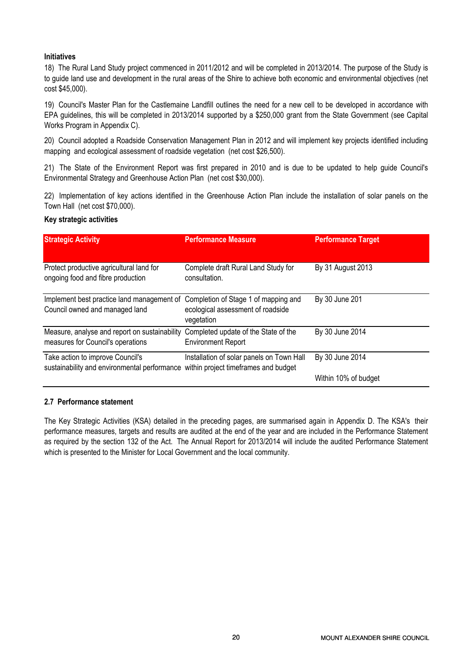# Initiatives

18) The Rural Land Study project commenced in 2011/2012 and will be completed in 2013/2014. The purpose of the Study is to guide land use and development in the rural areas of the Shire to achieve both economic and environmental objectives (net cost \$45,000).

19) Council's Master Plan for the Castlemaine Landfill outlines the need for a new cell to be developed in accordance with EPA guidelines, this will be completed in 2013/2014 supported by a \$250,000 grant from the State Government (see Capital Works Program in Appendix C).

20) Council adopted a Roadside Conservation Management Plan in 2012 and will implement key projects identified including mapping and ecological assessment of roadside vegetation (net cost \$26,500).

21) The State of the Environment Report was first prepared in 2010 and is due to be updated to help guide Council's Environmental Strategy and Greenhouse Action Plan (net cost \$30,000).

22) Implementation of key actions identified in the Greenhouse Action Plan include the installation of solar panels on the Town Hall (net cost \$70,000).

# Key strategic activities

| <b>Strategic Activity</b>                                                                                             | <b>Performance Measure</b>                                                              | <b>Performance Target</b> |
|-----------------------------------------------------------------------------------------------------------------------|-----------------------------------------------------------------------------------------|---------------------------|
| Protect productive agricultural land for<br>ongoing food and fibre production                                         | Complete draft Rural Land Study for<br>consultation.                                    | By 31 August 2013         |
| Implement best practice land management of<br>Council owned and managed land                                          | Completion of Stage 1 of mapping and<br>ecological assessment of roadside<br>vegetation | By 30 June 201            |
| Measure, analyse and report on sustainability<br>measures for Council's operations                                    | Completed update of the State of the<br><b>Environment Report</b>                       | By 30 June 2014           |
| Take action to improve Council's<br>sustainability and environmental performance within project timeframes and budget | Installation of solar panels on Town Hall                                               | By 30 June 2014           |
|                                                                                                                       |                                                                                         | Within 10% of budget      |

# 2.7 Performance statement

The Key Strategic Activities (KSA) detailed in the preceding pages, are summarised again in Appendix D. The KSA's their performance measures, targets and results are audited at the end of the year and are included in the Performance Statement as required by the section 132 of the Act. The Annual Report for 2013/2014 will include the audited Performance Statement which is presented to the Minister for Local Government and the local community.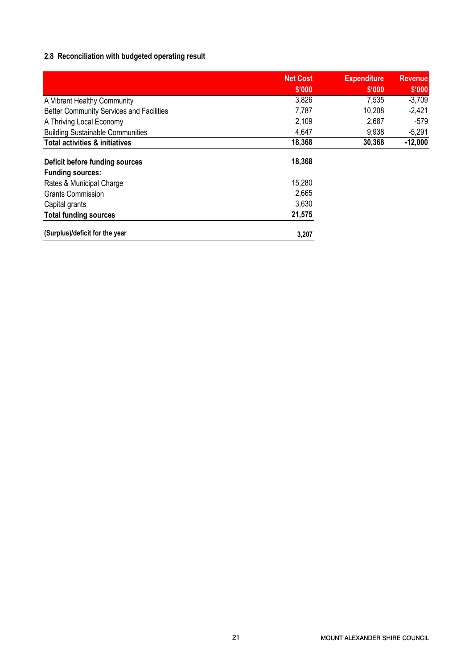# 2.8 Reconciliation with budgeted operating result

|                                                 | <b>Net Cost</b><br>\$'000 | <b>Expenditure</b><br>\$'000 | <b>Revenue</b><br>\$'000 |
|-------------------------------------------------|---------------------------|------------------------------|--------------------------|
| A Vibrant Healthy Community                     | 3,826                     | 7,535                        | $-3,709$                 |
| <b>Better Community Services and Facilities</b> | 7,787                     | 10,208                       | $-2,421$                 |
| A Thriving Local Economy                        | 2,109                     | 2,687                        | $-579$                   |
| <b>Building Sustainable Communities</b>         | 4,647                     | 9,938                        | $-5,291$                 |
| <b>Total activities &amp; initiatives</b>       | 18,368                    | 30,368                       | $-12,000$                |
| Deficit before funding sources                  | 18,368                    |                              |                          |
| <b>Funding sources:</b>                         |                           |                              |                          |
| Rates & Municipal Charge                        | 15,280                    |                              |                          |
| <b>Grants Commission</b>                        | 2,665                     |                              |                          |
| Capital grants                                  | 3,630                     |                              |                          |
| <b>Total funding sources</b>                    | 21,575                    |                              |                          |
| (Surplus)/deficit for the year                  | 3,207                     |                              |                          |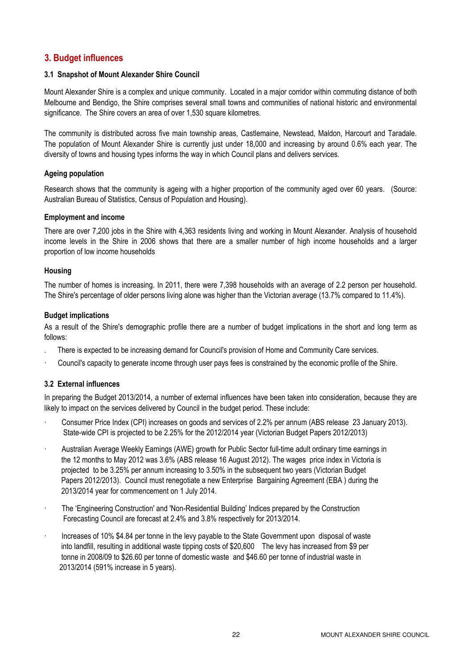# 3. Budget influences

# 3.1 Snapshot of Mount Alexander Shire Council

Mount Alexander Shire is a complex and unique community. Located in a major corridor within commuting distance of both Melbourne and Bendigo, the Shire comprises several small towns and communities of national historic and environmental significance. The Shire covers an area of over 1,530 square kilometres.

The community is distributed across five main township areas, Castlemaine, Newstead, Maldon, Harcourt and Taradale. The population of Mount Alexander Shire is currently just under 18,000 and increasing by around 0.6% each year. The diversity of towns and housing types informs the way in which Council plans and delivers services.

# Ageing population

Research shows that the community is ageing with a higher proportion of the community aged over 60 years. (Source: Australian Bureau of Statistics, Census of Population and Housing).

## Employment and income

There are over 7,200 jobs in the Shire with 4,363 residents living and working in Mount Alexander. Analysis of household income levels in the Shire in 2006 shows that there are a smaller number of high income households and a larger proportion of low income households

#### Housing

The number of homes is increasing. In 2011, there were 7,398 households with an average of 2.2 person per household. The Shire's percentage of older persons living alone was higher than the Victorian average (13.7% compared to 11.4%).

## Budget implications

As a result of the Shire's demographic profile there are a number of budget implications in the short and long term as follows:

- . There is expected to be increasing demand for Council's provision of Home and Community Care services.
- · Council's capacity to generate income through user pays fees is constrained by the economic profile of the Shire.

# 3.2 External influences

In preparing the Budget 2013/2014, a number of external influences have been taken into consideration, because they are likely to impact on the services delivered by Council in the budget period. These include:

- · Consumer Price Index (CPI) increases on goods and services of 2.2% per annum (ABS release 23 January 2013). State-wide CPI is projected to be 2.25% for the 2012/2014 year (Victorian Budget Papers 2012/2013)
- · Australian Average Weekly Earnings (AWE) growth for Public Sector full-time adult ordinary time earnings in the 12 months to May 2012 was 3.6% (ABS release 16 August 2012). The wages price index in Victoria is projected to be 3.25% per annum increasing to 3.50% in the subsequent two years (Victorian Budget Papers 2012/2013). Council must renegotiate a new Enterprise Bargaining Agreement (EBA ) during the 2013/2014 year for commencement on 1 July 2014.
- · The 'Engineering Construction' and 'Non-Residential Building' Indices prepared by the Construction Forecasting Council are forecast at 2.4% and 3.8% respectively for 2013/2014.
- Increases of 10% \$4.84 per tonne in the levy payable to the State Government upon disposal of waste into landfill, resulting in additional waste tipping costs of \$20,600 The levy has increased from \$9 per tonne in 2008/09 to \$26.60 per tonne of domestic waste and \$46.60 per tonne of industrial waste in 2013/2014 (591% increase in 5 years).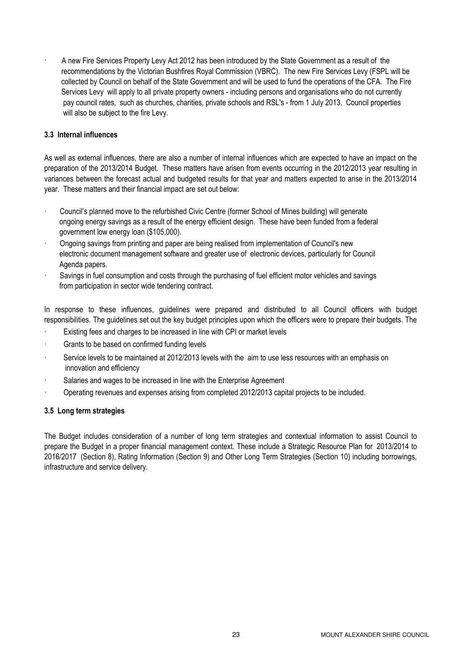· A new Fire Services Property Levy Act 2012 has been introduced by the State Government as a result of the recommendations by the Victorian Bushfires Royal Commission (VBRC). The new Fire Services Levy (FSPL will be collected by Council on behalf of the State Government and will be used to fund the operations of the CFA. The Fire Services Levy will apply to all private property owners - including persons and organisations who do not currently pay council rates, such as churches, charities, private schools and RSL's - from 1 July 2013. Council properties will also be subject to the fire Levy.

# 3.3 Internal influences

As well as external influences, there are also a number of internal influences which are expected to have an impact on the preparation of the 2013/2014 Budget. These matters have arisen from events occurring in the 2012/2013 year resulting in variances between the forecast actual and budgeted results for that year and matters expected to arise in the 2013/2014 year. These matters and their financial impact are set out below:

- Council's planned move to the refurbished Civic Centre (former School of Mines building) will generate ongoing energy savings as a result of the energy efficient design. These have been funded from a federal government low energy loan (\$105,000).
- · Ongoing savings from printing and paper are being realised from implementation of Council's new electronic document management software and greater use of electronic devices, particularly for Council Agenda papers.
- Savings in fuel consumption and costs through the purchasing of fuel efficient motor vehicles and savings from participation in sector wide tendering contract.

In response to these influences, guidelines were prepared and distributed to all Council officers with budget responsibilities. The guidelines set out the key budget principles upon which the officers were to prepare their budgets. The

- Existing fees and charges to be increased in line with CPI or market levels
- Grants to be based on confirmed funding levels
- Service levels to be maintained at 2012/2013 levels with the aim to use less resources with an emphasis on innovation and efficiency
- Salaries and wages to be increased in line with the Enterprise Agreement
- · Operating revenues and expenses arising from completed 2012/2013 capital projects to be included.

# 3.5 Long term strategies

The Budget includes consideration of a number of long term strategies and contextual information to assist Council to prepare the Budget in a proper financial management context. These include a Strategic Resource Plan for 2013/2014 to 2016/2017 (Section 8), Rating Information (Section 9) and Other Long Term Strategies (Section 10) including borrowings, infrastructure and service delivery.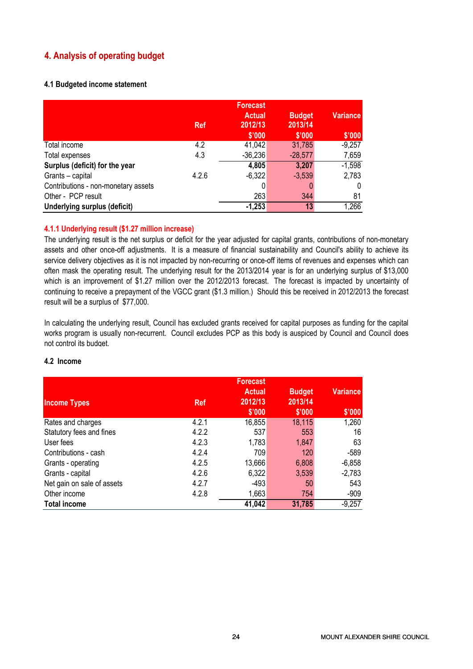# 4. Analysis of operating budget

# 4.1 Budgeted income statement

|                                     | <b>Ref</b> | <b>Forecast</b><br><b>Actual</b><br>2012/13 | <b>Budget</b><br>2013/14 | <b>Variance</b> |
|-------------------------------------|------------|---------------------------------------------|--------------------------|-----------------|
|                                     |            | \$'000                                      | \$'000                   | \$'000          |
| Total income                        | 4.2        | 41,042                                      | 31,785                   | $-9,257$        |
| Total expenses                      | 4.3        | $-36,236$                                   | $-28,577$                | 7,659           |
| Surplus (deficit) for the year      |            | 4,805                                       | 3,207                    | $-1,598$        |
| Grants - capital                    | 4.2.6      | $-6,322$                                    | $-3,539$                 | 2,783           |
| Contributions - non-monetary assets |            | 0                                           |                          | 0               |
| Other - PCP result                  |            | 263                                         | 344                      | 81              |
| Underlying surplus (deficit)        |            | $-1,253$                                    | 13                       | 1,266           |

# 4.1.1 Underlying result (\$1.27 million increase)

The underlying result is the net surplus or deficit for the year adjusted for capital grants, contributions of non-monetary assets and other once-off adjustments. It is a measure of financial sustainability and Council's ability to achieve its service delivery objectives as it is not impacted by non-recurring or once-off items of revenues and expenses which can often mask the operating result. The underlying result for the 2013/2014 year is for an underlying surplus of \$13,000 which is an improvement of \$1.27 million over the 2012/2013 forecast. The forecast is impacted by uncertainty of continuing to receive a prepayment of the VGCC grant (\$1.3 million.) Should this be received in 2012/2013 the forecast result will be a surplus of \$77,000.

In calculating the underlying result, Council has excluded grants received for capital purposes as funding for the capital works program is usually non-recurrent. Council excludes PCP as this body is auspiced by Council and Council does not control its budget.

|                            |            | <b>Forecast</b>          |                          |                 |
|----------------------------|------------|--------------------------|--------------------------|-----------------|
| <b>Income Types</b>        | <b>Ref</b> | <b>Actual</b><br>2012/13 | <b>Budget</b><br>2013/14 | <b>Variance</b> |
|                            |            | \$'000                   | \$'000                   | \$'000          |
| Rates and charges          | 4.2.1      | 16,855                   | 18,115                   | 1,260           |
| Statutory fees and fines   | 4.2.2      | 537                      | 553                      | 16              |
| User fees                  | 4.2.3      | 1,783                    | 1,847                    | 63              |
| Contributions - cash       | 4.2.4      | 709                      | 120                      | $-589$          |
| Grants - operating         | 4.2.5      | 13,666                   | 6,808                    | $-6,858$        |
| Grants - capital           | 4.2.6      | 6,322                    | 3,539                    | $-2,783$        |
| Net gain on sale of assets | 4.2.7      | $-493$                   | 50                       | 543             |
| Other income               | 4.2.8      | 1,663                    | 754                      | $-909$          |
| <b>Total income</b>        |            | 41,042                   | 31,785                   | $-9,257$        |

# 4.2 Income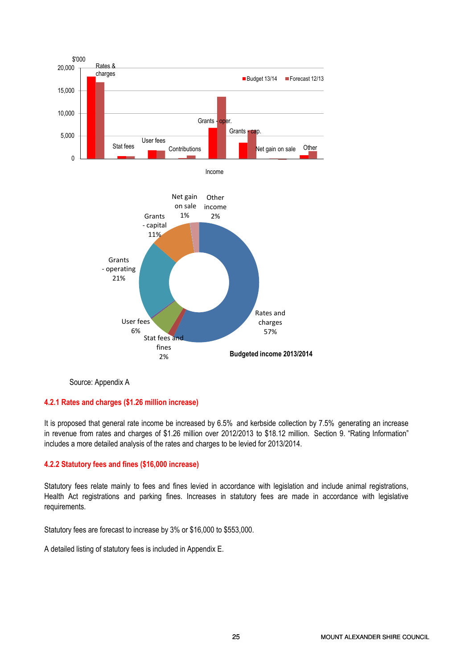

Source: Appendix A

# 4.2.1 Rates and charges (\$1.26 million increase)

It is proposed that general rate income be increased by 6.5% and kerbside collection by 7.5% generating an increase in revenue from rates and charges of \$1.26 million over 2012/2013 to \$18.12 million. Section 9. "Rating Information" includes a more detailed analysis of the rates and charges to be levied for 2013/2014.

## 4.2.2 Statutory fees and fines (\$16,000 increase)

Statutory fees relate mainly to fees and fines levied in accordance with legislation and include animal registrations, Health Act registrations and parking fines. Increases in statutory fees are made in accordance with legislative requirements.

Statutory fees are forecast to increase by 3% or \$16,000 to \$553,000.

A detailed listing of statutory fees is included in Appendix E.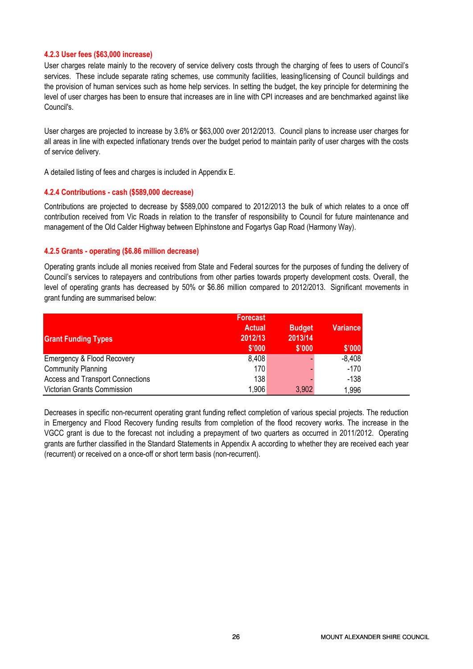#### 4.2.3 User fees (\$63,000 increase)

User charges relate mainly to the recovery of service delivery costs through the charging of fees to users of Council's services. These include separate rating schemes, use community facilities, leasing/licensing of Council buildings and the provision of human services such as home help services. In setting the budget, the key principle for determining the level of user charges has been to ensure that increases are in line with CPI increases and are benchmarked against like Council's.

User charges are projected to increase by 3.6% or \$63,000 over 2012/2013. Council plans to increase user charges for all areas in line with expected inflationary trends over the budget period to maintain parity of user charges with the costs of service delivery.

A detailed listing of fees and charges is included in Appendix E.

#### 4.2.4 Contributions - cash (\$589,000 decrease)

Contributions are projected to decrease by \$589,000 compared to 2012/2013 the bulk of which relates to a once off contribution received from Vic Roads in relation to the transfer of responsibility to Council for future maintenance and management of the Old Calder Highway between Elphinstone and Fogartys Gap Road (Harmony Way).

#### 4.2.5 Grants - operating (\$6.86 million decrease)

Operating grants include all monies received from State and Federal sources for the purposes of funding the delivery of Council's services to ratepayers and contributions from other parties towards property development costs. Overall, the level of operating grants has decreased by 50% or \$6.86 million compared to 2012/2013. Significant movements in grant funding are summarised below:

| <b>Grant Funding Types</b>              | <b>Forecast</b><br><b>Actual</b><br>2012/13<br>\$'000 | <b>Budget</b><br>2013/14<br>\$'000 | <b>Variance</b><br>\$'000 |
|-----------------------------------------|-------------------------------------------------------|------------------------------------|---------------------------|
| <b>Emergency &amp; Flood Recovery</b>   | 8,408                                                 |                                    | $-8,408$                  |
| <b>Community Planning</b>               | 170                                                   |                                    | $-170$                    |
| <b>Access and Transport Connections</b> | 138                                                   |                                    | $-138$                    |
| Victorian Grants Commission             | 1,906                                                 | 3,902                              | 1,996                     |

Decreases in specific non-recurrent operating grant funding reflect completion of various special projects. The reduction in Emergency and Flood Recovery funding results from completion of the flood recovery works. The increase in the VGCC grant is due to the forecast not including a prepayment of two quarters as occurred in 2011/2012. Operating grants are further classified in the Standard Statements in Appendix A according to whether they are received each year (recurrent) or received on a once-off or short term basis (non-recurrent).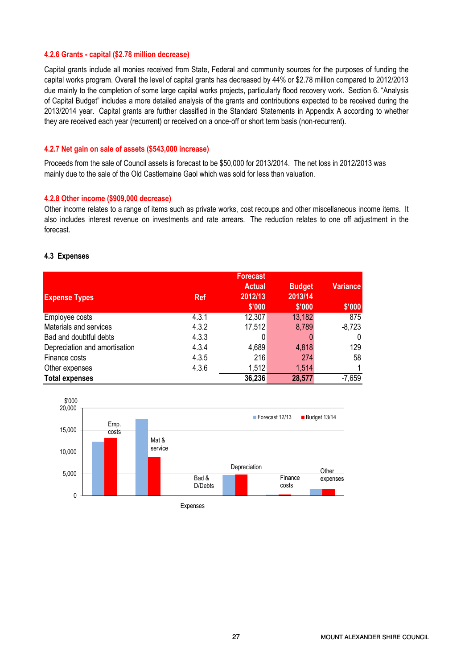#### 4.2.6 Grants - capital (\$2.78 million decrease)

Capital grants include all monies received from State, Federal and community sources for the purposes of funding the capital works program. Overall the level of capital grants has decreased by 44% or \$2.78 million compared to 2012/2013 due mainly to the completion of some large capital works projects, particularly flood recovery work. Section 6. "Analysis of Capital Budget" includes a more detailed analysis of the grants and contributions expected to be received during the 2013/2014 year. Capital grants are further classified in the Standard Statements in Appendix A according to whether they are received each year (recurrent) or received on a once-off or short term basis (non-recurrent).

#### 4.2.7 Net gain on sale of assets (\$543,000 increase)

Proceeds from the sale of Council assets is forecast to be \$50,000 for 2013/2014. The net loss in 2012/2013 was mainly due to the sale of the Old Castlemaine Gaol which was sold for less than valuation.

#### 4.2.8 Other income (\$909,000 decrease)

Other income relates to a range of items such as private works, cost recoups and other miscellaneous income items. It also includes interest revenue on investments and rate arrears. The reduction relates to one off adjustment in the forecast.

#### 4.3 Expenses

| <b>Expense Types</b>          | <b>Ref</b> | <b>Forecast</b><br><b>Actual</b><br>2012/13 | <b>Budget</b><br>2013/14 | <b>Variance</b> |
|-------------------------------|------------|---------------------------------------------|--------------------------|-----------------|
|                               |            | \$'000                                      | \$'000                   | \$'000          |
| Employee costs                | 4.3.1      | 12,307                                      | 13,182                   | 875             |
| Materials and services        | 4.3.2      | 17,512                                      | 8,789                    | $-8,723$        |
| Bad and doubtful debts        | 4.3.3      |                                             |                          | 0               |
| Depreciation and amortisation | 4.3.4      | 4,689                                       | 4,818                    | 129             |
| Finance costs                 | 4.3.5      | 216                                         | 274                      | 58              |
| Other expenses                | 4.3.6      | 1,512                                       | 1,514                    |                 |
| <b>Total expenses</b>         |            | 36,236                                      | 28,577                   | $-7,659$        |



Expenses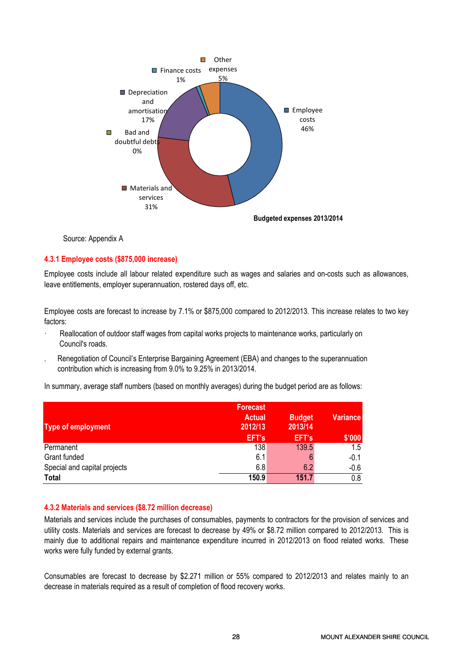

Budgeted expenses 2013/2014

Source: Appendix A

# 4.3.1 Employee costs (\$875,000 increase)

Employee costs include all labour related expenditure such as wages and salaries and on-costs such as allowances, leave entitlements, employer superannuation, rostered days off, etc.

Employee costs are forecast to increase by 7.1% or \$875,000 compared to 2012/2013. This increase relates to two key factors:

- Reallocation of outdoor staff wages from capital works projects to maintenance works, particularly on Council's roads.
- . Renegotiation of Council's Enterprise Bargaining Agreement (EBA) and changes to the superannuation contribution which is increasing from 9.0% to 9.25% in 2013/2014.

In summary, average staff numbers (based on monthly averages) during the budget period are as follows:

| <b>Type of employment</b>    | <b>Forecast</b><br><b>Actual</b><br>2012/13 | <b>Budget</b><br>2013/14 | <b>Variance</b> |
|------------------------------|---------------------------------------------|--------------------------|-----------------|
|                              | EFT's                                       | EFT's                    | \$'000          |
| Permanent                    | 138                                         | 139.5                    | 1.5             |
| Grant funded                 | 6.1                                         |                          | -0.1            |
| Special and capital projects | 6.8                                         | 6.2                      | $-0.6$          |
| <b>Total</b>                 | 150.9                                       | 151.7                    | 0.8             |

# 4.3.2 Materials and services (\$8.72 million decrease)

Materials and services include the purchases of consumables, payments to contractors for the provision of services and utility costs. Materials and services are forecast to decrease by 49% or \$8.72 million compared to 2012/2013. This is mainly due to additional repairs and maintenance expenditure incurred in 2012/2013 on flood related works. These works were fully funded by external grants.

Consumables are forecast to decrease by \$2.271 million or 55% compared to 2012/2013 and relates mainly to an decrease in materials required as a result of completion of flood recovery works.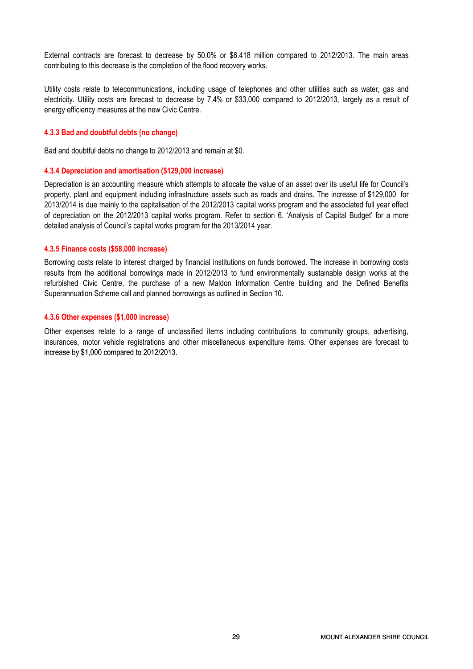External contracts are forecast to decrease by 50.0% or \$6.418 million compared to 2012/2013. The main areas contributing to this decrease is the completion of the flood recovery works.

Utility costs relate to telecommunications, including usage of telephones and other utilities such as water, gas and electricity. Utility costs are forecast to decrease by 7.4% or \$33,000 compared to 2012/2013, largely as a result of energy efficiency measures at the new Civic Centre.

#### 4.3.3 Bad and doubtful debts (no change)

Bad and doubtful debts no change to 2012/2013 and remain at \$0.

#### 4.3.4 Depreciation and amortisation (\$129,000 increase)

Depreciation is an accounting measure which attempts to allocate the value of an asset over its useful life for Council's property, plant and equipment including infrastructure assets such as roads and drains. The increase of \$129,000 for 2013/2014 is due mainly to the capitalisation of the 2012/2013 capital works program and the associated full year effect of depreciation on the 2012/2013 capital works program. Refer to section 6. 'Analysis of Capital Budget' for a more detailed analysis of Council's capital works program for the 2013/2014 year.

#### 4.3.5 Finance costs (\$58,000 increase)

Borrowing costs relate to interest charged by financial institutions on funds borrowed. The increase in borrowing costs results from the additional borrowings made in 2012/2013 to fund environmentally sustainable design works at the refurbished Civic Centre, the purchase of a new Maldon Information Centre building and the Defined Benefits Superannuation Scheme call and planned borrowings as outlined in Section 10.

## 4.3.6 Other expenses (\$1,000 increase)

Other expenses relate to a range of unclassified items including contributions to community groups, advertising, insurances, motor vehicle registrations and other miscellaneous expenditure items. Other expenses are forecast to increase by \$1,000 compared to 2012/2013.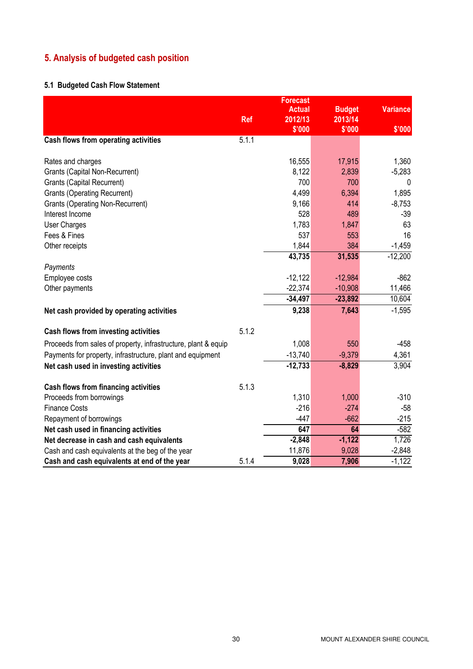# 5. Analysis of budgeted cash position

# 5.1 Budgeted Cash Flow Statement

|                                                                |            | <b>Forecast</b> |               |                 |
|----------------------------------------------------------------|------------|-----------------|---------------|-----------------|
|                                                                |            | <b>Actual</b>   | <b>Budget</b> | <b>Variance</b> |
|                                                                | <b>Ref</b> | 2012/13         | 2013/14       |                 |
|                                                                |            | \$'000          | \$'000        | \$'000          |
| Cash flows from operating activities                           | 5.1.1      |                 |               |                 |
| Rates and charges                                              |            | 16,555          | 17,915        | 1,360           |
| <b>Grants (Capital Non-Recurrent)</b>                          |            | 8,122           | 2,839         | $-5,283$        |
| <b>Grants (Capital Recurrent)</b>                              |            | 700             | 700           | 0               |
| <b>Grants (Operating Recurrent)</b>                            |            | 4,499           | 6,394         | 1,895           |
| <b>Grants (Operating Non-Recurrent)</b>                        |            | 9,166           | 414           | $-8,753$        |
| Interest Income                                                |            | 528             | 489           | $-39$           |
| <b>User Charges</b>                                            |            | 1,783           | 1,847         | 63              |
| Fees & Fines                                                   |            | 537             | 553           | 16              |
| Other receipts                                                 |            | 1,844           | 384           | $-1,459$        |
|                                                                |            | 43,735          | 31,535        | $-12,200$       |
| Payments                                                       |            |                 |               |                 |
| Employee costs                                                 |            | $-12,122$       | $-12,984$     | $-862$          |
| Other payments                                                 |            | $-22,374$       | $-10,908$     | 11,466          |
|                                                                |            | $-34,497$       | $-23,892$     | 10,604          |
| Net cash provided by operating activities                      |            | 9,238           | 7,643         | $-1,595$        |
| Cash flows from investing activities                           | 5.1.2      |                 |               |                 |
| Proceeds from sales of property, infrastructure, plant & equip |            | 1,008           | 550           | $-458$          |
| Payments for property, infrastructure, plant and equipment     |            | $-13,740$       | $-9,379$      | 4,361           |
| Net cash used in investing activities                          |            | $-12,733$       | $-8,829$      | 3,904           |
| Cash flows from financing activities                           | 5.1.3      |                 |               |                 |
| Proceeds from borrowings                                       |            | 1,310           | 1,000         | $-310$          |
| <b>Finance Costs</b>                                           |            | $-216$          | $-274$        | $-58$           |
| Repayment of borrowings                                        |            | $-447$          | $-662$        | $-215$          |
| Net cash used in financing activities                          |            | 647             | 64            | $-582$          |
| Net decrease in cash and cash equivalents                      |            | $-2,848$        | $-1,122$      | 1,726           |
| Cash and cash equivalents at the beg of the year               |            | 11,876          | 9,028         | $-2,848$        |
| Cash and cash equivalents at end of the year                   | 5.1.4      | 9,028           | 7,906         | $-1,122$        |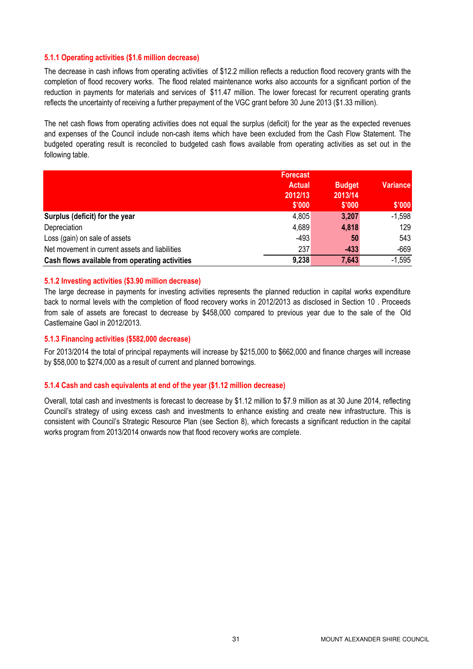## 5.1.1 Operating activities (\$1.6 million decrease)

The decrease in cash inflows from operating activities of \$12.2 million reflects a reduction flood recovery grants with the completion of flood recovery works. The flood related maintenance works also accounts for a significant portion of the reduction in payments for materials and services of \$11.47 million. The lower forecast for recurrent operating grants reflects the uncertainty of receiving a further prepayment of the VGC grant before 30 June 2013 (\$1.33 million).

The net cash flows from operating activities does not equal the surplus (deficit) for the year as the expected revenues and expenses of the Council include non-cash items which have been excluded from the Cash Flow Statement. The budgeted operating result is reconciled to budgeted cash flows available from operating activities as set out in the following table.

|                                                | <b>Forecast</b> |               |                 |
|------------------------------------------------|-----------------|---------------|-----------------|
|                                                | <b>Actual</b>   | <b>Budget</b> | <b>Variance</b> |
|                                                | 2012/13         | 2013/14       |                 |
|                                                | \$'000          | \$'000        | \$'000          |
| Surplus (deficit) for the year                 | 4,805           | 3,207         | $-1,598$        |
| Depreciation                                   | 4,689           | 4,818         | 129             |
| Loss (gain) on sale of assets                  | $-493$          | 50            | 543             |
| Net movement in current assets and liabilities | 237             | $-433$        | $-669$          |
| Cash flows available from operating activities | 9,238           | 7,643         | $-1,595$        |

## 5.1.2 Investing activities (\$3.90 million decrease)

The large decrease in payments for investing activities represents the planned reduction in capital works expenditure back to normal levels with the completion of flood recovery works in 2012/2013 as disclosed in Section 10 . Proceeds from sale of assets are forecast to decrease by \$458,000 compared to previous year due to the sale of the Old Castlemaine Gaol in 2012/2013.

#### 5.1.3 Financing activities (\$582,000 decrease)

For 2013/2014 the total of principal repayments will increase by \$215,000 to \$662,000 and finance charges will increase by \$58,000 to \$274,000 as a result of current and planned borrowings.

#### 5.1.4 Cash and cash equivalents at end of the year (\$1.12 million decrease)

Overall, total cash and investments is forecast to decrease by \$1.12 million to \$7.9 million as at 30 June 2014, reflecting Council's strategy of using excess cash and investments to enhance existing and create new infrastructure. This is consistent with Council's Strategic Resource Plan (see Section 8), which forecasts a significant reduction in the capital works program from 2013/2014 onwards now that flood recovery works are complete.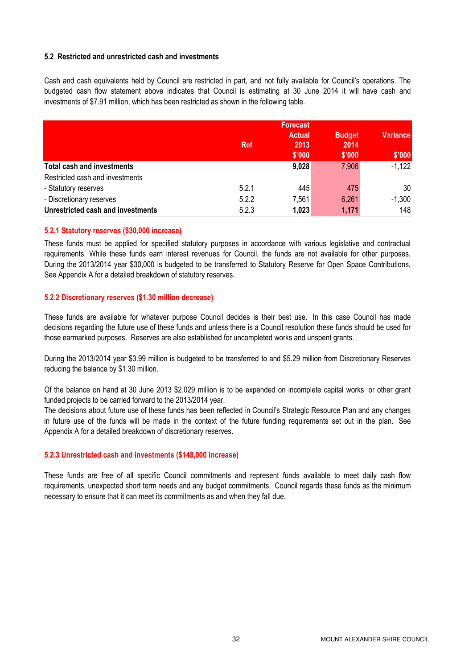# 5.2 Restricted and unrestricted cash and investments

Cash and cash equivalents held by Council are restricted in part, and not fully available for Council's operations. The budgeted cash flow statement above indicates that Council is estimating at 30 June 2014 it will have cash and investments of \$7.91 million, which has been restricted as shown in the following table.

|                                   | <b>Ref</b> | <b>Forecast</b><br><b>Actual</b><br>2013<br>\$'000 | <b>Budget</b><br>2014<br>\$'000 | <b>Variance</b><br>\$'000 |
|-----------------------------------|------------|----------------------------------------------------|---------------------------------|---------------------------|
| <b>Total cash and investments</b> |            | 9,028                                              | 7,906                           | $-1,122$                  |
| Restricted cash and investments   |            |                                                    |                                 |                           |
| - Statutory reserves              | 5.2.1      | 445                                                | 475                             | 30                        |
| - Discretionary reserves          | 5.2.2      | 7,561                                              | 6,261                           | $-1,300$                  |
| Unrestricted cash and investments | 5.2.3      | 1,023                                              | 1,171                           | 148                       |

# 5.2.1 Statutory reserves (\$30,000 increase)

These funds must be applied for specified statutory purposes in accordance with various legislative and contractual requirements. While these funds earn interest revenues for Council, the funds are not available for other purposes. During the 2013/2014 year \$30,000 is budgeted to be transferred to Statutory Reserve for Open Space Contributions. See Appendix A for a detailed breakdown of statutory reserves.

#### 5.2.2 Discretionary reserves (\$1.30 million decrease)

These funds are available for whatever purpose Council decides is their best use. In this case Council has made decisions regarding the future use of these funds and unless there is a Council resolution these funds should be used for those earmarked purposes. Reserves are also established for uncompleted works and unspent grants.

During the 2013/2014 year \$3.99 million is budgeted to be transferred to and \$5.29 million from Discretionary Reserves reducing the balance by \$1.30 million.

Of the balance on hand at 30 June 2013 \$2.029 million is to be expended on incomplete capital works or other grant funded projects to be carried forward to the 2013/2014 year.

The decisions about future use of these funds has been reflected in Council's Strategic Resource Plan and any changes in future use of the funds will be made in the context of the future funding requirements set out in the plan. See Appendix A for a detailed breakdown of discretionary reserves.

#### 5.2.3 Unrestricted cash and investments (\$148,000 increase)

These funds are free of all specific Council commitments and represent funds available to meet daily cash flow requirements, unexpected short term needs and any budget commitments. Council regards these funds as the minimum necessary to ensure that it can meet its commitments as and when they fall due.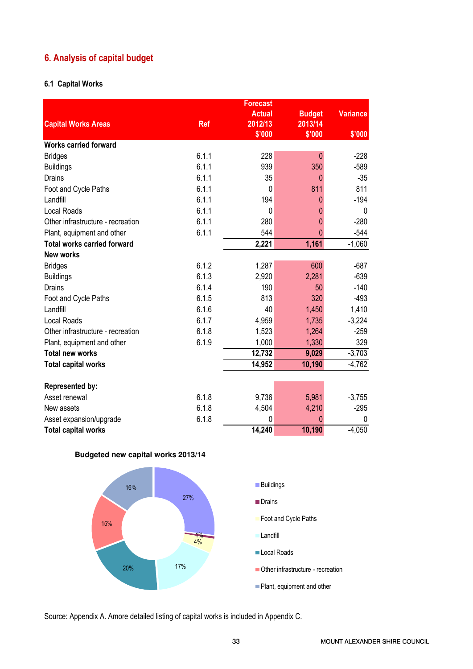# 6. Analysis of capital budget

# 6.1 Capital Works

|                                    |            | <b>Forecast</b>   |                   |                 |
|------------------------------------|------------|-------------------|-------------------|-----------------|
|                                    |            | <b>Actual</b>     | <b>Budget</b>     | <b>Variance</b> |
| <b>Capital Works Areas</b>         | <b>Ref</b> | 2012/13<br>\$'000 | 2013/14<br>\$'000 | \$'000          |
| <b>Works carried forward</b>       |            |                   |                   |                 |
| <b>Bridges</b>                     | 6.1.1      | 228               | $\Omega$          | $-228$          |
| <b>Buildings</b>                   | 6.1.1      | 939               | 350               | $-589$          |
| <b>Drains</b>                      | 6.1.1      | 35                | $\mathbf 0$       | $-35$           |
| Foot and Cycle Paths               | 6.1.1      | $\Omega$          | 811               | 811             |
| Landfill                           | 6.1.1      | 194               | 0                 | $-194$          |
| <b>Local Roads</b>                 | 6.1.1      | $\Omega$          | $\Omega$          | 0               |
| Other infrastructure - recreation  | 6.1.1      | 280               | $\mathbf 0$       | $-280$          |
| Plant, equipment and other         | 6.1.1      | 544               | $\mathbf{0}$      | $-544$          |
| <b>Total works carried forward</b> |            | 2,221             | 1,161             | $-1,060$        |
| <b>New works</b>                   |            |                   |                   |                 |
| <b>Bridges</b>                     | 6.1.2      | 1,287             | 600               | $-687$          |
| <b>Buildings</b>                   | 6.1.3      | 2,920             | 2,281             | $-639$          |
| <b>Drains</b>                      | 6.1.4      | 190               | 50                | $-140$          |
| Foot and Cycle Paths               | 6.1.5      | 813               | 320               | $-493$          |
| Landfill                           | 6.1.6      | 40                | 1,450             | 1,410           |
| <b>Local Roads</b>                 | 6.1.7      | 4,959             | 1,735             | $-3,224$        |
| Other infrastructure - recreation  | 6.1.8      | 1,523             | 1,264             | $-259$          |
| Plant, equipment and other         | 6.1.9      | 1,000             | 1,330             | 329             |
| <b>Total new works</b>             |            | 12,732            | 9,029             | $-3,703$        |
| <b>Total capital works</b>         |            | 14,952            | 10,190            | $-4,762$        |
| <b>Represented by:</b>             |            |                   |                   |                 |
| Asset renewal                      | 6.1.8      | 9,736             | 5,981             | $-3,755$        |
| New assets                         | 6.1.8      | 4,504             | 4,210             | $-295$          |
| Asset expansion/upgrade            | 6.1.8      | 0                 | 0                 | 0               |
| <b>Total capital works</b>         |            | 14,240            | 10,190            | $-4,050$        |





Source: Appendix A. Amore detailed listing of capital works is included in Appendix C.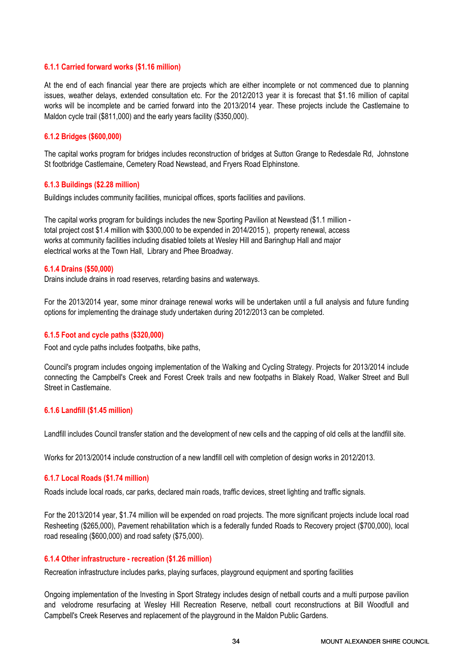## 6.1.1 Carried forward works (\$1.16 million)

At the end of each financial year there are projects which are either incomplete or not commenced due to planning issues, weather delays, extended consultation etc. For the 2012/2013 year it is forecast that \$1.16 million of capital works will be incomplete and be carried forward into the 2013/2014 year. These projects include the Castlemaine to Maldon cycle trail (\$811,000) and the early years facility (\$350,000).

# 6.1.2 Bridges (\$600,000)

The capital works program for bridges includes reconstruction of bridges at Sutton Grange to Redesdale Rd, Johnstone St footbridge Castlemaine, Cemetery Road Newstead, and Fryers Road Elphinstone.

#### 6.1.3 Buildings (\$2.28 million)

Buildings includes community facilities, municipal offices, sports facilities and pavilions.

The capital works program for buildings includes the new Sporting Pavilion at Newstead (\$1.1 million total project cost \$1.4 million with \$300,000 to be expended in 2014/2015 ), property renewal, access works at community facilities including disabled toilets at Wesley Hill and Baringhup Hall and major electrical works at the Town Hall, Library and Phee Broadway.

#### 6.1.4 Drains (\$50,000)

Drains include drains in road reserves, retarding basins and waterways.

For the 2013/2014 year, some minor drainage renewal works will be undertaken until a full analysis and future funding options for implementing the drainage study undertaken during 2012/2013 can be completed.

#### 6.1.5 Foot and cycle paths (\$320,000)

Foot and cycle paths includes footpaths, bike paths,

Council's program includes ongoing implementation of the Walking and Cycling Strategy. Projects for 2013/2014 include connecting the Campbell's Creek and Forest Creek trails and new footpaths in Blakely Road, Walker Street and Bull Street in Castlemaine.

#### 6.1.6 Landfill (\$1.45 million)

Landfill includes Council transfer station and the development of new cells and the capping of old cells at the landfill site.

Works for 2013/20014 include construction of a new landfill cell with completion of design works in 2012/2013.

#### 6.1.7 Local Roads (\$1.74 million)

Roads include local roads, car parks, declared main roads, traffic devices, street lighting and traffic signals.

For the 2013/2014 year, \$1.74 million will be expended on road projects. The more significant projects include local road Resheeting (\$265,000), Pavement rehabilitation which is a federally funded Roads to Recovery project (\$700,000), local road resealing (\$600,000) and road safety (\$75,000).

#### 6.1.4 Other infrastructure - recreation (\$1.26 million)

Recreation infrastructure includes parks, playing surfaces, playground equipment and sporting facilities

Ongoing implementation of the Investing in Sport Strategy includes design of netball courts and a multi purpose pavilion and velodrome resurfacing at Wesley Hill Recreation Reserve, netball court reconstructions at Bill Woodfull and Campbell's Creek Reserves and replacement of the playground in the Maldon Public Gardens.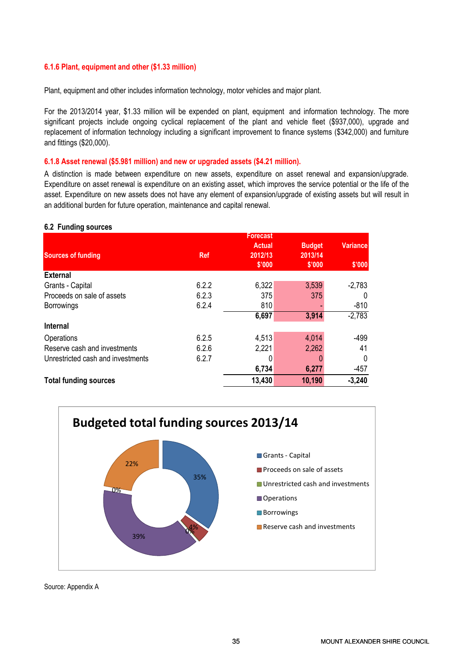# 6.1.6 Plant, equipment and other (\$1.33 million)

Plant, equipment and other includes information technology, motor vehicles and major plant.

For the 2013/2014 year, \$1.33 million will be expended on plant, equipment and information technology. The more significant projects include ongoing cyclical replacement of the plant and vehicle fleet (\$937,000), upgrade and replacement of information technology including a significant improvement to finance systems (\$342,000) and furniture and fittings (\$20,000).

#### 6.1.8 Asset renewal (\$5.981 million) and new or upgraded assets (\$4.21 million).

A distinction is made between expenditure on new assets, expenditure on asset renewal and expansion/upgrade. Expenditure on asset renewal is expenditure on an existing asset, which improves the service potential or the life of the asset. Expenditure on new assets does not have any element of expansion/upgrade of existing assets but will result in an additional burden for future operation, maintenance and capital renewal.

#### 6.2 Funding sources

|                                   |            | <b>Forecast</b> |               |                 |
|-----------------------------------|------------|-----------------|---------------|-----------------|
|                                   |            | <b>Actual</b>   | <b>Budget</b> | <b>Variance</b> |
| <b>Sources of funding</b>         | <b>Ref</b> | 2012/13         | 2013/14       |                 |
|                                   |            | \$'000          | \$'000        | \$'000          |
| <b>External</b>                   |            |                 |               |                 |
| Grants - Capital                  | 6.2.2      | 6,322           | 3,539         | $-2,783$        |
| Proceeds on sale of assets        | 6.2.3      | 375             | 375           | $\Omega$        |
| <b>Borrowings</b>                 | 6.2.4      | 810             |               | $-810$          |
|                                   |            | 6,697           | 3,914         | $-2,783$        |
| Internal                          |            |                 |               |                 |
| Operations                        | 6.2.5      | 4,513           | 4,014         | $-499$          |
| Reserve cash and investments      | 6.2.6      | 2,221           | 2,262         | 41              |
| Unrestricted cash and investments | 6.2.7      |                 |               | 0               |
|                                   |            | 6,734           | 6,277         | $-457$          |
| <b>Total funding sources</b>      |            | 13,430          | 10,190        | $-3,240$        |



Source: Appendix A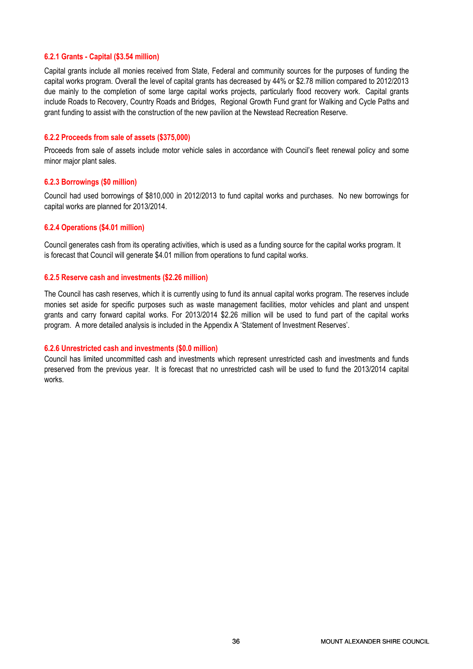# 6.2.1 Grants - Capital (\$3.54 million)

Capital grants include all monies received from State, Federal and community sources for the purposes of funding the capital works program. Overall the level of capital grants has decreased by 44% or \$2.78 million compared to 2012/2013 due mainly to the completion of some large capital works projects, particularly flood recovery work. Capital grants include Roads to Recovery, Country Roads and Bridges, Regional Growth Fund grant for Walking and Cycle Paths and grant funding to assist with the construction of the new pavilion at the Newstead Recreation Reserve.

#### 6.2.2 Proceeds from sale of assets (\$375,000)

Proceeds from sale of assets include motor vehicle sales in accordance with Council's fleet renewal policy and some minor major plant sales.

## 6.2.3 Borrowings (\$0 million)

Council had used borrowings of \$810,000 in 2012/2013 to fund capital works and purchases. No new borrowings for capital works are planned for 2013/2014.

## 6.2.4 Operations (\$4.01 million)

Council generates cash from its operating activities, which is used as a funding source for the capital works program. It is forecast that Council will generate \$4.01 million from operations to fund capital works.

#### 6.2.5 Reserve cash and investments (\$2.26 million)

The Council has cash reserves, which it is currently using to fund its annual capital works program. The reserves include monies set aside for specific purposes such as waste management facilities, motor vehicles and plant and unspent grants and carry forward capital works. For 2013/2014 \$2.26 million will be used to fund part of the capital works program. A more detailed analysis is included in the Appendix A 'Statement of Investment Reserves'.

#### 6.2.6 Unrestricted cash and investments (\$0.0 million)

Council has limited uncommitted cash and investments which represent unrestricted cash and investments and funds preserved from the previous year. It is forecast that no unrestricted cash will be used to fund the 2013/2014 capital works.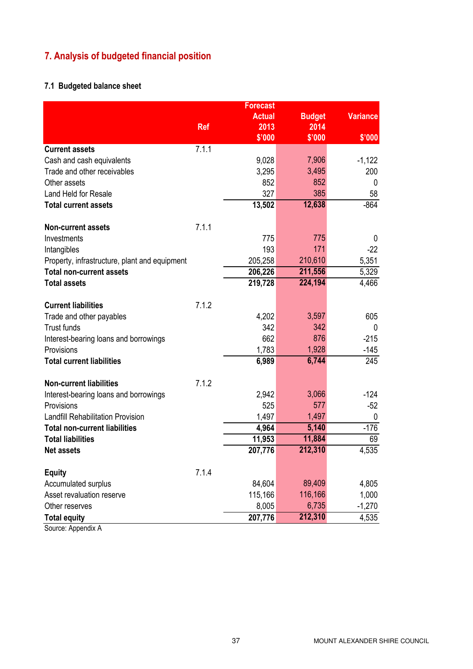## 7. Analysis of budgeted financial position

## 7.1 Budgeted balance sheet

|                                                              |            | <b>Forecast</b> |               |                 |
|--------------------------------------------------------------|------------|-----------------|---------------|-----------------|
|                                                              |            | <b>Actual</b>   | <b>Budget</b> | <b>Variance</b> |
|                                                              | <b>Ref</b> | 2013            | 2014          |                 |
|                                                              |            | \$'000          | \$'000        | \$'000          |
| <b>Current assets</b>                                        | 7.1.1      |                 |               |                 |
| Cash and cash equivalents                                    |            | 9,028           | 7,906         | $-1,122$        |
| Trade and other receivables                                  |            | 3,295           | 3,495         | 200             |
| Other assets                                                 |            | 852             | 852           | 0               |
| Land Held for Resale                                         |            | 327             | 385           | 58              |
| <b>Total current assets</b>                                  |            | 13,502          | 12,638        | $-864$          |
|                                                              |            |                 |               |                 |
| <b>Non-current assets</b>                                    | 7.1.1      |                 | 775           |                 |
| Investments                                                  |            | 775<br>193      | 171           | 0<br>$-22$      |
| Intangibles<br>Property, infrastructure, plant and equipment |            | 205,258         | 210,610       | 5,351           |
| <b>Total non-current assets</b>                              |            | 206,226         | 211,556       | 5,329           |
| <b>Total assets</b>                                          |            | 219,728         | 224,194       | 4,466           |
|                                                              |            |                 |               |                 |
| <b>Current liabilities</b>                                   | 7.1.2      |                 |               |                 |
| Trade and other payables                                     |            | 4,202           | 3,597         | 605             |
| <b>Trust funds</b>                                           |            | 342             | 342           | 0               |
| Interest-bearing loans and borrowings                        |            | 662             | 876           | $-215$          |
| Provisions                                                   |            | 1,783           | 1,928         | -145            |
| <b>Total current liabilities</b>                             |            | 6,989           | 6,744         | 245             |
| <b>Non-current liabilities</b>                               | 7.1.2      |                 |               |                 |
| Interest-bearing loans and borrowings                        |            | 2,942           | 3,066         | $-124$          |
| Provisions                                                   |            | 525             | 577           | $-52$           |
| <b>Landfill Rehabilitation Provision</b>                     |            | 1,497           | 1,497         | 0               |
| <b>Total non-current liabilities</b>                         |            | 4,964           | 5,140         | $-176$          |
| <b>Total liabilities</b>                                     |            | 11,953          | 11,884        | 69              |
| <b>Net assets</b>                                            |            | 207,776         | 212,310       | 4,535           |
|                                                              |            |                 |               |                 |
| <b>Equity</b>                                                | 7.1.4      |                 |               |                 |
| Accumulated surplus                                          |            | 84,604          | 89,409        | 4,805           |
| Asset revaluation reserve                                    |            | 115,166         | 116,166       | 1,000           |
| Other reserves                                               |            | 8,005           | 6,735         | $-1,270$        |
| <b>Total equity</b>                                          |            | 207,776         | 212,310       | 4,535           |

Source: Appendix A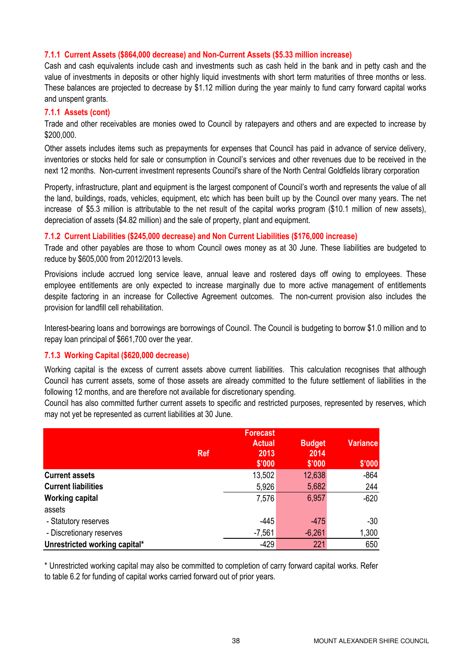#### 7.1.1 Current Assets (\$864,000 decrease) and Non-Current Assets (\$5.33 million increase)

Cash and cash equivalents include cash and investments such as cash held in the bank and in petty cash and the value of investments in deposits or other highly liquid investments with short term maturities of three months or less. These balances are projected to decrease by \$1.12 million during the year mainly to fund carry forward capital works and unspent grants.

#### 7.1.1 Assets (cont)

Trade and other receivables are monies owed to Council by ratepayers and others and are expected to increase by \$200,000.

Other assets includes items such as prepayments for expenses that Council has paid in advance of service delivery, inventories or stocks held for sale or consumption in Council's services and other revenues due to be received in the next 12 months. Non-current investment represents Council's share of the North Central Goldfields library corporation

Property, infrastructure, plant and equipment is the largest component of Council's worth and represents the value of all the land, buildings, roads, vehicles, equipment, etc which has been built up by the Council over many years. The net increase of \$5.3 million is attributable to the net result of the capital works program (\$10.1 million of new assets), depreciation of assets (\$4.82 million) and the sale of property, plant and equipment.

#### 7.1.2 Current Liabilities (\$245,000 decrease) and Non Current Liabilities (\$176,000 increase)

Trade and other payables are those to whom Council owes money as at 30 June. These liabilities are budgeted to reduce by \$605,000 from 2012/2013 levels.

Provisions include accrued long service leave, annual leave and rostered days off owing to employees. These employee entitlements are only expected to increase marginally due to more active management of entitlements despite factoring in an increase for Collective Agreement outcomes. The non-current provision also includes the provision for landfill cell rehabilitation.

Interest-bearing loans and borrowings are borrowings of Council. The Council is budgeting to borrow \$1.0 million and to repay loan principal of \$661,700 over the year.

#### 7.1.3 Working Capital (\$620,000 decrease)

Working capital is the excess of current assets above current liabilities. This calculation recognises that although Council has current assets, some of those assets are already committed to the future settlement of liabilities in the following 12 months, and are therefore not available for discretionary spending.

Council has also committed further current assets to specific and restricted purposes, represented by reserves, which may not yet be represented as current liabilities at 30 June.

|                               | <b>Ref</b> | <b>Forecast</b><br><b>Actual</b><br>2013<br>\$'000 | <b>Budget</b><br>2014<br>\$'000 | <b>Variance</b><br>\$'000 |
|-------------------------------|------------|----------------------------------------------------|---------------------------------|---------------------------|
| <b>Current assets</b>         |            | 13,502                                             | 12,638                          | $-864$                    |
| <b>Current liabilities</b>    |            | 5,926                                              | 5,682                           | 244                       |
| <b>Working capital</b>        |            | 7,576                                              | 6,957                           | $-620$                    |
| assets                        |            |                                                    |                                 |                           |
| - Statutory reserves          |            | $-445$                                             | $-475$                          | $-30$                     |
| - Discretionary reserves      |            | $-7,561$                                           | $-6,261$                        | 1,300                     |
| Unrestricted working capital* |            | $-429$                                             | 221                             | 650                       |

\* Unrestricted working capital may also be committed to completion of carry forward capital works. Refer to table 6.2 for funding of capital works carried forward out of prior years.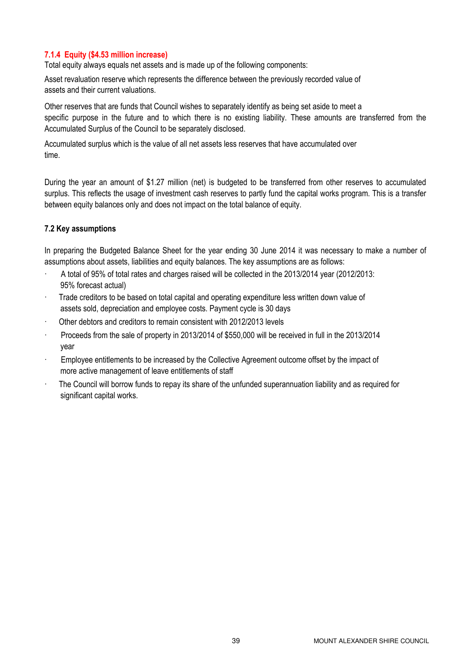#### 7.1.4 Equity (\$4.53 million increase)

Total equity always equals net assets and is made up of the following components:

Asset revaluation reserve which represents the difference between the previously recorded value of assets and their current valuations.

Other reserves that are funds that Council wishes to separately identify as being set aside to meet a specific purpose in the future and to which there is no existing liability. These amounts are transferred from the Accumulated Surplus of the Council to be separately disclosed.

Accumulated surplus which is the value of all net assets less reserves that have accumulated over time.

During the year an amount of \$1.27 million (net) is budgeted to be transferred from other reserves to accumulated surplus. This reflects the usage of investment cash reserves to partly fund the capital works program. This is a transfer between equity balances only and does not impact on the total balance of equity.

#### 7.2 Key assumptions

In preparing the Budgeted Balance Sheet for the year ending 30 June 2014 it was necessary to make a number of assumptions about assets, liabilities and equity balances. The key assumptions are as follows:

- · A total of 95% of total rates and charges raised will be collected in the 2013/2014 year (2012/2013: 95% forecast actual)
- · Trade creditors to be based on total capital and operating expenditure less written down value of assets sold, depreciation and employee costs. Payment cycle is 30 days
- · Other debtors and creditors to remain consistent with 2012/2013 levels
- · Proceeds from the sale of property in 2013/2014 of \$550,000 will be received in full in the 2013/2014 year
- Employee entitlements to be increased by the Collective Agreement outcome offset by the impact of more active management of leave entitlements of staff
- The Council will borrow funds to repay its share of the unfunded superannuation liability and as required for significant capital works.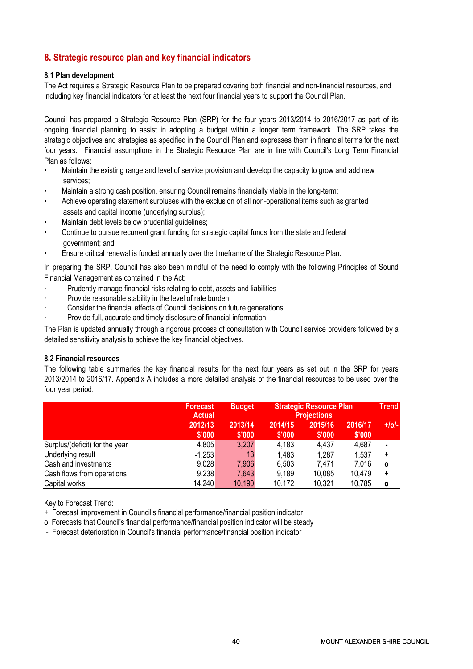#### 8. Strategic resource plan and key financial indicators

#### 8.1 Plan development

The Act requires a Strategic Resource Plan to be prepared covering both financial and non-financial resources, and including key financial indicators for at least the next four financial years to support the Council Plan.

Council has prepared a Strategic Resource Plan (SRP) for the four years 2013/2014 to 2016/2017 as part of its ongoing financial planning to assist in adopting a budget within a longer term framework. The SRP takes the strategic objectives and strategies as specified in the Council Plan and expresses them in financial terms for the next four years. Financial assumptions in the Strategic Resource Plan are in line with Council's Long Term Financial Plan as follows:

- Maintain the existing range and level of service provision and develop the capacity to grow and add new services;
- Maintain a strong cash position, ensuring Council remains financially viable in the long-term;
- Achieve operating statement surpluses with the exclusion of all non-operational items such as granted assets and capital income (underlying surplus);
- Maintain debt levels below prudential guidelines;
- Continue to pursue recurrent grant funding for strategic capital funds from the state and federal government; and
- Ensure critical renewal is funded annually over the timeframe of the Strategic Resource Plan.

In preparing the SRP, Council has also been mindful of the need to comply with the following Principles of Sound Financial Management as contained in the Act:

- Prudently manage financial risks relating to debt, assets and liabilities
- Provide reasonable stability in the level of rate burden
- Consider the financial effects of Council decisions on future generations
- Provide full, accurate and timely disclosure of financial information.

The Plan is updated annually through a rigorous process of consultation with Council service providers followed by a detailed sensitivity analysis to achieve the key financial objectives.

#### 8.2 Financial resources

The following table summaries the key financial results for the next four years as set out in the SRP for years 2013/2014 to 2016/17. Appendix A includes a more detailed analysis of the financial resources to be used over the four year period.

|                                | <b>Forecast</b><br><b>Actual</b> | <b>Budget</b>     | <b>Strategic Resource Plan</b><br><b>Projections</b> |                   |                   | <b>Trend</b>   |
|--------------------------------|----------------------------------|-------------------|------------------------------------------------------|-------------------|-------------------|----------------|
|                                | 2012/13<br>\$'000                | 2013/14<br>\$'000 | 2014/15<br>\$'000                                    | 2015/16<br>\$'000 | 2016/17<br>\$'000 | $+$ /o/-       |
| Surplus/(deficit) for the year | 4,805                            | 3,207             | 4,183                                                | 4,437             | 4,687             | $\blacksquare$ |
| Underlying result              | $-1,253$                         | 13                | 1,483                                                | 1,287             | 1,537             | ٠              |
| Cash and investments           | 9,028                            | 7,906             | 6,503                                                | 7,471             | 7,016             | $\mathbf{o}$   |
| Cash flows from operations     | 9,238                            | 7,643             | 9,189                                                | 10,085            | 10,479            | ٠              |
| Capital works                  | 14,240                           | 10,190            | 10,172                                               | 10,321            | 10,785            | $\mathbf o$    |

Key to Forecast Trend:

- + Forecast improvement in Council's financial performance/financial position indicator
- o Forecasts that Council's financial performance/financial position indicator will be steady
- Forecast deterioration in Council's financial performance/financial position indicator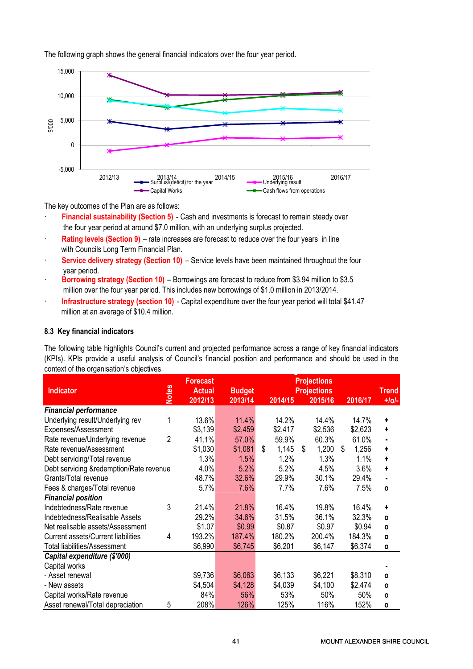The following graph shows the general financial indicators over the four year period.



The key outcomes of the Plan are as follows:

- Financial sustainability (Section 5) Cash and investments is forecast to remain steady over the four year period at around \$7.0 million, with an underlying surplus projected.
- **Rating levels (Section 9)** rate increases are forecast to reduce over the four years in line with Councils Long Term Financial Plan.
- · Service delivery strategy (Section 10) Service levels have been maintained throughout the four year period.
- Borrowing strategy (Section 10) Borrowings are forecast to reduce from \$3.94 million to \$3.5 million over the four year period. This includes new borrowings of \$1.0 million in 2013/2014.
- · Infrastructure strategy (section 10) Capital expenditure over the four year period will total \$41.47 million at an average of \$10.4 million.

#### 8.3 Key financial indicators

The following table highlights Council's current and projected performance across a range of key financial indicators <u>strategic Resource Planet Barnet Barnet Barnet Barnet Barnet Barnet Barnet Barnet Barnet Barnet Barnet Barnet</u> (KPIs). KPIs provide a useful analysis of Council's financial position and performance and should be used in the context of the organisation's objectives.

| <b>Indicator</b>                        |              | <b>Forecast</b><br><b>Actual</b> | <b>Budget</b> |             | <b>Projections</b><br><b>Projections</b> |             | <b>Trend</b> |
|-----------------------------------------|--------------|----------------------------------|---------------|-------------|------------------------------------------|-------------|--------------|
|                                         | <b>Notes</b> | 2012/13                          | 2013/14       | 2014/15     | 2015/16                                  | 2016/17     | $+ o -$      |
| <b>Financial performance</b>            |              |                                  |               |             |                                          |             |              |
| Underlying result/Underlying rev        | 1            | 13.6%                            | 11.4%         | 14.2%       | 14.4%                                    | 14.7%       | +            |
| Expenses/Assessment                     |              | \$3,139                          | \$2,459       | \$2,417     | \$2,536                                  | \$2,623     | +            |
| Rate revenue/Underlying revenue         | 2            | 41.1%                            | 57.0%         | 59.9%       | 60.3%                                    | 61.0%       |              |
| Rate revenue/Assessment                 |              | \$1,030                          | \$1,081       | \$<br>1,145 | \$<br>1,200                              | \$<br>1,256 | ÷            |
| Debt servicing/Total revenue            |              | 1.3%                             | 1.5%          | 1.2%        | 1.3%                                     | 1.1%        | ÷            |
| Debt servicing &redemption/Rate revenue |              | 4.0%                             | 5.2%          | 5.2%        | 4.5%                                     | 3.6%        | ÷            |
| Grants/Total revenue                    |              | 48.7%                            | 32.6%         | 29.9%       | 30.1%                                    | 29.4%       |              |
| Fees & charges/Total revenue            |              | 5.7%                             | 7.6%          | 7.7%        | 7.6%                                     | 7.5%        | $\mathbf{o}$ |
| <b>Financial position</b>               |              |                                  |               |             |                                          |             |              |
| Indebtedness/Rate revenue               | 3            | 21.4%                            | 21.8%         | 16.4%       | 19.8%                                    | 16.4%       | ÷            |
| Indebtedness/Realisable Assets          |              | 29.2%                            | 34.6%         | 31.5%       | 36.1%                                    | 32.3%       | $\mathbf{o}$ |
| Net realisable assets/Assessment        |              | \$1.07                           | \$0.99        | \$0.87      | \$0.97                                   | \$0.94      | $\mathbf{o}$ |
| Current assets/Current liabilities      | 4            | 193.2%                           | 187.4%        | 180.2%      | 200.4%                                   | 184.3%      | $\mathbf{o}$ |
| <b>Total liabilities/Assessment</b>     |              | \$6,990                          | \$6,745       | \$6,201     | \$6,147                                  | \$6,374     | $\mathbf{o}$ |
| Capital expenditure (\$'000)            |              |                                  |               |             |                                          |             |              |
| Capital works                           |              |                                  |               |             |                                          |             |              |
| - Asset renewal                         |              | \$9,736                          | \$6,063       | \$6,133     | \$6,221                                  | \$8,310     | $\mathbf{o}$ |
| - New assets                            |              | \$4,504                          | \$4,128       | \$4,039     | \$4,100                                  | \$2,474     | $\mathbf{o}$ |
| Capital works/Rate revenue              |              | 84%                              | 56%           | 53%         | 50%                                      | 50%         | $\mathbf{o}$ |
| Asset renewal/Total depreciation        | 5            | 208%                             | 126%          | 125%        | 116%                                     | 152%        | $\mathbf{o}$ |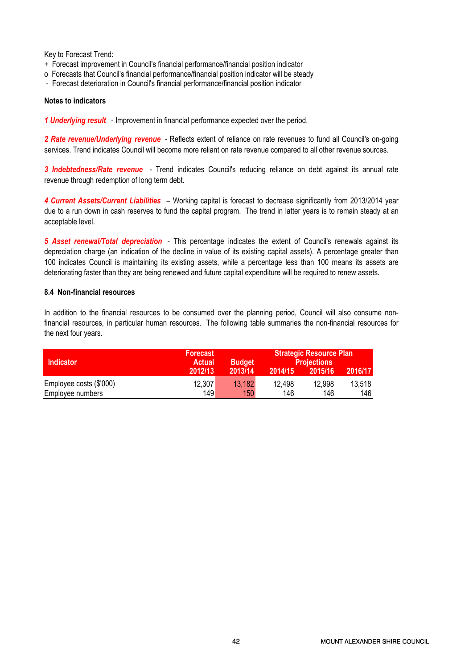Key to Forecast Trend:

- + Forecast improvement in Council's financial performance/financial position indicator
- o Forecasts that Council's financial performance/financial position indicator will be steady
- Forecast deterioration in Council's financial performance/financial position indicator

#### Notes to indicators

1 **Underlying result** - Improvement in financial performance expected over the period.

2 Rate revenue/Underlying revenue - Reflects extent of reliance on rate revenues to fund all Council's on-going services. Trend indicates Council will become more reliant on rate revenue compared to all other revenue sources.

3 Indebtedness/Rate revenue - Trend indicates Council's reducing reliance on debt against its annual rate revenue through redemption of long term debt.

4 Current Assets/Current Liabilities – Working capital is forecast to decrease significantly from 2013/2014 year due to a run down in cash reserves to fund the capital program. The trend in latter years is to remain steady at an acceptable level.

5 Asset renewal/Total depreciation - This percentage indicates the extent of Council's renewals against its depreciation charge (an indication of the decline in value of its existing capital assets). A percentage greater than 100 indicates Council is maintaining its existing assets, while a percentage less than 100 means its assets are deteriorating faster than they are being renewed and future capital expenditure will be required to renew assets.

#### 8.4 Non-financial resources

In addition to the financial resources to be consumed over the planning period, Council will also consume nonfinancial resources, in particular human resources. The following table summaries the non-financial resources for the next four years.

|                         | <b>Forecast</b> |               | <b>Strategic Resource Plan</b> |                    |         |  |
|-------------------------|-----------------|---------------|--------------------------------|--------------------|---------|--|
| <b>Indicator</b>        | <b>Actual</b>   | <b>Budget</b> |                                | <b>Projections</b> |         |  |
|                         | 2012/13         | 2013/14       | 2014/15                        | 2015/16            | 2016/17 |  |
| Employee costs (\$'000) | 12,307          | 13,182        | 12.498                         | 12,998             | 13,518  |  |
| Employee numbers        | 149             | 150           | 146                            | 146                | 146     |  |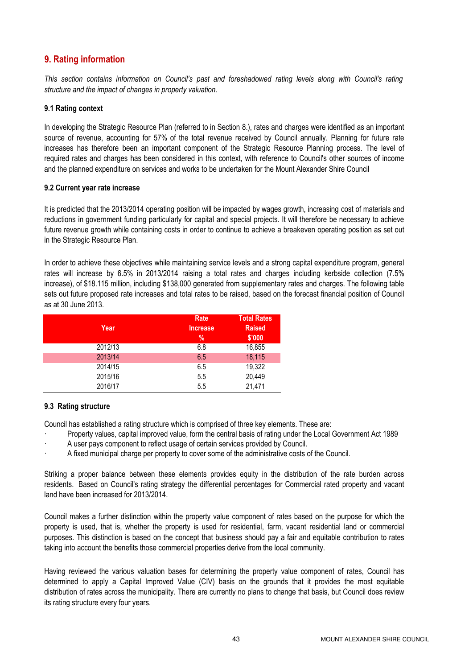### 9. Rating information

This section contains information on Council's past and foreshadowed rating levels along with Council's rating structure and the impact of changes in property valuation.

#### 9.1 Rating context

In developing the Strategic Resource Plan (referred to in Section 8.), rates and charges were identified as an important source of revenue, accounting for 57% of the total revenue received by Council annually. Planning for future rate increases has therefore been an important component of the Strategic Resource Planning process. The level of required rates and charges has been considered in this context, with reference to Council's other sources of income and the planned expenditure on services and works to be undertaken for the Mount Alexander Shire Council

#### 9.2 Current year rate increase

It is predicted that the 2013/2014 operating position will be impacted by wages growth, increasing cost of materials and reductions in government funding particularly for capital and special projects. It will therefore be necessary to achieve future revenue growth while containing costs in order to continue to achieve a breakeven operating position as set out in the Strategic Resource Plan.

In order to achieve these objectives while maintaining service levels and a strong capital expenditure program, general rates will increase by 6.5% in 2013/2014 raising a total rates and charges including kerbside collection (7.5% increase), of \$18.115 million, including \$138,000 generated from supplementary rates and charges. The following table sets out future proposed rate increases and total rates to be raised, based on the forecast financial position of Council as at 30 June 2013.

|         | Rate            | <b>Total Rates</b> |
|---------|-----------------|--------------------|
| Year    | <b>Increase</b> | <b>Raised</b>      |
|         | %               | \$'000             |
| 2012/13 | 6.8             | 16,855             |
| 2013/14 | 6.5             | 18,115             |
| 2014/15 | 6.5             | 19,322             |
| 2015/16 | 5.5             | 20,449             |
| 2016/17 | 5.5             | 21,471             |

#### 9.3 Rating structure

Council has established a rating structure which is comprised of three key elements. These are:

- · Property values, capital improved value, form the central basis of rating under the Local Government Act 1989
- A user pays component to reflect usage of certain services provided by Council.
- · A fixed municipal charge per property to cover some of the administrative costs of the Council.

Striking a proper balance between these elements provides equity in the distribution of the rate burden across residents. Based on Council's rating strategy the differential percentages for Commercial rated property and vacant land have been increased for 2013/2014.

Council makes a further distinction within the property value component of rates based on the purpose for which the property is used, that is, whether the property is used for residential, farm, vacant residential land or commercial purposes. This distinction is based on the concept that business should pay a fair and equitable contribution to rates taking into account the benefits those commercial properties derive from the local community.

Having reviewed the various valuation bases for determining the property value component of rates, Council has determined to apply a Capital Improved Value (CIV) basis on the grounds that it provides the most equitable distribution of rates across the municipality. There are currently no plans to change that basis, but Council does review its rating structure every four years.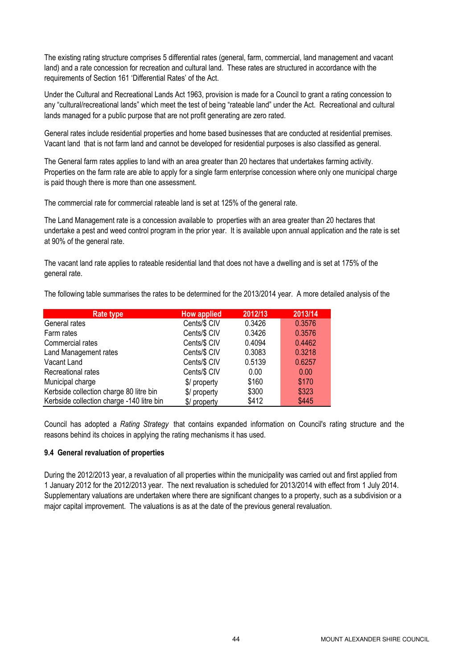The existing rating structure comprises 5 differential rates (general, farm, commercial, land management and vacant land) and a rate concession for recreation and cultural land. These rates are structured in accordance with the requirements of Section 161 'Differential Rates' of the Act.

Under the Cultural and Recreational Lands Act 1963, provision is made for a Council to grant a rating concession to any "cultural/recreational lands" which meet the test of being "rateable land" under the Act. Recreational and cultural lands managed for a public purpose that are not profit generating are zero rated.

General rates include residential properties and home based businesses that are conducted at residential premises. Vacant land that is not farm land and cannot be developed for residential purposes is also classified as general.

The General farm rates applies to land with an area greater than 20 hectares that undertakes farming activity. Properties on the farm rate are able to apply for a single farm enterprise concession where only one municipal charge is paid though there is more than one assessment.

The commercial rate for commercial rateable land is set at 125% of the general rate.

The Land Management rate is a concession available to properties with an area greater than 20 hectares that undertake a pest and weed control program in the prior year. It is available upon annual application and the rate is set at 90% of the general rate.

The vacant land rate applies to rateable residential land that does not have a dwelling and is set at 175% of the general rate.

The following table summarises the rates to be determined for the 2013/2014 year. A more detailed analysis of the

| <b>Rate type</b>                          | <b>How applied</b> | 2012/13 | 2013/14 |
|-------------------------------------------|--------------------|---------|---------|
| General rates                             | Cents/\$ CIV       | 0.3426  | 0.3576  |
| Farm rates                                | Cents/\$ CIV       | 0.3426  | 0.3576  |
| Commercial rates                          | Cents/\$ CIV       | 0.4094  | 0.4462  |
| Land Management rates                     | Cents/\$ CIV       | 0.3083  | 0.3218  |
| Vacant Land                               | Cents/\$ CIV       | 0.5139  | 0.6257  |
| Recreational rates                        | Cents/\$ CIV       | 0.00    | 0.00    |
| Municipal charge                          | \$/ property       | \$160   | \$170   |
| Kerbside collection charge 80 litre bin   | \$/ property       | \$300   | \$323   |
| Kerbside collection charge -140 litre bin | \$/ property       | \$412   | \$445   |

Council has adopted a Rating Strategy that contains expanded information on Council's rating structure and the reasons behind its choices in applying the rating mechanisms it has used.

#### 9.4 General revaluation of properties

During the 2012/2013 year, a revaluation of all properties within the municipality was carried out and first applied from 1 January 2012 for the 2012/2013 year. The next revaluation is scheduled for 2013/2014 with effect from 1 July 2014. Supplementary valuations are undertaken where there are significant changes to a property, such as a subdivision or a major capital improvement. The valuations is as at the date of the previous general revaluation.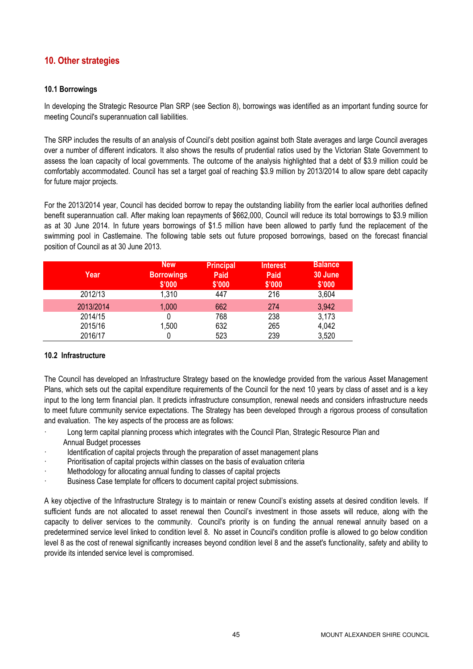#### 10. Other strategies

#### 10.1 Borrowings

In developing the Strategic Resource Plan SRP (see Section 8), borrowings was identified as an important funding source for meeting Council's superannuation call liabilities.

The SRP includes the results of an analysis of Council's debt position against both State averages and large Council averages over a number of different indicators. It also shows the results of prudential ratios used by the Victorian State Government to assess the loan capacity of local governments. The outcome of the analysis highlighted that a debt of \$3.9 million could be comfortably accommodated. Council has set a target goal of reaching \$3.9 million by 2013/2014 to allow spare debt capacity for future major projects.

For the 2013/2014 year, Council has decided borrow to repay the outstanding liability from the earlier local authorities defined benefit superannuation call. After making loan repayments of \$662,000, Council will reduce its total borrowings to \$3.9 million as at 30 June 2014. In future years borrowings of \$1.5 million have been allowed to partly fund the replacement of the swimming pool in Castlemaine. The following table sets out future proposed borrowings, based on the forecast financial position of Council as at 30 June 2013.

| Year      | <b>New</b><br><b>Borrowings</b><br>\$'000 | <b>Principal</b><br><b>Paid</b><br>\$'000 | <b>Interest</b><br><b>Paid</b><br>\$'000 | <b>Balance</b><br>30 June<br>\$'000 |
|-----------|-------------------------------------------|-------------------------------------------|------------------------------------------|-------------------------------------|
| 2012/13   | 1,310                                     | 447                                       | 216                                      | 3,604                               |
| 2013/2014 | 1,000                                     | 662                                       | 274                                      | 3,942                               |
| 2014/15   |                                           | 768                                       | 238                                      | 3,173                               |
| 2015/16   | 1,500                                     | 632                                       | 265                                      | 4,042                               |
| 2016/17   |                                           | 523                                       | 239                                      | 3,520                               |

#### 10.2 Infrastructure

The Council has developed an Infrastructure Strategy based on the knowledge provided from the various Asset Management Plans, which sets out the capital expenditure requirements of the Council for the next 10 years by class of asset and is a key input to the long term financial plan. It predicts infrastructure consumption, renewal needs and considers infrastructure needs to meet future community service expectations. The Strategy has been developed through a rigorous process of consultation and evaluation. The key aspects of the process are as follows:

- Long term capital planning process which integrates with the Council Plan, Strategic Resource Plan and Annual Budget processes
- Identification of capital projects through the preparation of asset management plans
- Prioritisation of capital projects within classes on the basis of evaluation criteria
- Methodology for allocating annual funding to classes of capital projects
- Business Case template for officers to document capital project submissions.

A key objective of the Infrastructure Strategy is to maintain or renew Council's existing assets at desired condition levels. If sufficient funds are not allocated to asset renewal then Council's investment in those assets will reduce, along with the capacity to deliver services to the community. Council's priority is on funding the annual renewal annuity based on a predetermined service level linked to condition level 8. No asset in Council's condition profile is allowed to go below condition level 8 as the cost of renewal significantly increases beyond condition level 8 and the asset's functionality, safety and ability to provide its intended service level is compromised.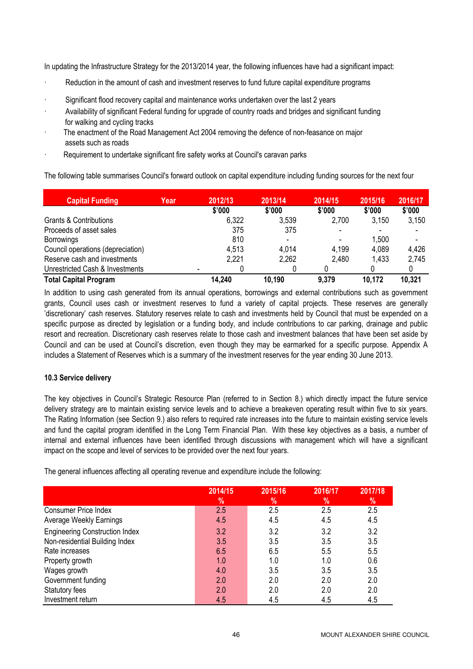In updating the Infrastructure Strategy for the 2013/2014 year, the following influences have had a significant impact:

- Reduction in the amount of cash and investment reserves to fund future capital expenditure programs
- Significant flood recovery capital and maintenance works undertaken over the last 2 years
- · Availability of significant Federal funding for upgrade of country roads and bridges and significant funding for walking and cycling tracks
- The enactment of the Road Management Act 2004 removing the defence of non-feasance on major assets such as roads
- Requirement to undertake significant fire safety works at Council's caravan parks

The following table summarises Council's forward outlook on capital expenditure including funding sources for the next four

| <b>Capital Funding</b>            | Year | 2012/13 | 2013/14 | 2014/15                  | 2015/16 | 2016/17 |
|-----------------------------------|------|---------|---------|--------------------------|---------|---------|
|                                   |      | \$'000  | \$'000  | \$'000                   | \$'000  | \$'000  |
| Grants & Contributions            |      | 6,322   | 3,539   | 2,700                    | 3,150   | 3,150   |
| Proceeds of asset sales           |      | 375     | 375     | $\overline{\phantom{0}}$ |         |         |
| Borrowings                        |      | 810     |         |                          | 1,500   |         |
| Council operations (depreciation) |      | 4,513   | 4,014   | 4,199                    | 4,089   | 4,426   |
| Reserve cash and investments      |      | 2,221   | 2,262   | 2,480                    | 1,433   | 2,745   |
| Unrestricted Cash & Investments   |      |         |         |                          |         |         |
| <b>Total Capital Program</b>      |      | 14,240  | 10,190  | 9,379                    | 10,172  | 10,321  |

In addition to using cash generated from its annual operations, borrowings and external contributions such as government grants, Council uses cash or investment reserves to fund a variety of capital projects. These reserves are generally 'discretionary' cash reserves. Statutory reserves relate to cash and investments held by Council that must be expended on a specific purpose as directed by legislation or a funding body, and include contributions to car parking, drainage and public resort and recreation. Discretionary cash reserves relate to those cash and investment balances that have been set aside by Council and can be used at Council's discretion, even though they may be earmarked for a specific purpose. Appendix A includes a Statement of Reserves which is a summary of the investment reserves for the year ending 30 June 2013.

#### 10.3 Service delivery

The key objectives in Council's Strategic Resource Plan (referred to in Section 8.) which directly impact the future service delivery strategy are to maintain existing service levels and to achieve a breakeven operating result within five to six years. The Rating Information (see Section 9.) also refers to required rate increases into the future to maintain existing service levels and fund the capital program identified in the Long Term Financial Plan. With these key objectives as a basis, a number of internal and external influences have been identified through discussions with management which will have a significant impact on the scope and level of services to be provided over the next four years.

The general influences affecting all operating revenue and expenditure include the following:

|                                       | 2014/15<br>% | 2015/16<br>% | 2016/17<br>$\frac{9}{6}$ | 2017/18<br>$\%$ |
|---------------------------------------|--------------|--------------|--------------------------|-----------------|
| <b>Consumer Price Index</b>           | 2.5          | 2.5          | 2.5                      | 2.5             |
| <b>Average Weekly Earnings</b>        | 4.5          | 4.5          | 4.5                      | 4.5             |
| <b>Engineering Construction Index</b> | 3.2          | 3.2          | 3.2                      | 3.2             |
| Non-residential Building Index        | 3.5          | 3.5          | 3.5                      | 3.5             |
| Rate increases                        | 6.5          | 6.5          | 5.5                      | 5.5             |
| Property growth                       | 1.0          | 1.0          | 1.0                      | 0.6             |
| Wages growth                          | 4.0          | 3.5          | 3.5                      | 3.5             |
| Government funding                    | 2.0          | 2.0          | 2.0                      | 2.0             |
| Statutory fees                        | 2.0          | 2.0          | 2.0                      | 2.0             |
| Investment return                     | 4.5          | 4.5          | 4.5                      | 4.5             |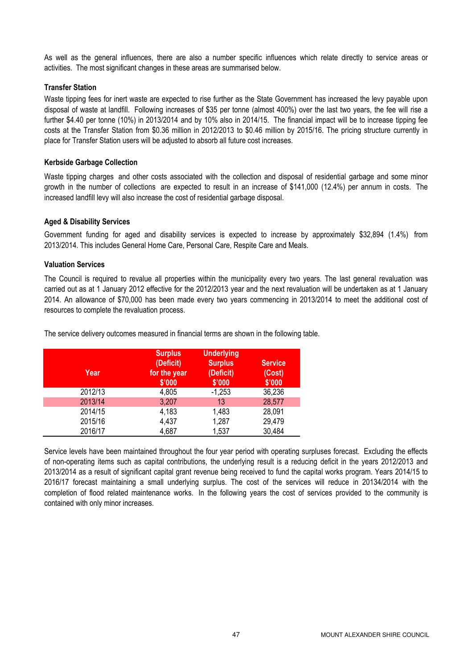As well as the general influences, there are also a number specific influences which relate directly to service areas or activities. The most significant changes in these areas are summarised below.

#### Transfer Station

Waste tipping fees for inert waste are expected to rise further as the State Government has increased the levy payable upon disposal of waste at landfill. Following increases of \$35 per tonne (almost 400%) over the last two years, the fee will rise a further \$4.40 per tonne (10%) in 2013/2014 and by 10% also in 2014/15. The financial impact will be to increase tipping fee costs at the Transfer Station from \$0.36 million in 2012/2013 to \$0.46 million by 2015/16. The pricing structure currently in place for Transfer Station users will be adjusted to absorb all future cost increases.

#### Kerbside Garbage Collection

Waste tipping charges and other costs associated with the collection and disposal of residential garbage and some minor growth in the number of collections are expected to result in an increase of \$141,000 (12.4%) per annum in costs. The increased landfill levy will also increase the cost of residential garbage disposal.

#### Aged & Disability Services

Government funding for aged and disability services is expected to increase by approximately \$32,894 (1.4%) from 2013/2014. This includes General Home Care, Personal Care, Respite Care and Meals.

#### Valuation Services

The Council is required to revalue all properties within the municipality every two years. The last general revaluation was carried out as at 1 January 2012 effective for the 2012/2013 year and the next revaluation will be undertaken as at 1 January 2014. An allowance of \$70,000 has been made every two years commencing in 2013/2014 to meet the additional cost of resources to complete the revaluation process.

The service delivery outcomes measured in financial terms are shown in the following table.

| Year    | <b>Surplus</b><br>(Deficit)<br>for the year<br>\$'000 | <b>Underlying</b><br><b>Surplus</b><br>(Deficit)<br>\$'000 | <b>Service</b><br>(Cost)<br>\$'000 |
|---------|-------------------------------------------------------|------------------------------------------------------------|------------------------------------|
| 2012/13 | 4,805                                                 | $-1,253$                                                   | 36,236                             |
| 2013/14 | 3,207                                                 | 13                                                         | 28,577                             |
| 2014/15 | 4,183                                                 | 1,483                                                      | 28,091                             |
| 2015/16 | 4,437                                                 | 1,287                                                      | 29,479                             |
| 2016/17 | 4,687                                                 | 1,537                                                      | 30,484                             |
|         |                                                       |                                                            |                                    |

Service levels have been maintained throughout the four year period with operating surpluses forecast. Excluding the effects of non-operating items such as capital contributions, the underlying result is a reducing deficit in the years 2012/2013 and 2013/2014 as a result of significant capital grant revenue being received to fund the capital works program. Years 2014/15 to 2016/17 forecast maintaining a small underlying surplus. The cost of the services will reduce in 20134/2014 with the completion of flood related maintenance works. In the following years the cost of services provided to the community is contained with only minor increases.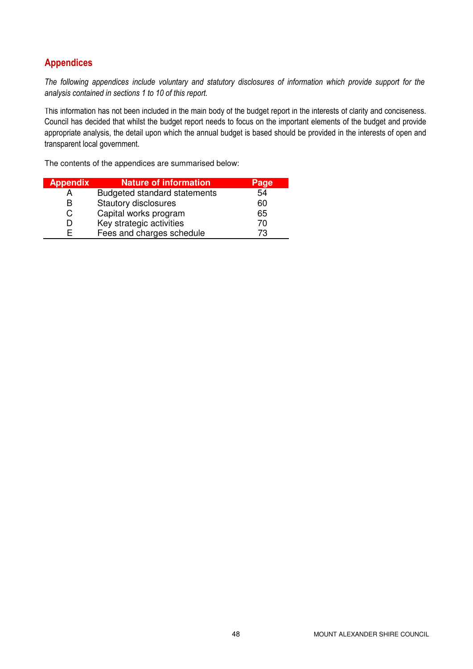### Appendices

The following appendices include voluntary and statutory disclosures of information which provide support for the analysis contained in sections 1 to 10 of this report.

This information has not been included in the main body of the budget report in the interests of clarity and conciseness. Council has decided that whilst the budget report needs to focus on the important elements of the budget and provide appropriate analysis, the detail upon which the annual budget is based should be provided in the interests of open and transparent local government.

The contents of the appendices are summarised below:

| <b>Appendix</b> | <b>Nature of information</b>        | Page |
|-----------------|-------------------------------------|------|
|                 | <b>Budgeted standard statements</b> | 54   |
| R               | <b>Stautory disclosures</b>         | 60   |
| C.              | Capital works program               | 65   |
|                 | Key strategic activities            | 70   |
|                 | Fees and charges schedule           | 73   |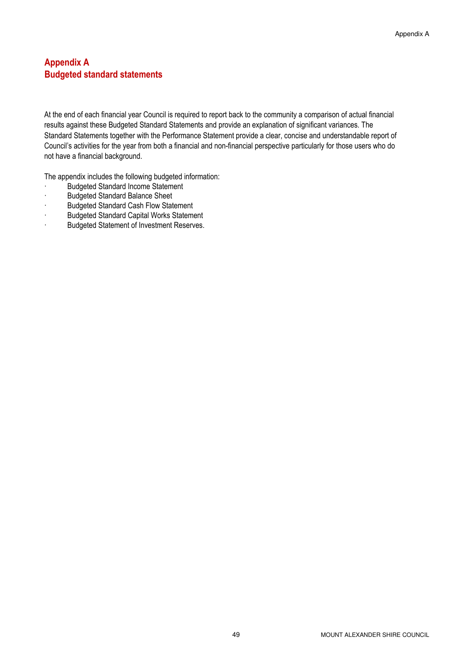#### Appendix A Budgeted standard statements

At the end of each financial year Council is required to report back to the community a comparison of actual financial results against these Budgeted Standard Statements and provide an explanation of significant variances. The Standard Statements together with the Performance Statement provide a clear, concise and understandable report of Council's activities for the year from both a financial and non-financial perspective particularly for those users who do not have a financial background.

The appendix includes the following budgeted information:

- Budgeted Standard Income Statement
- · Budgeted Standard Balance Sheet
- · Budgeted Standard Cash Flow Statement
- · Budgeted Standard Capital Works Statement
- · Budgeted Statement of Investment Reserves.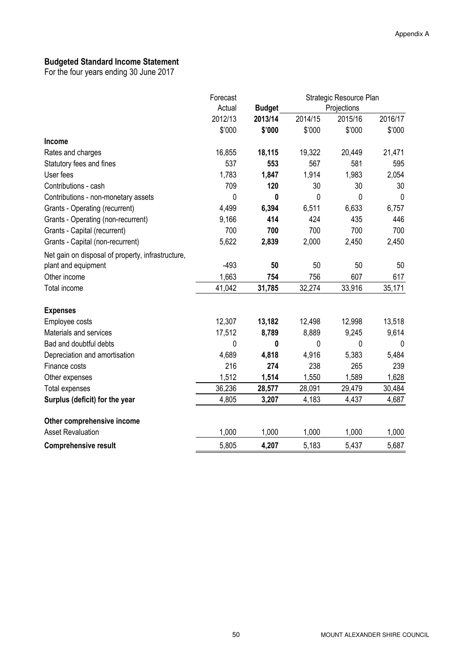#### Budgeted Standard Income Statement

|                                                   | Forecast | Strategic Resource Plan |         |             |         |
|---------------------------------------------------|----------|-------------------------|---------|-------------|---------|
|                                                   | Actual   | <b>Budget</b>           |         | Projections |         |
|                                                   | 2012/13  | 2013/14                 | 2014/15 | 2015/16     | 2016/17 |
|                                                   | \$'000   | \$'000                  | \$'000  | \$'000      | \$'000  |
| Income                                            |          |                         |         |             |         |
| Rates and charges                                 | 16,855   | 18,115                  | 19,322  | 20,449      | 21,471  |
| Statutory fees and fines                          | 537      | 553                     | 567     | 581         | 595     |
| User fees                                         | 1,783    | 1,847                   | 1,914   | 1,983       | 2,054   |
| Contributions - cash                              | 709      | 120                     | 30      | 30          | 30      |
| Contributions - non-monetary assets               | 0        | 0                       | 0       | 0           | 0       |
| Grants - Operating (recurrent)                    | 4,499    | 6,394                   | 6,511   | 6,633       | 6,757   |
| Grants - Operating (non-recurrent)                | 9,166    | 414                     | 424     | 435         | 446     |
| Grants - Capital (recurrent)                      | 700      | 700                     | 700     | 700         | 700     |
| Grants - Capital (non-recurrent)                  | 5,622    | 2,839                   | 2,000   | 2,450       | 2,450   |
| Net gain on disposal of property, infrastructure, |          |                         |         |             |         |
| plant and equipment                               | $-493$   | 50                      | 50      | 50          | 50      |
| Other income                                      | 1,663    | 754                     | 756     | 607         | 617     |
| Total income                                      | 41,042   | 31,785                  | 32,274  | 33,916      | 35,171  |
| <b>Expenses</b>                                   |          |                         |         |             |         |
| Employee costs                                    | 12,307   | 13,182                  | 12,498  | 12,998      | 13,518  |
| Materials and services                            | 17,512   | 8,789                   | 8,889   | 9,245       | 9,614   |
| Bad and doubtful debts                            | 0        | 0                       | 0       | 0           | 0       |
| Depreciation and amortisation                     | 4,689    | 4,818                   | 4,916   | 5,383       | 5,484   |
| Finance costs                                     | 216      | 274                     | 238     | 265         | 239     |
| Other expenses                                    | 1,512    | 1,514                   | 1,550   | 1,589       | 1,628   |
| <b>Total expenses</b>                             | 36,236   | 28,577                  | 28,091  | 29,479      | 30,484  |
| Surplus (deficit) for the year                    | 4,805    | 3,207                   | 4,183   | 4,437       | 4,687   |
| Other comprehensive income                        |          |                         |         |             |         |
| <b>Asset Revaluation</b>                          | 1,000    | 1,000                   | 1,000   | 1,000       | 1,000   |
| <b>Comprehensive result</b>                       | 5,805    | 4,207                   | 5,183   | 5,437       | 5,687   |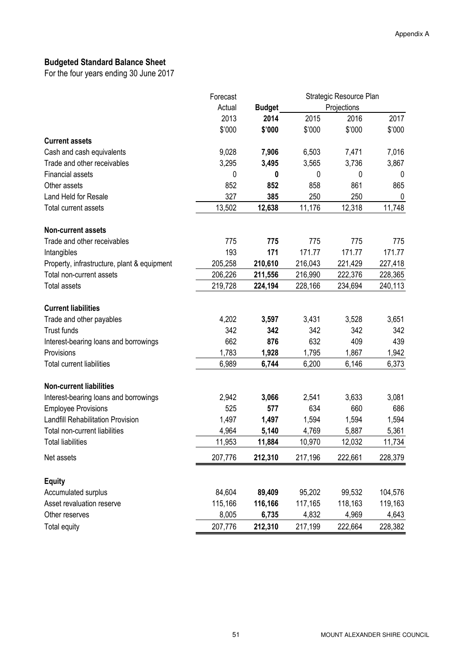## Budgeted Standard Balance Sheet

|                                             | Forecast | Strategic Resource Plan |         |             |         |
|---------------------------------------------|----------|-------------------------|---------|-------------|---------|
|                                             | Actual   | <b>Budget</b>           |         | Projections |         |
|                                             | 2013     | 2014                    | 2015    | 2016        | 2017    |
|                                             | \$'000   | \$'000                  | \$'000  | \$'000      | \$'000  |
| <b>Current assets</b>                       |          |                         |         |             |         |
| Cash and cash equivalents                   | 9,028    | 7,906                   | 6,503   | 7,471       | 7,016   |
| Trade and other receivables                 | 3,295    | 3,495                   | 3,565   | 3,736       | 3,867   |
| <b>Financial assets</b>                     | 0        | 0                       | 0       | 0           | 0       |
| Other assets                                | 852      | 852                     | 858     | 861         | 865     |
| Land Held for Resale                        | 327      | 385                     | 250     | 250         | 0       |
| <b>Total current assets</b>                 | 13,502   | 12,638                  | 11,176  | 12,318      | 11,748  |
| <b>Non-current assets</b>                   |          |                         |         |             |         |
| Trade and other receivables                 | 775      | 775                     | 775     | 775         | 775     |
| Intangibles                                 | 193      | 171                     | 171.77  | 171.77      | 171.77  |
| Property, infrastructure, plant & equipment | 205,258  | 210,610                 | 216,043 | 221,429     | 227,418 |
| Total non-current assets                    | 206,226  | 211,556                 | 216,990 | 222,376     | 228,365 |
| <b>Total assets</b>                         | 219,728  | 224,194                 | 228,166 | 234,694     | 240,113 |
| <b>Current liabilities</b>                  |          |                         |         |             |         |
| Trade and other payables                    | 4,202    | 3,597                   | 3,431   | 3,528       | 3,651   |
| Trust funds                                 | 342      | 342                     | 342     | 342         | 342     |
| Interest-bearing loans and borrowings       | 662      | 876                     | 632     | 409         | 439     |
| Provisions                                  | 1,783    | 1,928                   | 1,795   | 1,867       | 1,942   |
| <b>Total current liabilities</b>            | 6,989    | 6,744                   | 6,200   | 6,146       | 6,373   |
| <b>Non-current liabilities</b>              |          |                         |         |             |         |
| Interest-bearing loans and borrowings       | 2,942    | 3,066                   | 2,541   | 3,633       | 3,081   |
| <b>Employee Provisions</b>                  | 525      | 577                     | 634     | 660         | 686     |
| <b>Landfill Rehabilitation Provision</b>    | 1,497    | 1,497                   | 1,594   | 1,594       | 1,594   |
| Total non-current liabilities               | 4,964    | 5,140                   | 4,769   | 5,887       | 5,361   |
| <b>Total liabilities</b>                    | 11,953   | 11,884                  | 10,970  | 12,032      | 11,734  |
| Net assets                                  | 207,776  | 212,310                 | 217,196 | 222,661     | 228,379 |
|                                             |          |                         |         |             |         |
| <b>Equity</b><br>Accumulated surplus        | 84,604   | 89,409                  | 95,202  | 99,532      | 104,576 |
| Asset revaluation reserve                   | 115,166  | 116,166                 | 117,165 | 118,163     | 119,163 |
| Other reserves                              | 8,005    | 6,735                   | 4,832   | 4,969       | 4,643   |
|                                             |          |                         |         |             |         |
| Total equity                                | 207,776  | 212,310                 | 217,199 | 222,664     | 228,382 |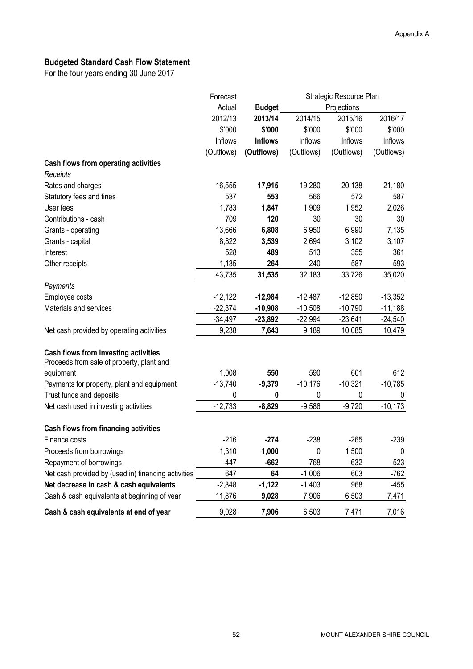## Budgeted Standard Cash Flow Statement

|                                                     | Forecast   | Strategic Resource Plan |            |             |            |
|-----------------------------------------------------|------------|-------------------------|------------|-------------|------------|
|                                                     | Actual     | <b>Budget</b>           |            | Projections |            |
|                                                     | 2012/13    | 2013/14                 | 2014/15    | 2015/16     | 2016/17    |
|                                                     | \$'000     | \$'000                  | \$'000     | \$'000      | \$'000     |
|                                                     | Inflows    | <b>Inflows</b>          | Inflows    | Inflows     | Inflows    |
|                                                     | (Outflows) | (Outflows)              | (Outflows) | (Outflows)  | (Outflows) |
| Cash flows from operating activities                |            |                         |            |             |            |
| Receipts                                            |            |                         |            |             |            |
| Rates and charges                                   | 16,555     | 17,915                  | 19,280     | 20,138      | 21,180     |
| Statutory fees and fines                            | 537        | 553                     | 566        | 572         | 587        |
| User fees                                           | 1,783      | 1,847                   | 1,909      | 1,952       | 2,026      |
| Contributions - cash                                | 709        | 120                     | 30         | 30          | 30         |
| Grants - operating                                  | 13,666     | 6,808                   | 6,950      | 6,990       | 7,135      |
| Grants - capital                                    | 8,822      | 3,539                   | 2,694      | 3,102       | 3,107      |
| Interest                                            | 528        | 489                     | 513        | 355         | 361        |
| Other receipts                                      | 1,135      | 264                     | 240        | 587         | 593        |
|                                                     | 43,735     | 31,535                  | 32,183     | 33,726      | 35,020     |
| Payments                                            |            |                         |            |             |            |
| Employee costs                                      | $-12,122$  | $-12,984$               | $-12,487$  | $-12,850$   | $-13,352$  |
| Materials and services                              | $-22,374$  | $-10,908$               | $-10,508$  | $-10,790$   | $-11,188$  |
|                                                     | $-34,497$  | $-23,892$               | $-22,994$  | $-23,641$   | $-24,540$  |
| Net cash provided by operating activities           | 9,238      | 7,643                   | 9,189      | 10,085      | 10,479     |
| Cash flows from investing activities                |            |                         |            |             |            |
| Proceeds from sale of property, plant and           |            |                         |            |             |            |
| equipment                                           | 1,008      | 550                     | 590        | 601         | 612        |
| Payments for property, plant and equipment          | $-13,740$  | $-9,379$                | $-10,176$  | $-10,321$   | $-10,785$  |
| Trust funds and deposits                            | 0          | 0                       | 0          | 0           | 0          |
| Net cash used in investing activities               | $-12,733$  | $-8,829$                | $-9,586$   | $-9,720$    | $-10,173$  |
| Cash flows from financing activities                |            |                         |            |             |            |
| Finance costs                                       | $-216$     | $-274$                  | $-238$     | $-265$      | $-239$     |
| Proceeds from borrowings                            | 1,310      | 1,000                   | 0          | 1,500       | 0          |
| Repayment of borrowings                             | $-447$     | $-662$                  | $-768$     | $-632$      | $-523$     |
| Net cash provided by (used in) financing activities | 647        | 64                      | $-1,006$   | 603         | $-762$     |
| Net decrease in cash & cash equivalents             | $-2,848$   | $-1,122$                | $-1,403$   | 968         | $-455$     |
| Cash & cash equivalents at beginning of year        | 11,876     | 9,028                   | 7,906      | 6,503       | 7,471      |
| Cash & cash equivalents at end of year              | 9,028      | 7,906                   | 6,503      | 7,471       | 7,016      |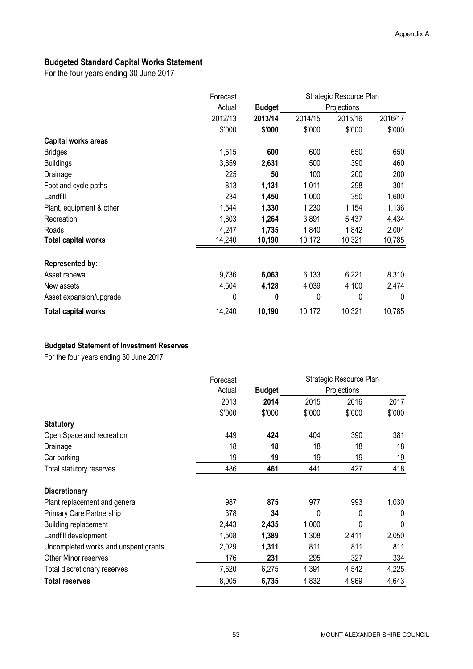### Budgeted Standard Capital Works Statement

For the four years ending 30 June 2017

|                            | Forecast | Strategic Resource Plan |         |             |         |
|----------------------------|----------|-------------------------|---------|-------------|---------|
|                            | Actual   | <b>Budget</b>           |         | Projections |         |
|                            | 2012/13  | 2013/14                 | 2014/15 | 2015/16     | 2016/17 |
|                            | \$'000   | \$'000                  | \$'000  | \$'000      | \$'000  |
| <b>Capital works areas</b> |          |                         |         |             |         |
| <b>Bridges</b>             | 1,515    | 600                     | 600     | 650         | 650     |
| <b>Buildings</b>           | 3,859    | 2,631                   | 500     | 390         | 460     |
| Drainage                   | 225      | 50                      | 100     | 200         | 200     |
| Foot and cycle paths       | 813      | 1,131                   | 1,011   | 298         | 301     |
| Landfill                   | 234      | 1,450                   | 1,000   | 350         | 1,600   |
| Plant, equipment & other   | 1,544    | 1,330                   | 1,230   | 1,154       | 1,136   |
| Recreation                 | 1,803    | 1,264                   | 3,891   | 5,437       | 4,434   |
| Roads                      | 4,247    | 1,735                   | 1,840   | 1,842       | 2,004   |
| <b>Total capital works</b> | 14,240   | 10,190                  | 10,172  | 10,321      | 10,785  |
| <b>Represented by:</b>     |          |                         |         |             |         |
| Asset renewal              | 9,736    | 6,063                   | 6,133   | 6,221       | 8,310   |
| New assets                 | 4,504    | 4,128                   | 4,039   | 4,100       | 2,474   |
| Asset expansion/upgrade    | 0        | 0                       | 0       | 0           | 0       |
| <b>Total capital works</b> | 14,240   | 10,190                  | 10,172  | 10,321      | 10,785  |

#### Budgeted Statement of Investment Reserves

|                                      | Forecast |               |        | Strategic Resource Plan |        |
|--------------------------------------|----------|---------------|--------|-------------------------|--------|
|                                      | Actual   | <b>Budget</b> |        | Projections             |        |
|                                      | 2013     | 2014          | 2015   | 2016                    | 2017   |
|                                      | \$'000   | \$'000        | \$'000 | \$'000                  | \$'000 |
| <b>Statutory</b>                     |          |               |        |                         |        |
| Open Space and recreation            | 449      | 424           | 404    | 390                     | 381    |
| Drainage                             | 18       | 18            | 18     | 18                      | 18     |
| Car parking                          | 19       | 19            | 19     | 19                      | 19     |
| Total statutory reserves             | 486      | 461           | 441    | 427                     | 418    |
| <b>Discretionary</b>                 |          |               |        |                         |        |
| Plant replacement and general        | 987      | 875           | 977    | 993                     | 1,030  |
| <b>Primary Care Partnership</b>      | 378      | 34            | 0      | 0                       | 0      |
| <b>Building replacement</b>          | 2,443    | 2,435         | 1,000  | 0                       | 0      |
| Landfill development                 | 1,508    | 1,389         | 1,308  | 2,411                   | 2,050  |
| Uncompleted works and unspent grants | 2,029    | 1,311         | 811    | 811                     | 811    |
| <b>Other Minor reserves</b>          | 176      | 231           | 295    | 327                     | 334    |
| Total discretionary reserves         | 7,520    | 6,275         | 4,391  | 4,542                   | 4,225  |
| <b>Total reserves</b>                | 8,005    | 6,735         | 4,832  | 4,969                   | 4,643  |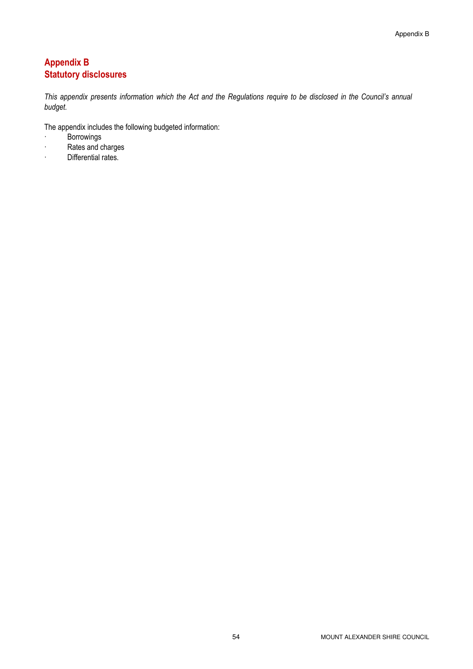### Appendix B Statutory disclosures

This appendix presents information which the Act and the Regulations require to be disclosed in the Council's annual budget.

The appendix includes the following budgeted information:

- · Borrowings
- · Rates and charges
- · Differential rates.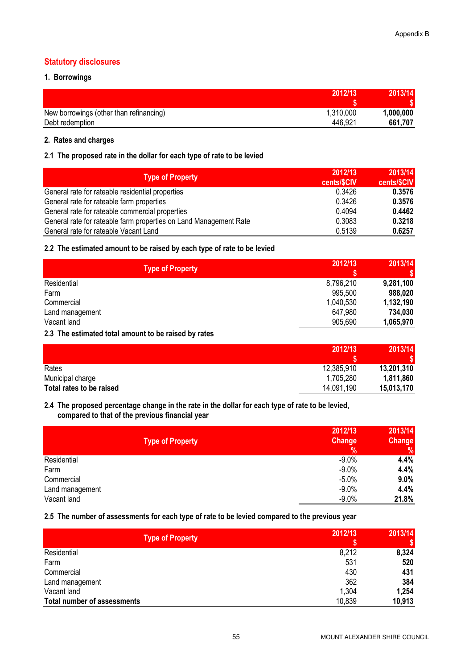#### Statutory disclosures

#### 1. Borrowings

| 2012/13                                              | 2013/14   |
|------------------------------------------------------|-----------|
|                                                      |           |
| 1,310,000<br>New borrowings (other than refinancing) | 1,000,000 |
| 446,921<br>Debt redemption                           | 661,707   |

#### 2. Rates and charges

#### 2.1 The proposed rate in the dollar for each type of rate to be levied

| 2012/13<br><b>Type of Property</b><br>cents/\$CIV                           | 2013/14<br>cents/\$CIV |
|-----------------------------------------------------------------------------|------------------------|
| 0.3426<br>General rate for rateable residential properties                  | 0.3576                 |
| 0.3426<br>General rate for rateable farm properties                         | 0.3576                 |
| 0.4094<br>General rate for rateable commercial properties                   | 0.4462                 |
| General rate for rateable farm properties on Land Management Rate<br>0.3083 | 0.3218                 |
| 0.5139<br>General rate for rateable Vacant Land                             | 0.6257                 |

#### 2.2 The estimated amount to be raised by each type of rate to be levied

| <b>Type of Property</b> | 2012/13   | 2013/14<br>\$ |
|-------------------------|-----------|---------------|
| Residential             | 8,796,210 | 9,281,100     |
| Farm                    | 995,500   | 988,020       |
| Commercial              | 1,040,530 | 1,132,190     |
| Land management         | 647,980   | 734,030       |
| Vacant land             | 905,690   | 1,065,970     |

#### 2.3 The estimated total amount to be raised by rates

|                          | 2012/13    | 2013/14    |
|--------------------------|------------|------------|
|                          |            |            |
| Rates                    | 12,385,910 | 13,201,310 |
| Municipal charge         | 1,705,280  | 1,811,860  |
| Total rates to be raised | 14,091,190 | 15,013,170 |

#### 2.4 The proposed percentage change in the rate in the dollar for each type of rate to be levied, compared to that of the previous financial year

|                 | <b>Type of Property</b> | 2012/13<br>Change<br>$\frac{9}{6}$ | 2013/14<br>Change<br>$\%$ |
|-----------------|-------------------------|------------------------------------|---------------------------|
| Residential     |                         | $-9.0%$                            | 4.4%                      |
| Farm            |                         | $-9.0%$                            | 4.4%                      |
| Commercial      |                         | $-5.0\%$                           | 9.0%                      |
| Land management |                         | $-9.0%$                            | 4.4%                      |
| Vacant land     |                         | $-9.0%$                            | 21.8%                     |

#### 2.5 The number of assessments for each type of rate to be levied compared to the previous year

| Type of Property                   | 2012/13 | 2013/14<br>\$ |
|------------------------------------|---------|---------------|
| Residential                        | 8,212   | 8,324         |
| Farm                               | 531     | 520           |
| Commercial                         | 430     | 431           |
| Land management                    | 362     | 384           |
| Vacant land                        | 1,304   | 1,254         |
| <b>Total number of assessments</b> | 10,839  | 10,913        |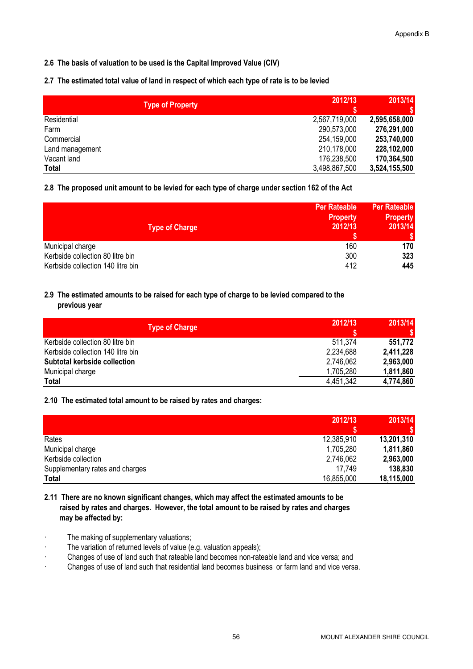#### 2.6 The basis of valuation to be used is the Capital Improved Value (CIV)

#### 2.7 The estimated total value of land in respect of which each type of rate is to be levied

| Type of Property | 2012/13<br>S  | 2013/14       |
|------------------|---------------|---------------|
| Residential      | 2,567,719,000 | 2,595,658,000 |
| Farm             | 290,573,000   | 276,291,000   |
| Commercial       | 254,159,000   | 253,740,000   |
| Land management  | 210,178,000   | 228,102,000   |
| Vacant land      | 176,238,500   | 170,364,500   |
| Total            | 3,498,867,500 | 3,524,155,500 |

#### 2.8 The proposed unit amount to be levied for each type of charge under section 162 of the Act

| <b>Type of Charge</b>             | <b>Per Rateable</b><br><b>Property</b><br>2012/13 | <b>Per Rateable</b><br><b>Property</b><br>2013/14<br>'S I |
|-----------------------------------|---------------------------------------------------|-----------------------------------------------------------|
| Municipal charge                  | 160                                               | 170                                                       |
| Kerbside collection 80 litre bin  | 300                                               | 323                                                       |
| Kerbside collection 140 litre bin | 412                                               | 445                                                       |

#### 2.9 The estimated amounts to be raised for each type of charge to be levied compared to the previous year

| <b>Type of Charge</b>             | 2012/13   | 2013/14   |
|-----------------------------------|-----------|-----------|
| Kerbside collection 80 litre bin  | 511.374   | 551,772   |
| Kerbside collection 140 litre bin | 2,234,688 | 2,411,228 |
| Subtotal kerbside collection      | 2,746,062 | 2,963,000 |
| Municipal charge                  | 1,705,280 | 1,811,860 |
| Total                             | 4,451,342 | 4,774,860 |

#### 2.10 The estimated total amount to be raised by rates and charges:

|                                 | 2012/13    | 2013/14    |
|---------------------------------|------------|------------|
| Rates                           | 12,385,910 | 13,201,310 |
| Municipal charge                | 1,705,280  | 1,811,860  |
| Kerbside collection             | 2,746,062  | 2,963,000  |
| Supplementary rates and charges | 17.749     | 138,830    |
| Total                           | 16,855,000 | 18,115,000 |

#### 2.11 There are no known significant changes, which may affect the estimated amounts to be raised by rates and charges. However, the total amount to be raised by rates and charges may be affected by:

- · The making of supplementary valuations;
- · The variation of returned levels of value (e.g. valuation appeals);
- · Changes of use of land such that rateable land becomes non-rateable land and vice versa; and
- · Changes of use of land such that residential land becomes business or farm land and vice versa.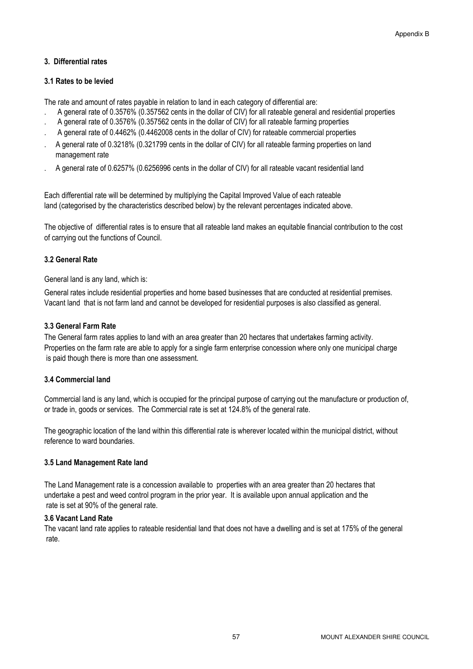#### 3. Differential rates

#### 3.1 Rates to be levied

The rate and amount of rates payable in relation to land in each category of differential are:

- . A general rate of 0.3576% (0.357562 cents in the dollar of CIV) for all rateable general and residential properties
- . A general rate of 0.3576% (0.357562 cents in the dollar of CIV) for all rateable farming properties
- . A general rate of 0.4462% (0.4462008 cents in the dollar of CIV) for rateable commercial properties
- . A general rate of 0.3218% (0.321799 cents in the dollar of CIV) for all rateable farming properties on land management rate
- . A general rate of 0.6257% (0.6256996 cents in the dollar of CIV) for all rateable vacant residential land

Each differential rate will be determined by multiplying the Capital Improved Value of each rateable land (categorised by the characteristics described below) by the relevant percentages indicated above.

The objective of differential rates is to ensure that all rateable land makes an equitable financial contribution to the cost of carrying out the functions of Council.

#### 3.2 General Rate

General land is any land, which is:

General rates include residential properties and home based businesses that are conducted at residential premises. Vacant land that is not farm land and cannot be developed for residential purposes is also classified as general.

#### 3.3 General Farm Rate

The General farm rates applies to land with an area greater than 20 hectares that undertakes farming activity. Properties on the farm rate are able to apply for a single farm enterprise concession where only one municipal charge is paid though there is more than one assessment.

#### 3.4 Commercial land

Commercial land is any land, which is occupied for the principal purpose of carrying out the manufacture or production of, or trade in, goods or services. The Commercial rate is set at 124.8% of the general rate.

The geographic location of the land within this differential rate is wherever located within the municipal district, without reference to ward boundaries.

#### 3.5 Land Management Rate land

The Land Management rate is a concession available to properties with an area greater than 20 hectares that undertake a pest and weed control program in the prior year. It is available upon annual application and the rate is set at 90% of the general rate.

#### 3.6 Vacant Land Rate

The vacant land rate applies to rateable residential land that does not have a dwelling and is set at 175% of the general rate.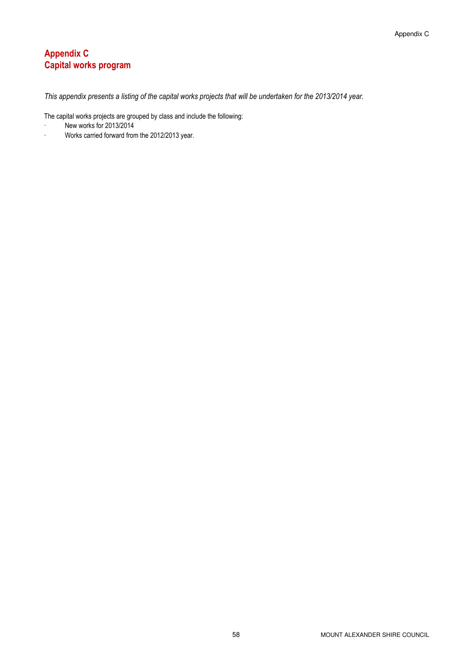### Appendix C Capital works program

This appendix presents a listing of the capital works projects that will be undertaken for the 2013/2014 year.

The capital works projects are grouped by class and include the following:

- · New works for 2013/2014
- · Works carried forward from the 2012/2013 year.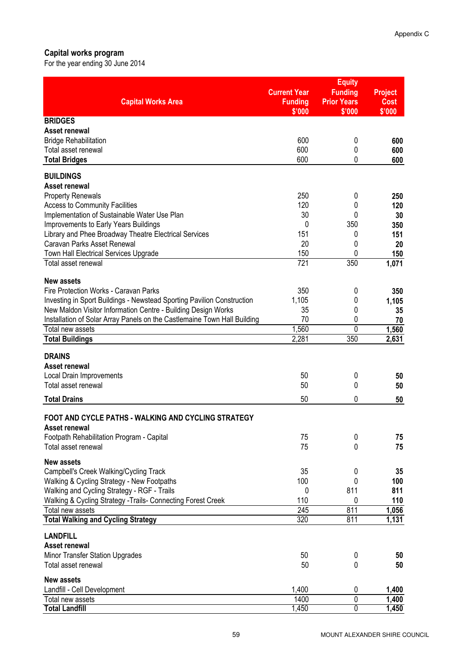#### Capital works program

For the year ending 30 June 2014

|                                                                                              | <b>Current Year</b>      | <b>Equity</b><br><b>Funding</b> | <b>Project</b> |
|----------------------------------------------------------------------------------------------|--------------------------|---------------------------------|----------------|
| <b>Capital Works Area</b>                                                                    | <b>Funding</b><br>\$'000 | <b>Prior Years</b><br>\$'000    | Cost<br>\$'000 |
| <b>BRIDGES</b>                                                                               |                          |                                 |                |
| Asset renewal                                                                                |                          |                                 |                |
| <b>Bridge Rehabilitation</b>                                                                 | 600                      | 0                               | 600            |
| Total asset renewal                                                                          | 600                      | 0                               | 600            |
| <b>Total Bridges</b>                                                                         | 600                      | 0                               | 600            |
| <b>BUILDINGS</b>                                                                             |                          |                                 |                |
| Asset renewal                                                                                |                          |                                 |                |
| <b>Property Renewals</b>                                                                     | 250                      | 0                               | 250            |
| <b>Access to Community Facilities</b>                                                        | 120                      | 0                               | 120            |
| Implementation of Sustainable Water Use Plan                                                 | 30                       | 0                               | 30             |
| Improvements to Early Years Buildings                                                        | 0                        | 350                             | 350            |
| Library and Phee Broadway Theatre Electrical Services<br>Caravan Parks Asset Renewal         | 151<br>20                | 0<br>0                          | 151            |
| <b>Town Hall Electrical Services Upgrade</b>                                                 | 150                      | 0                               | 20<br>150      |
| Total asset renewal                                                                          | 721                      | 350                             | 1,071          |
|                                                                                              |                          |                                 |                |
| <b>New assets</b>                                                                            |                          |                                 |                |
| Fire Protection Works - Caravan Parks                                                        | 350                      | 0                               | 350            |
| Investing in Sport Buildings - Newstead Sporting Pavilion Construction                       | 1,105                    | 0                               | 1,105          |
| New Maldon Visitor Information Centre - Building Design Works                                | 35                       | 0                               | 35             |
| Installation of Solar Array Panels on the Castlemaine Town Hall Building<br>Total new assets | 70<br>1,560              | 0<br>0                          | 70             |
| <b>Total Buildings</b>                                                                       | 2,281                    | 350                             | 1,560<br>2,631 |
|                                                                                              |                          |                                 |                |
| <b>DRAINS</b>                                                                                |                          |                                 |                |
| Asset renewal                                                                                |                          |                                 |                |
| <b>Local Drain Improvements</b>                                                              | 50                       | 0                               | 50             |
| Total asset renewal                                                                          | 50                       | 0                               | 50             |
| <b>Total Drains</b>                                                                          | 50                       | 0                               | 50             |
|                                                                                              |                          |                                 |                |
| FOOT AND CYCLE PATHS - WALKING AND CYCLING STRATEGY<br>Asset renewal                         |                          |                                 |                |
| Footpath Rehabilitation Program - Capital                                                    | 75                       | 0                               | 75             |
| Total asset renewal                                                                          | 75                       | 0                               | 75             |
|                                                                                              |                          |                                 |                |
| <b>New assets</b>                                                                            |                          |                                 |                |
| Campbell's Creek Walking/Cycling Track                                                       | 35                       | 0                               | 35             |
| Walking & Cycling Strategy - New Footpaths                                                   | 100                      | 0<br>811                        | 100<br>811     |
| Walking and Cycling Strategy - RGF - Trails                                                  | 0<br>110                 | 0                               |                |
| Walking & Cycling Strategy - Trails- Connecting Forest Creek<br>Total new assets             | 245                      | 811                             | 110<br>1,056   |
| <b>Total Walking and Cycling Strategy</b>                                                    | 320                      | 811                             | 1,131          |
|                                                                                              |                          |                                 |                |
| <b>LANDFILL</b>                                                                              |                          |                                 |                |
| <b>Asset renewal</b>                                                                         |                          |                                 |                |
| <b>Minor Transfer Station Upgrades</b>                                                       | 50                       | 0                               | 50             |
| Total asset renewal                                                                          | 50                       | 0                               | 50             |
| <b>New assets</b>                                                                            |                          |                                 |                |
| Landfill - Cell Development                                                                  | 1,400                    | 0                               | 1,400          |
| Total new assets                                                                             | 1400                     | $\mathbf 0$                     | 1,400          |
| <b>Total Landfill</b>                                                                        | 1,450                    | 0                               | 1,450          |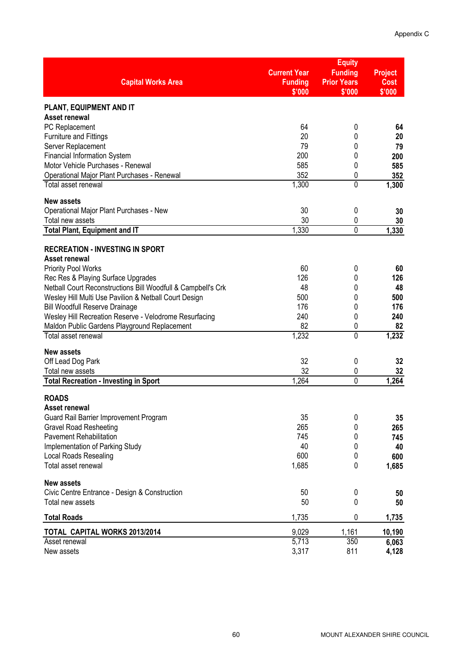|                                                                                                        |                          | <b>Equity</b>                |                       |
|--------------------------------------------------------------------------------------------------------|--------------------------|------------------------------|-----------------------|
|                                                                                                        | <b>Current Year</b>      | <b>Funding</b>               | <b>Project</b>        |
| <b>Capital Works Area</b>                                                                              | <b>Funding</b><br>\$'000 | <b>Prior Years</b><br>\$'000 | <b>Cost</b><br>\$'000 |
| PLANT, EQUIPMENT AND IT                                                                                |                          |                              |                       |
| <b>Asset renewal</b>                                                                                   |                          |                              |                       |
| PC Replacement                                                                                         | 64                       | 0                            | 64                    |
| <b>Furniture and Fittings</b>                                                                          | 20<br>79                 | 0                            | 20                    |
| Server Replacement<br><b>Financial Information System</b>                                              | 200                      | 0<br>0                       | 79<br>200             |
| Motor Vehicle Purchases - Renewal                                                                      | 585                      | 0                            | 585                   |
| Operational Major Plant Purchases - Renewal                                                            | 352                      | 0                            | 352                   |
| Total asset renewal                                                                                    | 1,300                    | $\overline{0}$               | 1,300                 |
| <b>New assets</b>                                                                                      |                          |                              |                       |
| Operational Major Plant Purchases - New                                                                | 30<br>30                 | 0                            | 30                    |
| Total new assets<br><b>Total Plant, Equipment and IT</b>                                               | 1,330                    | 0<br>0                       | 30<br>1,330           |
|                                                                                                        |                          |                              |                       |
| <b>RECREATION - INVESTING IN SPORT</b>                                                                 |                          |                              |                       |
| Asset renewal<br><b>Priority Pool Works</b>                                                            | 60                       | 0                            | 60                    |
| Rec Res & Playing Surface Upgrades                                                                     | 126                      | 0                            | 126                   |
| Netball Court Reconstructions Bill Woodfull & Campbell's Crk                                           | 48                       | 0                            | 48                    |
| Wesley Hill Multi Use Pavilion & Netball Court Design                                                  | 500                      | 0                            | 500                   |
| <b>Bill Woodfull Reserve Drainage</b>                                                                  | 176                      | 0                            | 176                   |
| Wesley Hill Recreation Reserve - Velodrome Resurfacing<br>Maldon Public Gardens Playground Replacement | 240<br>82                | 0<br>0                       | 240<br>82             |
| Total asset renewal                                                                                    | 1,232                    | $\overline{0}$               | 1,232                 |
| <b>New assets</b>                                                                                      |                          |                              |                       |
| Off Lead Dog Park                                                                                      | 32                       | 0                            | 32                    |
| Total new assets                                                                                       | 32                       | 0                            | 32                    |
| <b>Total Recreation - Investing in Sport</b>                                                           | 1,264                    | 0                            | 1,264                 |
| <b>ROADS</b>                                                                                           |                          |                              |                       |
| Asset renewal                                                                                          |                          |                              |                       |
| Guard Rail Barrier Improvement Program                                                                 | 35                       | 0                            | 35                    |
| <b>Gravel Road Resheeting</b><br><b>Pavement Rehabilitation</b>                                        | 265                      | 0                            | 265                   |
| Implementation of Parking Study                                                                        | 745<br>40                | 0<br>0                       | 745<br>40             |
| <b>Local Roads Resealing</b>                                                                           | 600                      | 0                            | 600                   |
| Total asset renewal                                                                                    | 1,685                    | 0                            | 1,685                 |
| <b>New assets</b>                                                                                      |                          |                              |                       |
| Civic Centre Entrance - Design & Construction                                                          | 50                       | 0                            | 50                    |
| Total new assets                                                                                       | 50                       | 0                            | 50                    |
| <b>Total Roads</b>                                                                                     | 1,735                    | 0                            | 1,735                 |
| <b>TOTAL CAPITAL WORKS 2013/2014</b>                                                                   | 9,029                    | 1,161                        | 10,190                |
| Asset renewal                                                                                          | 5,713                    | 350                          | 6,063                 |
| New assets                                                                                             | 3,317                    | 811                          | 4,128                 |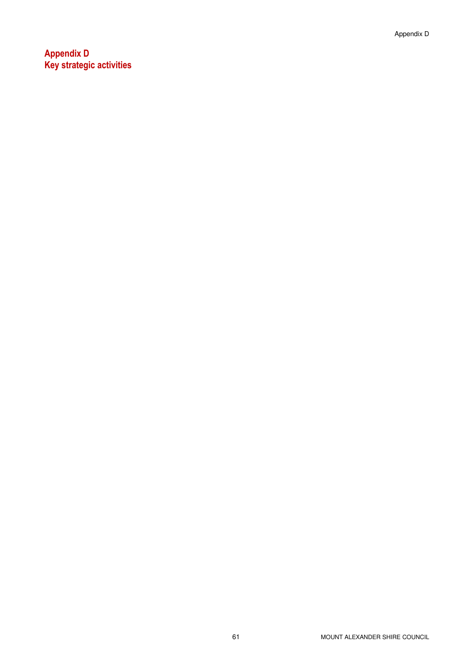Appendix D Key strategic activities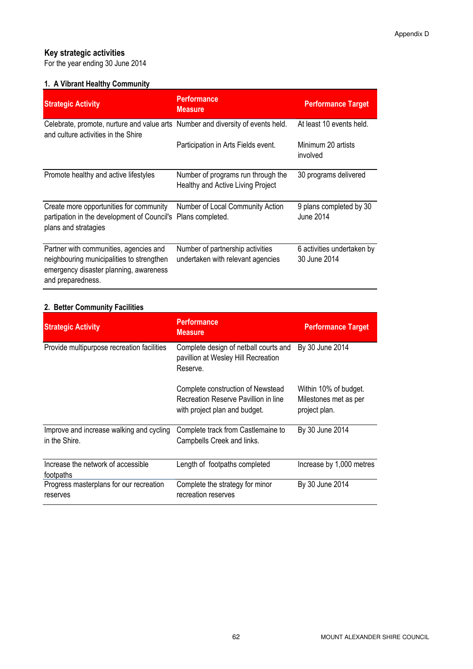## Key strategic activities

For the year ending 30 June 2014

#### 1. A Vibrant Healthy Community

| <b>Strategic Activity</b>                                                                                                                          | <b>Performance</b><br><b>Measure</b>                                    | <b>Performance Target</b>                  |
|----------------------------------------------------------------------------------------------------------------------------------------------------|-------------------------------------------------------------------------|--------------------------------------------|
| Celebrate, promote, nurture and value arts Number and diversity of events held.<br>and culture activities in the Shire                             |                                                                         | At least 10 events held.                   |
|                                                                                                                                                    | Participation in Arts Fields event.                                     | Minimum 20 artists<br>involved             |
| Promote healthy and active lifestyles                                                                                                              | Number of programs run through the<br>Healthy and Active Living Project | 30 programs delivered                      |
| Create more opportunities for community<br>partipation in the development of Council's Plans completed.<br>plans and stratagies                    | Number of Local Community Action                                        | 9 plans completed by 30<br>June 2014       |
| Partner with communities, agencies and<br>neighbouring municipalities to strengthen<br>emergency disaster planning, awareness<br>and preparedness. | Number of partnership activities<br>undertaken with relevant agencies   | 6 activities undertaken by<br>30 June 2014 |

#### 2. Better Community Facilities

| <b>Strategic Activity</b>                                 | <b>Performance</b><br><b>Measure</b>                                                                       | <b>Performance Target</b>                                       |
|-----------------------------------------------------------|------------------------------------------------------------------------------------------------------------|-----------------------------------------------------------------|
| Provide multipurpose recreation facilities                | Complete design of netball courts and<br>pavillion at Wesley Hill Recreation<br>Reserve.                   | By 30 June 2014                                                 |
|                                                           | Complete construction of Newstead<br>Recreation Reserve Pavillion in line<br>with project plan and budget. | Within 10% of budget.<br>Milestones met as per<br>project plan. |
| Improve and increase walking and cycling<br>in the Shire. | Complete track from Castlemaine to<br>Campbells Creek and links.                                           | By 30 June 2014                                                 |
| Increase the network of accessible<br>footpaths           | Length of footpaths completed                                                                              | Increase by 1,000 metres                                        |
| Progress masterplans for our recreation<br>reserves       | Complete the strategy for minor<br>recreation reserves                                                     | By 30 June 2014                                                 |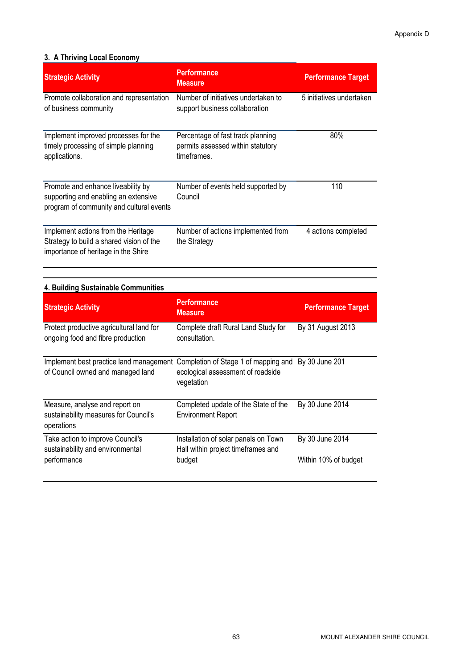#### 3. A Thriving Local Economy

| <b>Strategic Activity</b>                                                                                              | <b>Performance</b><br><b>Measure</b>                                                  | <b>Performance Target</b> |
|------------------------------------------------------------------------------------------------------------------------|---------------------------------------------------------------------------------------|---------------------------|
| Promote collaboration and representation<br>of business community                                                      | Number of initiatives undertaken to<br>support business collaboration                 | 5 initiatives undertaken  |
| Implement improved processes for the<br>timely processing of simple planning<br>applications.                          | Percentage of fast track planning<br>permits assessed within statutory<br>timeframes. | 80%                       |
| Promote and enhance liveability by<br>supporting and enabling an extensive<br>program of community and cultural events | Number of events held supported by<br>Council                                         | 110                       |
| Implement actions from the Heritage<br>Strategy to build a shared vision of the<br>importance of heritage in the Shire | Number of actions implemented from<br>the Strategy                                    | 4 actions completed       |

#### 4. Building Sustainable Communities

| <b>Strategic Activity</b>                                                             | <b>Performance</b><br><b>Measure</b>                                                                   | <b>Performance Target</b>               |
|---------------------------------------------------------------------------------------|--------------------------------------------------------------------------------------------------------|-----------------------------------------|
| Protect productive agricultural land for<br>ongoing food and fibre production         | Complete draft Rural Land Study for<br>consultation.                                                   | By 31 August 2013                       |
| Implement best practice land management<br>of Council owned and managed land          | Completion of Stage 1 of mapping and By 30 June 201<br>ecological assessment of roadside<br>vegetation |                                         |
| Measure, analyse and report on<br>sustainability measures for Council's<br>operations | Completed update of the State of the<br><b>Environment Report</b>                                      | By 30 June 2014                         |
| Take action to improve Council's<br>sustainability and environmental<br>performance   | Installation of solar panels on Town<br>Hall within project timeframes and<br>budget                   | By 30 June 2014<br>Within 10% of budget |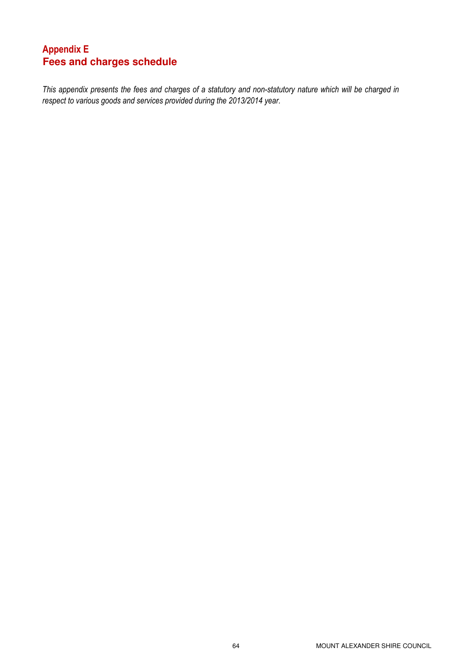### Appendix E **Fees and charges schedule**

This appendix presents the fees and charges of a statutory and non-statutory nature which will be charged in respect to various goods and services provided during the 2013/2014 year.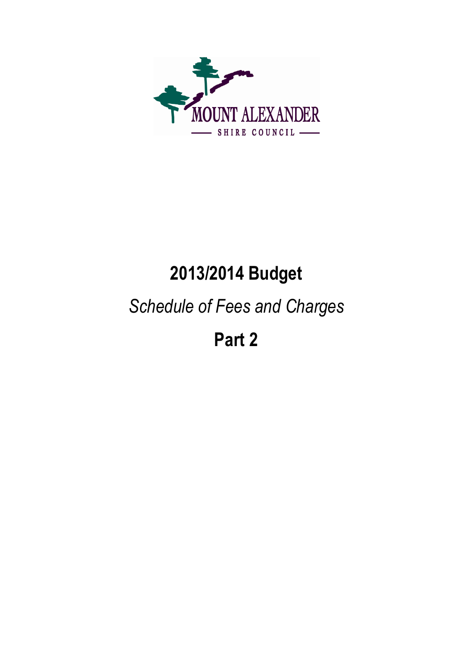

# 2013/2014 Budget

# Schedule of Fees and Charges

Part 2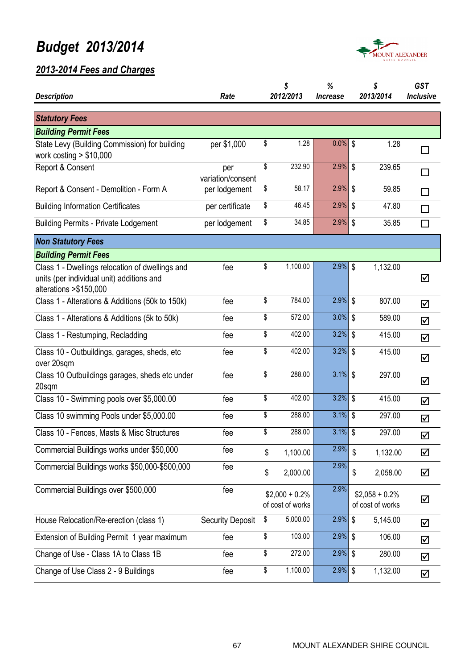

| <b>Description</b>                                                                                                      | Rate                     | \$<br>2012/2013                      | %<br><b>Increase</b> | \$<br>2013/2014                      | <b>GST</b><br>Inclusive |
|-------------------------------------------------------------------------------------------------------------------------|--------------------------|--------------------------------------|----------------------|--------------------------------------|-------------------------|
|                                                                                                                         |                          |                                      |                      |                                      |                         |
| <b>Statutory Fees</b>                                                                                                   |                          |                                      |                      |                                      |                         |
| <b>Building Permit Fees</b>                                                                                             |                          |                                      |                      |                                      |                         |
| State Levy (Building Commission) for building<br>work costing $> $10,000$                                               | per \$1,000              | \$<br>1.28                           | $0.0\%$ \$           | 1.28                                 | □                       |
| Report & Consent                                                                                                        | per<br>variation/consent | \$<br>232.90                         | 2.9%                 | \$<br>239.65                         | П                       |
| Report & Consent - Demolition - Form A                                                                                  | per lodgement            | \$<br>58.17                          | $2.9\%$ \$           | 59.85                                |                         |
| <b>Building Information Certificates</b>                                                                                | per certificate          | \$<br>46.45                          | $2.9\%$ \$           | 47.80                                | П                       |
| <b>Building Permits - Private Lodgement</b>                                                                             | per lodgement            | \$<br>34.85                          | $2.9\%$ \$           | 35.85                                | $\Box$                  |
| <b>Non Statutory Fees</b>                                                                                               |                          |                                      |                      |                                      |                         |
| <b>Building Permit Fees</b>                                                                                             |                          |                                      |                      |                                      |                         |
| Class 1 - Dwellings relocation of dwellings and<br>units (per individual unit) additions and<br>alterations > \$150,000 | fee                      | \$<br>1,100.00                       | $2.9\%$ \$           | 1,132.00                             | ☑                       |
| Class 1 - Alterations & Additions (50k to 150k)                                                                         | fee                      | \$<br>784.00                         | $2.9\%$ \$           | 807.00                               | ☑                       |
| Class 1 - Alterations & Additions (5k to 50k)                                                                           | fee                      | \$<br>572.00                         | $3.0\%$ \$           | 589.00                               | ☑                       |
| Class 1 - Restumping, Recladding                                                                                        | fee                      | \$<br>402.00                         | $3.2\%$ \$           | 415.00                               | ☑                       |
| Class 10 - Outbuildings, garages, sheds, etc<br>over 20sqm                                                              | fee                      | \$<br>402.00                         | $3.2\%$ \$           | 415.00                               | ☑                       |
| Class 10 Outbuildings garages, sheds etc under<br>20sqm                                                                 | fee                      | \$<br>288.00                         | $3.1\%$ \$           | 297.00                               | ☑                       |
| Class 10 - Swimming pools over \$5,000.00                                                                               | fee                      | \$<br>402.00                         | $3.2\%$ \$           | 415.00                               | ☑                       |
| Class 10 swimming Pools under \$5,000.00                                                                                | fee                      | \$<br>288.00                         | $3.1\%$ \$           | 297.00                               | ☑                       |
| Class 10 - Fences, Masts & Misc Structures                                                                              | fee                      | \$<br>288.00                         | $3.1\%$ \$           | 297.00                               | ☑                       |
| Commercial Buildings works under \$50,000                                                                               | fee                      | \$<br>1,100.00                       | 2.9%                 | \$<br>1,132.00                       | ☑                       |
| Commercial Buildings works \$50,000-\$500,000                                                                           | fee                      | \$<br>2,000.00                       | 2.9%                 | \$<br>2,058.00                       | ☑                       |
| Commercial Buildings over \$500,000                                                                                     | fee                      | $$2,000 + 0.2\%$<br>of cost of works | 2.9%                 | $$2,058 + 0.2\%$<br>of cost of works | ☑                       |
| House Relocation/Re-erection (class 1)                                                                                  | <b>Security Deposit</b>  | \$<br>5,000.00                       | $2.9\%$ \$           | 5,145.00                             | ☑                       |
| Extension of Building Permit 1 year maximum                                                                             | fee                      | \$<br>103.00                         | $2.9\%$ \$           | 106.00                               | ☑                       |
| Change of Use - Class 1A to Class 1B                                                                                    | fee                      | \$<br>272.00                         | $2.9\%$ \$           | 280.00                               | ☑                       |
| Change of Use Class 2 - 9 Buildings                                                                                     | fee                      | \$<br>1,100.00                       | $2.9\%$ \$           | 1,132.00                             | ☑                       |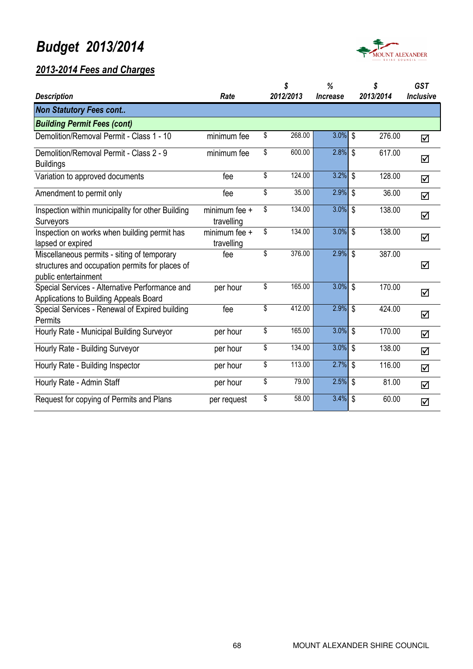



|                                                                                                                        |                             | \$           | %                             | \$                      | <b>GST</b>       |
|------------------------------------------------------------------------------------------------------------------------|-----------------------------|--------------|-------------------------------|-------------------------|------------------|
| <b>Description</b>                                                                                                     | Rate                        | 2012/2013    | <i><u><b>Increase</b></u></i> | 2013/2014               | <b>Inclusive</b> |
| <b>Non Statutory Fees cont</b>                                                                                         |                             |              |                               |                         |                  |
| <b>Building Permit Fees (cont)</b>                                                                                     |                             |              |                               |                         |                  |
| Demolition/Removal Permit - Class 1 - 10                                                                               | minimum fee                 | \$<br>268.00 | $3.0\%$ \$                    | 276.00                  | ☑                |
| Demolition/Removal Permit - Class 2 - 9<br><b>Buildings</b>                                                            | minimum fee                 | \$<br>600.00 | $2.8\%$ \$                    | 617.00                  | ☑                |
| Variation to approved documents                                                                                        | fee                         | \$<br>124.00 | $3.2\%$ \$                    | 128.00                  | ☑                |
| Amendment to permit only                                                                                               | fee                         | \$<br>35.00  | 2.9%                          | \$<br>36.00             | $\Delta$         |
| Inspection within municipality for other Building<br>Surveyors                                                         | minimum fee +<br>travelling | \$<br>134.00 | $3.0\%$ \$                    | 138.00                  | ☑                |
| Inspection on works when building permit has<br>lapsed or expired                                                      | minimum fee +<br>travelling | \$<br>134.00 | $3.0\%$ \$                    | 138.00                  | ☑                |
| Miscellaneous permits - siting of temporary<br>structures and occupation permits for places of<br>public entertainment | fee                         | \$<br>376.00 | $2.9\%$ \$                    | 387.00                  | ☑                |
| Special Services - Alternative Performance and<br>Applications to Building Appeals Board                               | per hour                    | \$<br>165.00 | $3.0\%$ \$                    | 170.00                  | ☑                |
| Special Services - Renewal of Expired building<br>Permits                                                              | fee                         | \$<br>412.00 | 2.9%                          | \$<br>424.00            | ☑                |
| Hourly Rate - Municipal Building Surveyor                                                                              | per hour                    | \$<br>165.00 | 3.0%                          | $\mathfrak s$<br>170.00 | $\Delta$         |
| Hourly Rate - Building Surveyor                                                                                        | per hour                    | \$<br>134.00 | 3.0%                          | \$<br>138.00            | ☑                |
| Hourly Rate - Building Inspector                                                                                       | per hour                    | \$<br>113.00 | 2.7%                          | \$<br>116.00            | ☑                |
| Hourly Rate - Admin Staff                                                                                              | per hour                    | \$<br>79.00  | 2.5%                          | \$<br>81.00             | $\Delta$         |
| Request for copying of Permits and Plans                                                                               | per request                 | \$<br>58.00  | 3.4%                          | \$<br>60.00             | $\Delta$         |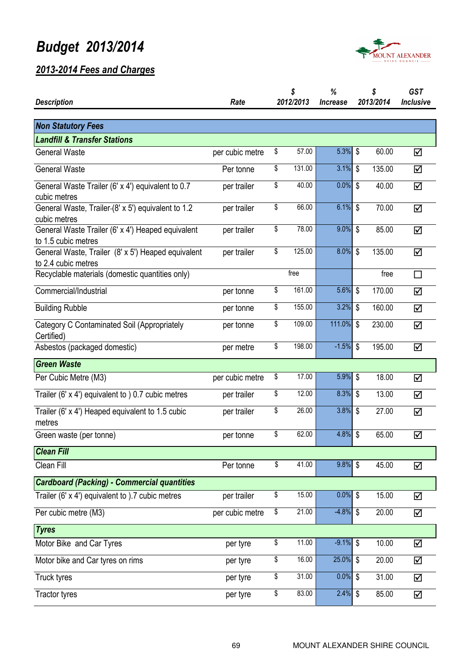

|                                                                           |                 |           | \$     | %                                          |                           | \$     | <b>GST</b>       |  |
|---------------------------------------------------------------------------|-----------------|-----------|--------|--------------------------------------------|---------------------------|--------|------------------|--|
| <b>Description</b>                                                        | Rate            | 2012/2013 |        | 2013/2014<br><i><u><b>Increase</b></u></i> |                           |        | <b>Inclusive</b> |  |
|                                                                           |                 |           |        |                                            |                           |        |                  |  |
| <b>Non Statutory Fees</b>                                                 |                 |           |        |                                            |                           |        |                  |  |
| <b>Landfill &amp; Transfer Stations</b>                                   |                 |           |        |                                            |                           |        |                  |  |
| <b>General Waste</b>                                                      | per cubic metre | \$        | 57.00  | 5.3% \$                                    |                           | 60.00  | ☑                |  |
| <b>General Waste</b>                                                      | Per tonne       | \$        | 131.00 | 3.1%                                       | \$                        | 135.00 | ☑                |  |
| General Waste Trailer (6' x 4') equivalent to 0.7<br>cubic metres         | per trailer     | \$        | 40.00  | $0.0\%$ \$                                 |                           | 40.00  | ☑                |  |
| General Waste, Trailer-(8' x 5') equivalent to 1.2<br>cubic metres        | per trailer     | \$        | 66.00  | $6.1\%$ \$                                 |                           | 70.00  | ☑                |  |
| General Waste Trailer (6' x 4') Heaped equivalent<br>to 1.5 cubic metres  | per trailer     | \$        | 78.00  | $9.0\%$ \$                                 |                           | 85.00  | ☑                |  |
| General Waste, Trailer (8' x 5') Heaped equivalent<br>to 2.4 cubic metres | per trailer     | \$        | 125.00 | 8.0%                                       | \$                        | 135.00 | ☑                |  |
| Recyclable materials (domestic quantities only)                           |                 |           | free   |                                            |                           | free   | П                |  |
| Commercial/Industrial                                                     | per tonne       | \$        | 161.00 | 5.6%                                       | \$                        | 170.00 | ☑                |  |
| <b>Building Rubble</b>                                                    | per tonne       | \$        | 155.00 | 3.2%                                       | \$                        | 160.00 | ☑                |  |
| Category C Contaminated Soil (Appropriately<br>Certified)                 | per tonne       | \$        | 109.00 | 111.0%                                     | $\mathbb{S}$              | 230.00 | ☑                |  |
| Asbestos (packaged domestic)                                              | per metre       | \$        | 198.00 | $-1.5%$                                    | $\boldsymbol{\mathsf{S}}$ | 195.00 | ☑                |  |
| <b>Green Waste</b>                                                        |                 |           |        |                                            |                           |        |                  |  |
| Per Cubic Metre (M3)                                                      | per cubic metre | \$        | 17.00  | 5.9%                                       | \$                        | 18.00  | ☑                |  |
| Trailer (6' $\times$ 4') equivalent to ) 0.7 cubic metres                 | per trailer     | \$        | 12.00  | $8.3\%$ \$                                 |                           | 13.00  | ☑                |  |
| Trailer (6' x 4') Heaped equivalent to 1.5 cubic<br>metres                | per trailer     | \$        | 26.00  | 3.8%                                       | \$                        | 27.00  | ☑                |  |
| Green waste (per tonne)                                                   | per tonne       | \$        | 62.00  | 4.8%                                       | \$                        | 65.00  | ☑                |  |
| Clean Fill                                                                |                 |           |        |                                            |                           |        |                  |  |
| Clean Fill                                                                | Per tonne       | \$        | 41.00  | $9.8\%$ \$                                 |                           | 45.00  | ☑                |  |
| <b>Cardboard (Packing) - Commercial quantities</b>                        |                 |           |        |                                            |                           |        |                  |  |
| Trailer (6' $x$ 4') equivalent to ).7 cubic metres                        | per trailer     | \$        | 15.00  | $0.0\%$ \$                                 |                           | 15.00  | ☑                |  |
| Per cubic metre (M3)                                                      | per cubic metre | \$        | 21.00  | $-4.8%$                                    | \$                        | 20.00  | ☑                |  |
| <b>Tyres</b>                                                              |                 |           |        |                                            |                           |        |                  |  |
| Motor Bike and Car Tyres                                                  | per tyre        | \$        | 11.00  | $-9.1\%$ \$                                |                           | 10.00  | ☑                |  |
| Motor bike and Car tyres on rims                                          | per tyre        | \$        | 16.00  | 25.0%                                      | \$                        | 20.00  | ☑                |  |
| Truck tyres                                                               | per tyre        | \$        | 31.00  | 0.0%                                       | \$                        | 31.00  | ☑                |  |
| <b>Tractor tyres</b>                                                      | per tyre        | \$        | 83.00  | 2.4%                                       | \$                        | 85.00  | ☑                |  |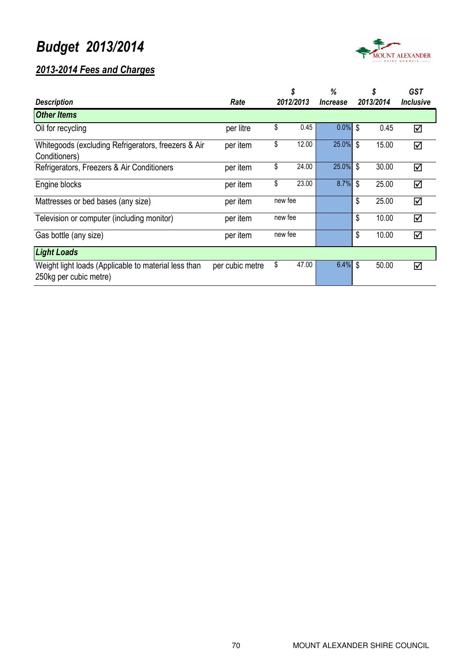

|                                                                                |                 | \$        |       | %                             | \$        |       | <b>GST</b>       |
|--------------------------------------------------------------------------------|-----------------|-----------|-------|-------------------------------|-----------|-------|------------------|
| <b>Description</b>                                                             | Rate            | 2012/2013 |       | <i><u><b>Increase</b></u></i> | 2013/2014 |       | <b>Inclusive</b> |
| <b>Other Items</b>                                                             |                 |           |       |                               |           |       |                  |
| Oil for recycling                                                              | per litre       | \$        | 0.45  | 0.0%                          | \$        | 0.45  | ☑                |
| Whitegoods (excluding Refrigerators, freezers & Air<br>Conditioners)           | per item        | \$        | 12.00 | 25.0% \$                      |           | 15.00 | ☑                |
| Refrigerators, Freezers & Air Conditioners                                     | per item        | \$        | 24.00 | 25.0%                         | \$        | 30.00 | ☑                |
| Engine blocks                                                                  | per item        | \$        | 23.00 | 8.7%                          | \$        | 25.00 | ☑                |
| Mattresses or bed bases (any size)                                             | per item        | new fee   |       |                               | \$        | 25.00 | ☑                |
| Television or computer (including monitor)                                     | per item        | new fee   |       |                               | \$        | 10.00 | ☑                |
| Gas bottle (any size)                                                          | per item        | new fee   |       |                               | \$        | 10.00 | ☑                |
| <b>Light Loads</b>                                                             |                 |           |       |                               |           |       |                  |
| Weight light loads (Applicable to material less than<br>250kg per cubic metre) | per cubic metre | \$        | 47.00 | 6.4%                          | \$        | 50.00 | ☑                |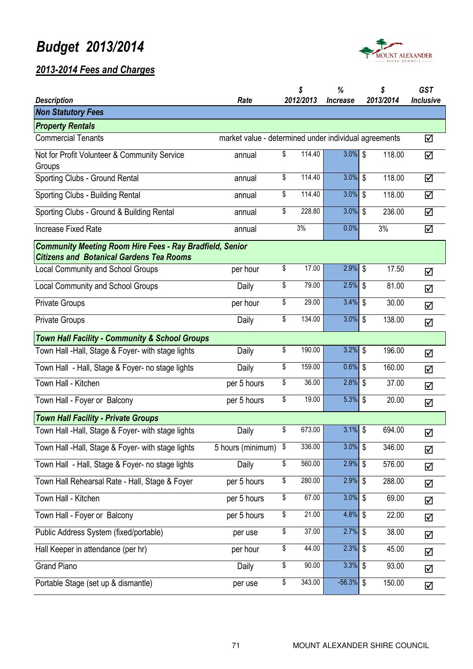

| <b>Description</b>                                                                                                 | Rate              |    | \$<br>2012/2013                                       | %<br><i><u><b>Increase</b></u></i> |    | \$<br>2013/2014 | <b>GST</b><br><b>Inclusive</b> |  |  |  |
|--------------------------------------------------------------------------------------------------------------------|-------------------|----|-------------------------------------------------------|------------------------------------|----|-----------------|--------------------------------|--|--|--|
| <b>Non Statutory Fees</b>                                                                                          |                   |    |                                                       |                                    |    |                 |                                |  |  |  |
| <b>Property Rentals</b>                                                                                            |                   |    |                                                       |                                    |    |                 |                                |  |  |  |
| <b>Commercial Tenants</b>                                                                                          |                   |    | market value - determined under individual agreements |                                    |    |                 | ☑                              |  |  |  |
| Not for Profit Volunteer & Community Service<br>Groups                                                             | annual            | \$ | 114.40                                                | $3.0\%$ \$                         |    | 118.00          | ☑                              |  |  |  |
| Sporting Clubs - Ground Rental                                                                                     | annual            | \$ | 114.40                                                | $3.0\%$ \$                         |    | 118.00          | ☑                              |  |  |  |
| Sporting Clubs - Building Rental                                                                                   | annual            | \$ | 114.40                                                | $3.0\%$ \$                         |    | 118.00          | ☑                              |  |  |  |
| Sporting Clubs - Ground & Building Rental                                                                          | annual            | \$ | 228.80                                                | $3.0\%$ \$                         |    | 236.00          | ☑                              |  |  |  |
| <b>Increase Fixed Rate</b>                                                                                         | annual            |    | 3%                                                    | 0.0%                               |    | 3%              | ☑                              |  |  |  |
| <b>Community Meeting Room Hire Fees - Ray Bradfield, Senior</b><br><b>Citizens and Botanical Gardens Tea Rooms</b> |                   |    |                                                       |                                    |    |                 |                                |  |  |  |
| Local Community and School Groups                                                                                  | per hour          | \$ | 17.00                                                 | $2.9\%$ \$                         |    | 17.50           | ☑                              |  |  |  |
| <b>Local Community and School Groups</b>                                                                           | Daily             | \$ | 79.00                                                 | 2.5%                               | \$ | 81.00           | ☑                              |  |  |  |
| <b>Private Groups</b>                                                                                              | per hour          | \$ | 29.00                                                 | 3.4%                               | \$ | 30.00           | ☑                              |  |  |  |
| <b>Private Groups</b>                                                                                              | Daily             | \$ | 134.00                                                | $3.0\%$ \$                         |    | 138.00          | ☑                              |  |  |  |
| <b>Town Hall Facility - Community &amp; School Groups</b>                                                          |                   |    |                                                       |                                    |    |                 |                                |  |  |  |
| Town Hall -Hall, Stage & Foyer- with stage lights                                                                  | Daily             | \$ | 190.00                                                | $3.2\%$ \$                         |    | 196.00          | ☑                              |  |  |  |
| Town Hall - Hall, Stage & Foyer- no stage lights                                                                   | Daily             | \$ | 159.00                                                | $0.6\%$ \$                         |    | 160.00          | ☑                              |  |  |  |
| Town Hall - Kitchen                                                                                                | per 5 hours       | \$ | 36.00                                                 | $2.8\%$ \$                         |    | 37.00           | ☑                              |  |  |  |
| Town Hall - Foyer or Balcony                                                                                       | per 5 hours       | \$ | 19.00                                                 | 5.3% \$                            |    | 20.00           | ☑                              |  |  |  |
| <b>Town Hall Facility - Private Groups</b>                                                                         |                   |    |                                                       |                                    |    |                 |                                |  |  |  |
| Town Hall - Hall, Stage & Foyer- with stage lights                                                                 | Daily             | \$ | 673.00                                                | $3.1\%$ \$                         |    | 694.00          | ☑                              |  |  |  |
| Town Hall -Hall, Stage & Foyer- with stage lights                                                                  | 5 hours (minimum) | \$ | 336.00                                                | $3.0\%$ \$                         |    | 346.00          | ☑                              |  |  |  |
| Town Hall - Hall, Stage & Foyer- no stage lights                                                                   | Daily             | \$ | 560.00                                                | $2.9\%$ \$                         |    | 576.00          | ☑                              |  |  |  |
| Town Hall Rehearsal Rate - Hall, Stage & Foyer                                                                     | per 5 hours       | \$ | 280.00                                                | $2.9\%$ \$                         |    | 288.00          | ☑                              |  |  |  |
| Town Hall - Kitchen                                                                                                | per 5 hours       | \$ | 67.00                                                 | $3.0\%$ \$                         |    | 69.00           | ☑                              |  |  |  |
| Town Hall - Foyer or Balcony                                                                                       | per 5 hours       | \$ | 21.00                                                 | 4.8% \$                            |    | 22.00           | ☑                              |  |  |  |
| Public Address System (fixed/portable)                                                                             | per use           | \$ | 37.00                                                 | $2.7\%$ \$                         |    | 38.00           | ☑                              |  |  |  |
| Hall Keeper in attendance (per hr)                                                                                 | per hour          | \$ | 44.00                                                 | $2.3\%$ \$                         |    | 45.00           | ☑                              |  |  |  |
| <b>Grand Piano</b>                                                                                                 | Daily             | \$ | 90.00                                                 | $3.3\%$ \$                         |    | 93.00           | ☑                              |  |  |  |
| Portable Stage (set up & dismantle)                                                                                | per use           | \$ | 343.00                                                | $-56.3\%$ \$                       |    | 150.00          | ☑                              |  |  |  |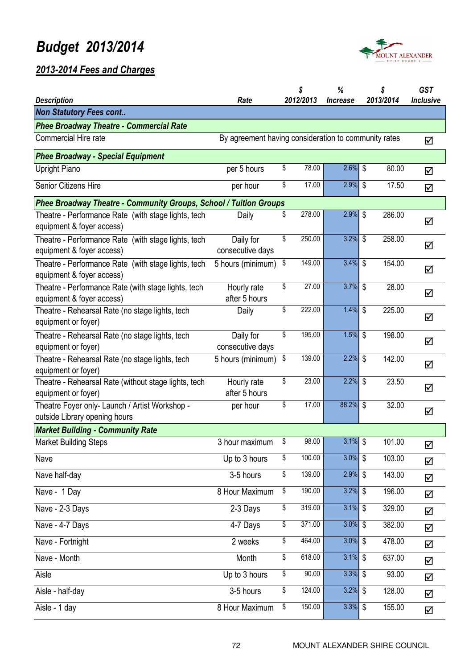

| <b>Description</b>                                                               | Rate                          |                                                      | \$<br>2012/2013 | %<br><i><u><b>Increase</b></u></i> |    | \$<br>2013/2014 | <b>GST</b><br><b>Inclusive</b> |
|----------------------------------------------------------------------------------|-------------------------------|------------------------------------------------------|-----------------|------------------------------------|----|-----------------|--------------------------------|
| <b>Non Statutory Fees cont</b>                                                   |                               |                                                      |                 |                                    |    |                 |                                |
| <b>Phee Broadway Theatre - Commercial Rate</b>                                   |                               |                                                      |                 |                                    |    |                 |                                |
| <b>Commercial Hire rate</b>                                                      |                               | By agreement having consideration to community rates |                 |                                    |    |                 |                                |
| <b>Phee Broadway - Special Equipment</b>                                         |                               |                                                      |                 |                                    |    |                 |                                |
| <b>Upright Piano</b>                                                             | per 5 hours                   | \$                                                   | 78.00           | $2.6\%$ \$                         |    | 80.00           | ☑                              |
| Senior Citizens Hire                                                             | per hour                      | \$                                                   | 17.00           | $2.9\%$ \$                         |    | 17.50           | ☑                              |
| Phee Broadway Theatre - Community Groups, School / Tuition Groups                |                               |                                                      |                 |                                    |    |                 |                                |
| Theatre - Performance Rate (with stage lights, tech<br>equipment & foyer access) | Daily                         | \$                                                   | 278.00          | $2.9\%$ \$                         |    | 286.00          | ☑                              |
| Theatre - Performance Rate (with stage lights, tech<br>equipment & foyer access) | Daily for<br>consecutive days | \$                                                   | 250.00          | $3.2\%$ \$                         |    | 258.00          | ☑                              |
| Theatre - Performance Rate (with stage lights, tech<br>equipment & foyer access) | 5 hours (minimum)             | \$                                                   | 149.00          | $3.4\%$ \$                         |    | 154.00          | ☑                              |
| Theatre - Performance Rate (with stage lights, tech<br>equipment & foyer access) | Hourly rate<br>after 5 hours  | \$                                                   | 27.00           | $3.7\%$ \$                         |    | 28.00           | ☑                              |
| Theatre - Rehearsal Rate (no stage lights, tech<br>equipment or foyer)           | Daily                         | \$                                                   | 222.00          | $1.4\%$ \$                         |    | 225.00          | ☑                              |
| Theatre - Rehearsal Rate (no stage lights, tech<br>equipment or foyer)           | Daily for<br>consecutive days | \$                                                   | 195.00          | $1.5%$ \$                          |    | 198.00          | ☑                              |
| Theatre - Rehearsal Rate (no stage lights, tech<br>equipment or foyer)           | 5 hours (minimum)             | \$                                                   | 139.00          | 2.2%                               | \$ | 142.00          | ☑                              |
| Theatre - Rehearsal Rate (without stage lights, tech<br>equipment or foyer)      | Hourly rate<br>after 5 hours  | \$                                                   | 23.00           | $2.2\%$ \$                         |    | 23.50           | ☑                              |
| Theatre Foyer only- Launch / Artist Workshop -<br>outside Library opening hours  | per hour                      | \$                                                   | 17.00           | 88.2% \$                           |    | 32.00           | ☑                              |
| <b>Market Building - Community Rate</b>                                          |                               |                                                      |                 |                                    |    |                 |                                |
| <b>Market Building Steps</b>                                                     | 3 hour maximum                | \$                                                   | 98.00           | $3.1\%$ \$                         |    | 101.00          | ☑                              |
| Nave                                                                             | Up to 3 hours                 | \$                                                   | 100.00          | $3.0\%$ \$                         |    | 103.00          | ☑                              |
| Nave half-day                                                                    | 3-5 hours                     | \$                                                   | 139.00          | $2.9\%$ \$                         |    | 143.00          | ☑                              |
| Nave - 1 Day                                                                     | 8 Hour Maximum                | \$                                                   | 190.00          | $3.2\%$ \$                         |    | 196.00          | ☑                              |
| Nave - 2-3 Days                                                                  | 2-3 Days                      | \$                                                   | 319.00          | $3.1\%$ \$                         |    | 329.00          | ☑                              |
| Nave - 4-7 Days                                                                  | 4-7 Days                      | \$                                                   | 371.00          | $3.0\%$ \$                         |    | 382.00          | ☑                              |
| Nave - Fortnight                                                                 | 2 weeks                       | \$                                                   | 464.00          | $3.0\%$ \$                         |    | 478.00          | ☑                              |
| Nave - Month                                                                     | Month                         | \$                                                   | 618.00          | $3.1\%$ \$                         |    | 637.00          | $\Delta$                       |
| Aisle                                                                            | Up to 3 hours                 | \$                                                   | 90.00           | $3.3\%$ \$                         |    | 93.00           | ☑                              |
| Aisle - half-day                                                                 | 3-5 hours                     | \$                                                   | 124.00          | $3.2\%$ \$                         |    | 128.00          | ☑                              |
| Aisle - 1 day                                                                    | 8 Hour Maximum                | \$                                                   | 150.00          | $3.3\%$ \$                         |    | 155.00          | ☑                              |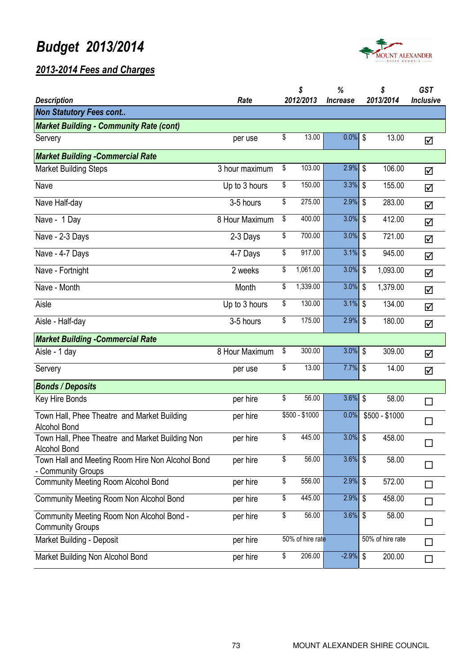

| <b>Description</b>                                                     | Rate           | \$<br>2012/2013  | %<br><i><u><b>Increase</b></u></i> |                           | \$<br>2013/2014  | <b>GST</b><br><b>Inclusive</b> |
|------------------------------------------------------------------------|----------------|------------------|------------------------------------|---------------------------|------------------|--------------------------------|
| <b>Non Statutory Fees cont</b>                                         |                |                  |                                    |                           |                  |                                |
| <b>Market Building - Community Rate (cont)</b>                         |                |                  |                                    |                           |                  |                                |
| Servery                                                                | per use        | \$<br>13.00      | $0.0\%$ \$                         |                           | 13.00            | ☑                              |
| <b>Market Building - Commercial Rate</b>                               |                |                  |                                    |                           |                  |                                |
| <b>Market Building Steps</b>                                           | 3 hour maximum | \$<br>103.00     | 2.9%                               | \$                        | 106.00           | ☑                              |
| Nave                                                                   | Up to 3 hours  | \$<br>150.00     | 3.3%                               | $\mathbb{S}$              | 155.00           | ☑                              |
| Nave Half-day                                                          | 3-5 hours      | \$<br>275.00     | 2.9%                               | \$                        | 283.00           | ☑                              |
| Nave - 1 Day                                                           | 8 Hour Maximum | \$<br>400.00     | 3.0%                               | \$                        | 412.00           | ☑                              |
| Nave - 2-3 Days                                                        | 2-3 Days       | \$<br>700.00     | 3.0%                               | \$                        | 721.00           | ☑                              |
| Nave - 4-7 Days                                                        | 4-7 Days       | \$<br>917.00     | 3.1%                               | $\mathbb{S}$              | 945.00           | ☑                              |
| Nave - Fortnight                                                       | 2 weeks        | \$<br>1,061.00   | 3.0%                               | $\boldsymbol{\mathsf{S}}$ | 1,093.00         | ☑                              |
| Nave - Month                                                           | Month          | \$<br>1,339.00   | 3.0%                               | \$                        | 1,379.00         | ☑                              |
| Aisle                                                                  | Up to 3 hours  | \$<br>130.00     | 3.1%                               | \$                        | 134.00           | ☑                              |
| Aisle - Half-day                                                       | 3-5 hours      | \$<br>175.00     | 2.9%                               | \$                        | 180.00           | ☑                              |
| <b>Market Building - Commercial Rate</b>                               |                |                  |                                    |                           |                  |                                |
| Aisle - 1 day                                                          | 8 Hour Maximum | \$<br>300.00     | 3.0%                               | \$                        | 309.00           | ☑                              |
| Servery                                                                | per use        | \$<br>13.00      | $7.7\%$ \$                         |                           | 14.00            | ☑                              |
| <b>Bonds / Deposits</b>                                                |                |                  |                                    |                           |                  |                                |
| Key Hire Bonds                                                         | per hire       | \$<br>56.00      | 3.6%                               | $\boldsymbol{\mathsf{S}}$ | 58.00            | $\Box$                         |
| Town Hall, Phee Theatre and Market Building<br><b>Alcohol Bond</b>     | per hire       | \$500 - \$1000   | 0.0%                               |                           | $$500 - $1000$   | П                              |
| Town Hall, Phee Theatre and Market Building Non<br>Alcohol Bond        | per hire       | \$<br>445.00     | $3.0\%$ \$                         |                           | 458.00           |                                |
| Town Hall and Meeting Room Hire Non Alcohol Bond<br>- Community Groups | per hire       | \$<br>56.00      | $3.6\%$ \$                         |                           | 58.00            |                                |
| <b>Community Meeting Room Alcohol Bond</b>                             | per hire       | \$<br>556.00     | 2.9%                               | \$                        | 572.00           | П                              |
| <b>Community Meeting Room Non Alcohol Bond</b>                         | per hire       | \$<br>445.00     | 2.9%                               | \$                        | 458.00           | $\Box$                         |
| Community Meeting Room Non Alcohol Bond -<br><b>Community Groups</b>   | per hire       | \$<br>56.00      | 3.6%                               | \$                        | 58.00            |                                |
| Market Building - Deposit                                              | per hire       | 50% of hire rate |                                    |                           | 50% of hire rate | П                              |
| Market Building Non Alcohol Bond                                       | per hire       | \$<br>206.00     | $-2.9%$                            | \$                        | 200.00           | П                              |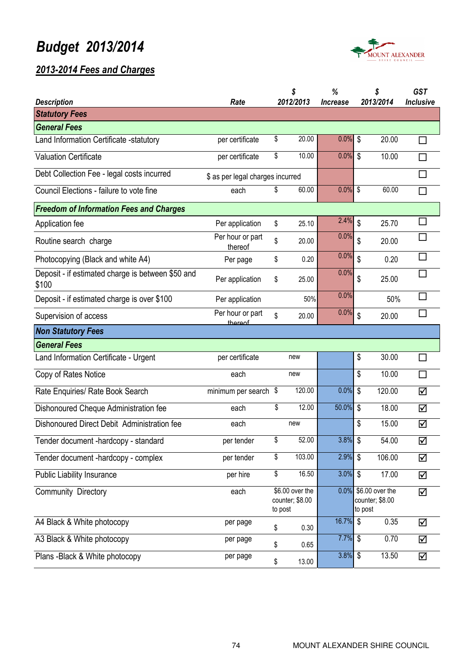

|                                                            |                                  | \$                                            | %                             |                           | \$                                      | <b>GST</b>       |  |
|------------------------------------------------------------|----------------------------------|-----------------------------------------------|-------------------------------|---------------------------|-----------------------------------------|------------------|--|
| <b>Description</b>                                         | Rate                             | 2012/2013                                     | <i><u><b>Increase</b></u></i> |                           | 2013/2014                               | <b>Inclusive</b> |  |
| <b>Statutory Fees</b>                                      |                                  |                                               |                               |                           |                                         |                  |  |
| <b>General Fees</b>                                        |                                  |                                               |                               |                           |                                         |                  |  |
| Land Information Certificate -statutory                    | per certificate                  | \$<br>20.00                                   | 0.0%                          | \$                        | 20.00                                   |                  |  |
| <b>Valuation Certificate</b>                               | per certificate                  | \$<br>10.00                                   | 0.0%                          | $\boldsymbol{\mathsf{S}}$ | 10.00                                   | П                |  |
| Debt Collection Fee - legal costs incurred                 | \$ as per legal charges incurred |                                               |                               |                           |                                         | П                |  |
| Council Elections - failure to vote fine                   | each                             | \$<br>60.00                                   | 0.0%                          | $\sqrt{3}$                | 60.00                                   | $\Box$           |  |
| <b>Freedom of Information Fees and Charges</b>             |                                  |                                               |                               |                           |                                         |                  |  |
| Application fee                                            | Per application                  | \$<br>25.10                                   | 2.4%                          | \$                        | 25.70                                   | $\Box$           |  |
| Routine search charge                                      | Per hour or part<br>thereof      | \$<br>20.00                                   | 0.0%                          | \$                        | 20.00                                   | □                |  |
| Photocopying (Black and white A4)                          | Per page                         | \$<br>0.20                                    | 0.0%                          | \$                        | 0.20                                    | $\Box$           |  |
| Deposit - if estimated charge is between \$50 and<br>\$100 | Per application                  | \$<br>25.00                                   | 0.0%                          | \$                        | 25.00                                   | П                |  |
| Deposit - if estimated charge is over \$100                | Per application                  | 50%                                           | 0.0%                          |                           | 50%                                     | $\Box$           |  |
| Supervision of access                                      | Per hour or part<br>thereof      | \$<br>20.00                                   | 0.0%                          | $\boldsymbol{\mathsf{S}}$ | 20.00                                   | $\Box$           |  |
| <b>Non Statutory Fees</b>                                  |                                  |                                               |                               |                           |                                         |                  |  |
| <b>General Fees</b>                                        |                                  |                                               |                               |                           |                                         |                  |  |
| Land Information Certificate - Urgent                      | per certificate                  | new                                           |                               | \$                        | 30.00                                   | П                |  |
| Copy of Rates Notice                                       | each                             | new                                           |                               | \$                        | 10.00                                   | $\Box$           |  |
| Rate Enquiries/ Rate Book Search                           | minimum per search \$            | 120.00                                        | 0.0%                          | $\boldsymbol{\mathsf{S}}$ | 120.00                                  | ☑                |  |
| Dishonoured Cheque Administration fee                      | each                             | \$<br>12.00                                   | 50.0%                         | $\boldsymbol{\mathsf{S}}$ | 18.00                                   | ☑                |  |
| Dishonoured Direct Debit Administration fee                | each                             | new                                           |                               | \$                        | 15.00                                   | ☑                |  |
| Tender document -hardcopy - standard                       | per tender                       | \$<br>52.00                                   | 3.8%                          | $\sqrt[6]{\frac{1}{2}}$   | 54.00                                   | ☑                |  |
| Tender document -hardcopy - complex                        | per tender                       | \$<br>103.00                                  | 2.9%                          | $\sqrt{3}$                | 106.00                                  | ☑                |  |
| Public Liability Insurance                                 | per hire                         | \$<br>16.50                                   | 3.0%                          | $\sqrt[6]{\frac{1}{2}}$   | 17.00                                   | ☑                |  |
| <b>Community Directory</b>                                 | each                             | \$6.00 over the<br>counter; \$8.00<br>to post |                               | to post                   | 0.0% \$6.00 over the<br>counter; \$8.00 | ☑                |  |
| A4 Black & White photocopy                                 | per page                         | \$<br>0.30                                    | 16.7%                         | $\boldsymbol{\mathsf{S}}$ | 0.35                                    | ☑                |  |
| A3 Black & White photocopy                                 | per page                         | \$<br>0.65                                    | 7.7%                          | $\sqrt{3}$                | 0.70                                    | ☑                |  |
| Plans -Black & White photocopy                             | per page                         | \$<br>13.00                                   | 3.8%                          | \$                        | 13.50                                   | ☑                |  |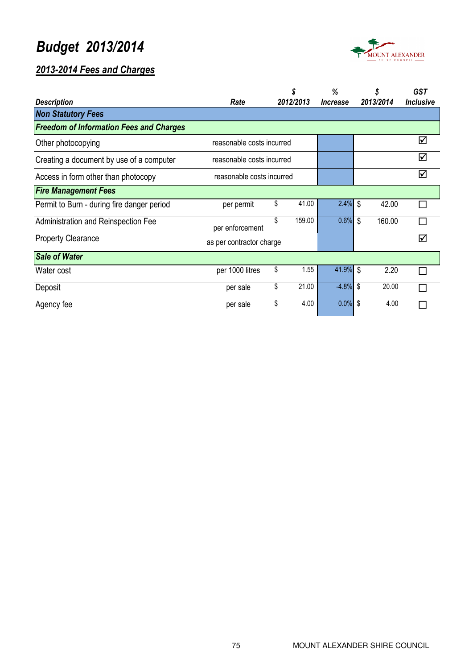



|                                                |                           |    | \$        | %                             | \$           | <b>GST</b>       |
|------------------------------------------------|---------------------------|----|-----------|-------------------------------|--------------|------------------|
| <b>Description</b>                             | Rate                      |    | 2012/2013 | <i><u><b>Increase</b></u></i> | 2013/2014    | <b>Inclusive</b> |
| <b>Non Statutory Fees</b>                      |                           |    |           |                               |              |                  |
| <b>Freedom of Information Fees and Charges</b> |                           |    |           |                               |              |                  |
| Other photocopying                             | reasonable costs incurred |    |           |                               |              | ☑                |
| Creating a document by use of a computer       | reasonable costs incurred |    |           |                               |              | ☑                |
| Access in form other than photocopy            | reasonable costs incurred |    |           |                               | ☑            |                  |
| <b>Fire Management Fees</b>                    |                           |    |           |                               |              |                  |
| Permit to Burn - during fire danger period     | per permit                | \$ | 41.00     | $2.4\%$ \$                    | 42.00        |                  |
| Administration and Reinspection Fee            | per enforcement           | \$ | 159.00    | 0.6%                          | \$<br>160.00 |                  |
| <b>Property Clearance</b>                      | as per contractor charge  |    |           |                               |              | ☑                |
| <b>Sale of Water</b>                           |                           |    |           |                               |              |                  |
| Water cost                                     | per 1000 litres           | \$ | 1.55      | 41.9% \$                      | 2.20         |                  |
| Deposit                                        | per sale                  | \$ | 21.00     | $-4.8\%$ \$                   | 20.00        |                  |
| Agency fee                                     | per sale                  | \$ | 4.00      | $0.0\%$ \$                    | 4.00         |                  |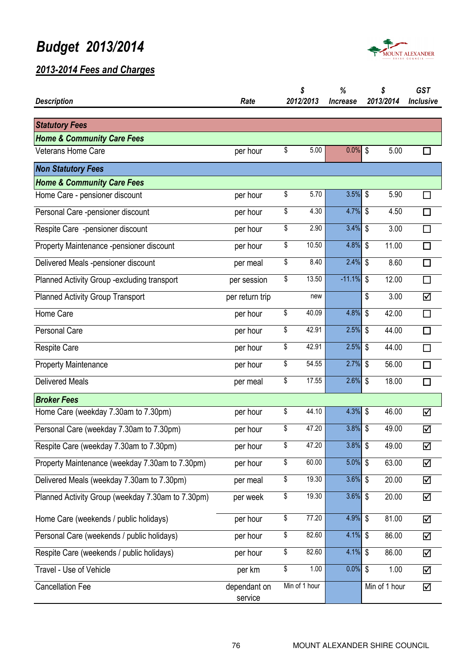

| <b>Description</b>                                | Rate                    | \$<br>2012/2013 | %<br><b>Increase</b> | \$<br>2013/2014 | <b>GST</b><br><b>Inclusive</b> |
|---------------------------------------------------|-------------------------|-----------------|----------------------|-----------------|--------------------------------|
|                                                   |                         |                 |                      |                 |                                |
| <b>Statutory Fees</b>                             |                         |                 |                      |                 |                                |
| <b>Home &amp; Community Care Fees</b>             |                         |                 |                      |                 |                                |
| <b>Veterans Home Care</b>                         | per hour                | \$<br>5.00      | 0.0%                 | \$<br>5.00      | H                              |
| <b>Non Statutory Fees</b>                         |                         |                 |                      |                 |                                |
| <b>Home &amp; Community Care Fees</b>             |                         |                 |                      |                 |                                |
| Home Care - pensioner discount                    | per hour                | \$<br>5.70      | 3.5%                 | \$<br>5.90      | П                              |
| Personal Care -pensioner discount                 | per hour                | \$<br>4.30      | 4.7%                 | \$<br>4.50      | □                              |
| Respite Care -pensioner discount                  | per hour                | \$<br>2.90      | 3.4%                 | \$<br>3.00      | $\Box$                         |
| Property Maintenance -pensioner discount          | per hour                | \$<br>10.50     | 4.8%                 | \$<br>11.00     | □                              |
| Delivered Meals -pensioner discount               | per meal                | \$<br>8.40      | 2.4%                 | \$<br>8.60      | П                              |
| Planned Activity Group - excluding transport      | per session             | \$<br>13.50     | $-11.1%$             | \$<br>12.00     | $\Box$                         |
| <b>Planned Activity Group Transport</b>           | per return trip         | new             |                      | \$<br>3.00      | ☑                              |
| Home Care                                         | per hour                | \$<br>40.09     | 4.8%                 | \$<br>42.00     | $\Box$                         |
| <b>Personal Care</b>                              | per hour                | \$<br>42.91     | 2.5%                 | \$<br>44.00     | $\Box$                         |
| <b>Respite Care</b>                               | per hour                | \$<br>42.91     | 2.5%                 | \$<br>44.00     | $\Box$                         |
| <b>Property Maintenance</b>                       | per hour                | \$<br>54.55     | 2.7%                 | \$<br>56.00     | □                              |
| <b>Delivered Meals</b>                            | per meal                | \$<br>17.55     | 2.6%                 | \$<br>18.00     | □                              |
| <b>Broker Fees</b>                                |                         |                 |                      |                 |                                |
| Home Care (weekday 7.30am to 7.30pm)              | per hour                | \$<br>44.10     | 4.3%                 | 46.00<br>\$     | ☑                              |
| Personal Care (weekday 7.30am to 7.30pm)          | per hour                | \$<br>47.20     | 3.8%                 | \$<br>49.00     | ☑                              |
| Respite Care (weekday 7.30am to 7.30pm)           | per hour                | \$<br>47.20     | $3.8\%$ \$           | 49.00           | $\Delta$                       |
| Property Maintenance (weekday 7.30am to 7.30pm)   | per hour                | \$<br>60.00     | 5.0%                 | \$<br>63.00     | ☑                              |
| Delivered Meals (weekday 7.30am to 7.30pm)        | per meal                | \$<br>19.30     | 3.6%                 | \$<br>20.00     | ☑                              |
| Planned Activity Group (weekday 7.30am to 7.30pm) | per week                | \$<br>19.30     | 3.6%                 | \$<br>20.00     | ☑                              |
| Home Care (weekends / public holidays)            | per hour                | \$<br>77.20     | 4.9%                 | \$<br>81.00     | ☑                              |
| Personal Care (weekends / public holidays)        | per hour                | \$<br>82.60     | 4.1%                 | \$<br>86.00     | ☑                              |
| Respite Care (weekends / public holidays)         | per hour                | \$<br>82.60     | 4.1%                 | \$<br>86.00     | ☑                              |
| Travel - Use of Vehicle                           | per km                  | \$<br>1.00      | 0.0%                 | \$<br>1.00      | ☑                              |
| <b>Cancellation Fee</b>                           | dependant on<br>service | Min of 1 hour   |                      | Min of 1 hour   | ☑                              |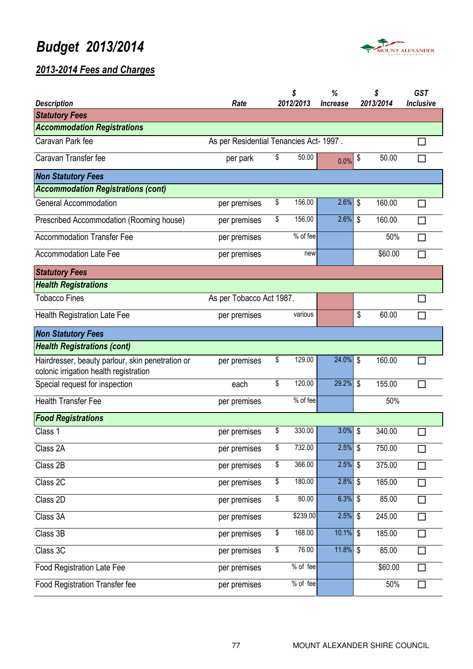

| <b>Description</b>                                                                         | Rate                                    | \$<br>2012/2013 | %<br><i><u><b>Increase</b></u></i> |                           | \$<br>2013/2014 | <b>GST</b><br><b>Inclusive</b> |
|--------------------------------------------------------------------------------------------|-----------------------------------------|-----------------|------------------------------------|---------------------------|-----------------|--------------------------------|
| <b>Statutory Fees</b>                                                                      |                                         |                 |                                    |                           |                 |                                |
| <b>Accommodation Registrations</b>                                                         |                                         |                 |                                    |                           |                 |                                |
| Caravan Park fee                                                                           | As per Residential Tenancies Act- 1997. |                 |                                    |                           |                 |                                |
| Caravan Transfer fee                                                                       | per park                                | \$<br>50.00     | 0.0%                               | \$                        | 50.00           |                                |
| <b>Non Statutory Fees</b>                                                                  |                                         |                 |                                    |                           |                 |                                |
| <b>Accommodation Registrations (cont)</b>                                                  |                                         |                 |                                    |                           |                 |                                |
| <b>General Accommodation</b>                                                               | per premises                            | \$<br>156.00    | 2.6%                               | \$                        | 160.00          | П                              |
| Prescribed Accommodation (Rooming house)                                                   | per premises                            | \$<br>156.00    | 2.6%                               | \$                        | 160.00          | П                              |
| <b>Accommodation Transfer Fee</b>                                                          | per premises                            | % of fee        |                                    |                           | 50%             | $\Box$                         |
| <b>Accommodation Late Fee</b>                                                              | per premises                            | new             |                                    |                           | \$60.00         |                                |
| <b>Statutory Fees</b>                                                                      |                                         |                 |                                    |                           |                 |                                |
| <b>Health Registrations</b>                                                                |                                         |                 |                                    |                           |                 |                                |
| <b>Tobacco Fines</b>                                                                       | As per Tobacco Act 1987.                |                 |                                    |                           |                 |                                |
| <b>Health Registration Late Fee</b>                                                        | per premises                            | various         |                                    | \$                        | 60.00           | $\Box$                         |
| <b>Non Statutory Fees</b>                                                                  |                                         |                 |                                    |                           |                 |                                |
| <b>Health Registrations (cont)</b>                                                         |                                         |                 |                                    |                           |                 |                                |
| Hairdresser, beauty parlour, skin penetration or<br>colonic irrigation health registration | per premises                            | \$<br>129.00    | 24.0%                              | \$                        | 160.00          |                                |
| Special request for inspection                                                             | each                                    | \$<br>120.00    | 29.2%                              | \$                        | 155.00          | П                              |
| <b>Health Transfer Fee</b>                                                                 | per premises                            | % of fee        |                                    |                           | 50%             |                                |
| <b>Food Registrations</b>                                                                  |                                         |                 |                                    |                           |                 |                                |
| Class 1                                                                                    | per premises                            | \$<br>330.00    | 3.0%                               | \$                        | 340.00          |                                |
| Class 2A                                                                                   | per premises                            | \$<br>732.00    | $2.5\%$ \$                         |                           | 750.00          | П                              |
| Class 2B                                                                                   | per premises                            | \$<br>366.00    | 2.5%                               | $\boldsymbol{\mathsf{S}}$ | 375.00          | $\Box$                         |
| Class 2C                                                                                   | per premises                            | \$<br>180.00    | $2.8\%$ \$                         |                           | 185.00          | $\Box$                         |
| Class 2D                                                                                   | per premises                            | \$<br>80.00     | 6.3%                               | \$                        | 85.00           | $\Box$                         |
| Class 3A                                                                                   | per premises                            | \$239.00        | $2.5\%$ \$                         |                           | 245.00          | $\Box$                         |
| Class 3B                                                                                   | per premises                            | \$<br>168.00    | $10.1\%$ \$                        |                           | 185.00          | $\Box$                         |
| Class 3C                                                                                   | per premises                            | \$<br>76.00     | 11.8%                              | \$                        | 85.00           | $\Box$                         |
| <b>Food Registration Late Fee</b>                                                          | per premises                            | % of fee        |                                    |                           | \$60.00         | $\Box$                         |
| Food Registration Transfer fee                                                             | per premises                            | % of fee        |                                    |                           | 50%             | $\Box$                         |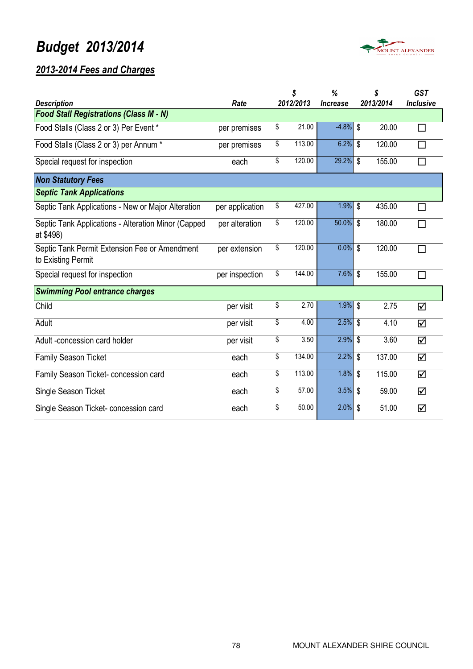

|                                                                     |                 | \$           | %                             | \$                        |           | <b>GST</b>       |
|---------------------------------------------------------------------|-----------------|--------------|-------------------------------|---------------------------|-----------|------------------|
| <b>Description</b>                                                  | Rate            | 2012/2013    | <i><u><b>Increase</b></u></i> |                           | 2013/2014 | <b>Inclusive</b> |
| <b>Food Stall Registrations (Class M - N)</b>                       |                 |              |                               |                           |           |                  |
| Food Stalls (Class 2 or 3) Per Event *                              | per premises    | \$<br>21.00  | $-4.8%$                       | \$                        | 20.00     | П                |
| Food Stalls (Class 2 or 3) per Annum *                              | per premises    | \$<br>113.00 | 6.2%                          | \$                        | 120.00    | П                |
| Special request for inspection                                      | each            | \$<br>120.00 | 29.2%                         | $\mathbb{S}$              | 155.00    | $\Box$           |
| <b>Non Statutory Fees</b>                                           |                 |              |                               |                           |           |                  |
| <b>Septic Tank Applications</b>                                     |                 |              |                               |                           |           |                  |
| Septic Tank Applications - New or Major Alteration                  | per application | \$<br>427.00 | 1.9%                          | \$                        | 435.00    | П                |
| Septic Tank Applications - Alteration Minor (Capped<br>at \$498)    | per alteration  | \$<br>120.00 | 50.0%                         | \$                        | 180.00    | $\Box$           |
| Septic Tank Permit Extension Fee or Amendment<br>to Existing Permit | per extension   | \$<br>120.00 | 0.0%                          | \$                        | 120.00    | Г                |
| Special request for inspection                                      | per inspection  | \$<br>144.00 | 7.6%                          | $\boldsymbol{\mathsf{S}}$ | 155.00    | П                |
| <b>Swimming Pool entrance charges</b>                               |                 |              |                               |                           |           |                  |
| Child                                                               | per visit       | \$<br>2.70   | 1.9%                          | \$                        | 2.75      | ☑                |
| Adult                                                               | per visit       | \$<br>4.00   | 2.5%                          | \$                        | 4.10      | ☑                |
| Adult-concession card holder                                        | per visit       | \$<br>3.50   | 2.9%                          | \$                        | 3.60      | ☑                |
| Family Season Ticket                                                | each            | \$<br>134.00 | 2.2%                          | \$                        | 137.00    | ☑                |
| Family Season Ticket- concession card                               | each            | \$<br>113.00 | 1.8%                          | $\boldsymbol{\mathsf{S}}$ | 115.00    | ☑                |
| Single Season Ticket                                                | each            | \$<br>57.00  | 3.5%                          | \$                        | 59.00     | ☑                |
| Single Season Ticket- concession card                               | each            | \$<br>50.00  | 2.0%                          | \$                        | 51.00     | ☑                |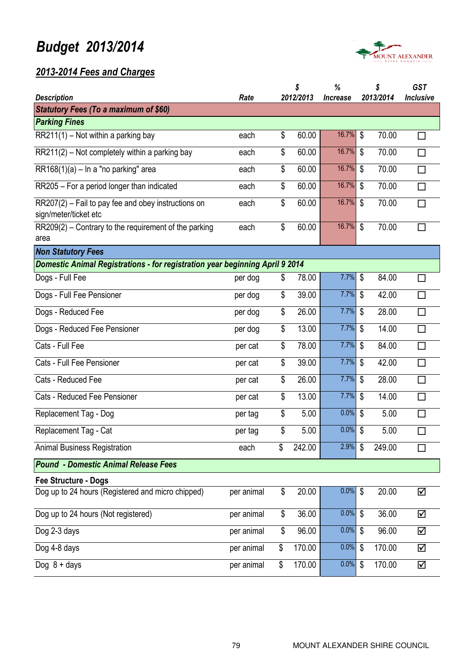

|                                                                                |            | \$           | %                             | \$                                 | GST              |
|--------------------------------------------------------------------------------|------------|--------------|-------------------------------|------------------------------------|------------------|
| <b>Description</b>                                                             | Rate       | 2012/2013    | <i><u><b>Increase</b></u></i> | 2013/2014                          | <b>Inclusive</b> |
| <b>Statutory Fees (To a maximum of \$60)</b><br><b>Parking Fines</b>           |            |              |                               |                                    |                  |
| $\overline{\text{RR21}}1(1)$ – Not within a parking bay                        | each       | \$<br>60.00  | 16.7%                         | \$<br>70.00                        | П                |
|                                                                                |            |              |                               |                                    |                  |
| $RR211(2)$ – Not completely within a parking bay                               | each       | \$<br>60.00  | 16.7%                         | \$<br>70.00                        | $\Box$           |
| $RR168(1)(a) - In a "no parking" area$                                         | each       | \$<br>60.00  | 16.7%                         | \$<br>70.00                        | $\Box$           |
| RR205 - For a period longer than indicated                                     | each       | \$<br>60.00  | 16.7%                         | \$<br>70.00                        | $\Box$           |
| $RR207(2)$ – Fail to pay fee and obey instructions on<br>sign/meter/ticket etc | each       | \$<br>60.00  | 16.7%                         | \$<br>70.00                        | $\Box$           |
| $RR209(2)$ – Contrary to the requirement of the parking<br>area                | each       | \$<br>60.00  | 16.7%                         | $\boldsymbol{\mathsf{S}}$<br>70.00 | $\Box$           |
| <b>Non Statutory Fees</b>                                                      |            |              |                               |                                    |                  |
| Domestic Animal Registrations - for registration year beginning April 9 2014   |            |              |                               |                                    |                  |
| Dogs - Full Fee                                                                | per dog    | \$<br>78.00  | 7.7%                          | \$<br>84.00                        | $\Box$           |
| Dogs - Full Fee Pensioner                                                      | per dog    | \$<br>39.00  | 7.7%                          | \$<br>42.00                        | $\Box$           |
| Dogs - Reduced Fee                                                             | per dog    | \$<br>26.00  | 7.7%                          | \$<br>28.00                        | $\Box$           |
| Dogs - Reduced Fee Pensioner                                                   | per dog    | \$<br>13.00  | 7.7%                          | \$<br>14.00                        | $\Box$           |
| Cats - Full Fee                                                                | per cat    | \$<br>78.00  | 7.7%                          | \$<br>84.00                        | $\Box$           |
| Cats - Full Fee Pensioner                                                      | per cat    | \$<br>39.00  | 7.7%                          | \$<br>42.00                        | $\Box$           |
| Cats - Reduced Fee                                                             | per cat    | \$<br>26.00  | 7.7%                          | \$<br>28.00                        | $\Box$           |
| Cats - Reduced Fee Pensioner                                                   | per cat    | \$<br>13.00  | 7.7%                          | \$<br>14.00                        | $\Box$           |
| Replacement Tag - Dog                                                          | per tag    | \$<br>5.00   | $0.0\%$ \$                    | 5.00                               | $\Box$           |
| Replacement Tag - Cat                                                          | per tag    | \$<br>5.00   | 0.0%                          | \$<br>5.00                         | $\Box$           |
| <b>Animal Business Registration</b>                                            | each       | \$<br>242.00 | 2.9%                          | \$<br>249.00                       | П                |
| <b>Pound - Domestic Animal Release Fees</b>                                    |            |              |                               |                                    |                  |
| <b>Fee Structure - Dogs</b>                                                    |            |              |                               |                                    |                  |
| Dog up to 24 hours (Registered and micro chipped)                              | per animal | \$<br>20.00  | $0.0\%$ \$                    | 20.00                              | ☑                |
| Dog up to 24 hours (Not registered)                                            | per animal | \$<br>36.00  | $0.0\%$                       | \$<br>36.00                        | ☑                |
| Dog 2-3 days                                                                   | per animal | \$<br>96.00  | 0.0%                          | \$<br>96.00                        | ☑                |
| Dog 4-8 days                                                                   | per animal | \$<br>170.00 | $0.0\%$                       | \$<br>170.00                       | ☑                |
| Dog $8 + \text{days}$                                                          | per animal | \$<br>170.00 | 0.0%                          | 170.00<br>\$                       | ☑                |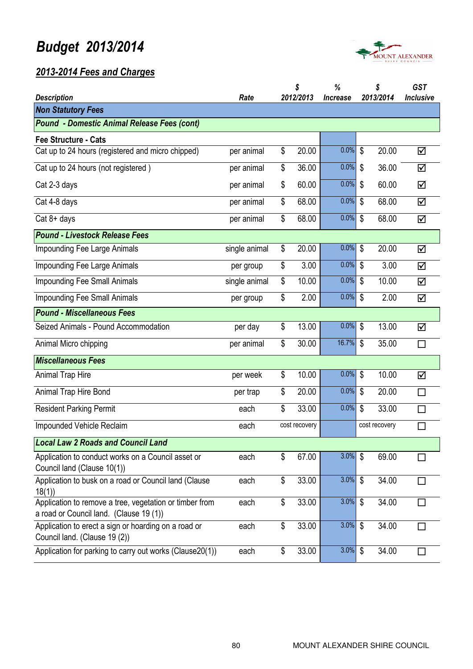



| <b>Description</b>                                                                                 | Rate          | \$<br>2012/2013 | %<br><i><u><b>Increase</b></u></i> | \$<br>2013/2014 | <b>GST</b><br><b>Inclusive</b> |
|----------------------------------------------------------------------------------------------------|---------------|-----------------|------------------------------------|-----------------|--------------------------------|
| <b>Non Statutory Fees</b>                                                                          |               |                 |                                    |                 |                                |
| <b>Pound - Domestic Animal Release Fees (cont)</b>                                                 |               |                 |                                    |                 |                                |
| <b>Fee Structure - Cats</b>                                                                        |               |                 |                                    |                 |                                |
| Cat up to 24 hours (registered and micro chipped)                                                  | per animal    | \$<br>20.00     | 0.0%                               | \$<br>20.00     | ☑                              |
| Cat up to 24 hours (not registered)                                                                | per animal    | \$<br>36.00     | 0.0%                               | \$<br>36.00     | ☑                              |
| Cat 2-3 days                                                                                       | per animal    | \$<br>60.00     | 0.0%                               | \$<br>60.00     | ☑                              |
| Cat 4-8 days                                                                                       | per animal    | \$<br>68.00     | 0.0%                               | \$<br>68.00     | ☑                              |
| $Cat 8+ days$                                                                                      | per animal    | \$<br>68.00     | 0.0%                               | \$<br>68.00     | ☑                              |
| <b>Pound - Livestock Release Fees</b>                                                              |               |                 |                                    |                 |                                |
| <b>Impounding Fee Large Animals</b>                                                                | single animal | \$<br>20.00     | 0.0%                               | \$<br>20.00     | ☑                              |
| <b>Impounding Fee Large Animals</b>                                                                | per group     | \$<br>3.00      | 0.0%                               | \$<br>3.00      | ☑                              |
| <b>Impounding Fee Small Animals</b>                                                                | single animal | \$<br>10.00     | 0.0%                               | \$<br>10.00     | ☑                              |
| <b>Impounding Fee Small Animals</b>                                                                | per group     | \$<br>2.00      | 0.0%                               | \$<br>2.00      | ☑                              |
| <b>Pound - Miscellaneous Fees</b>                                                                  |               |                 |                                    |                 |                                |
| Seized Animals - Pound Accommodation                                                               | per day       | \$<br>13.00     | 0.0%                               | \$<br>13.00     | ☑                              |
| Animal Micro chipping                                                                              | per animal    | \$<br>30.00     | 16.7%                              | \$<br>35.00     | $\Box$                         |
| <b>Miscellaneous Fees</b>                                                                          |               |                 |                                    |                 |                                |
| Animal Trap Hire                                                                                   | per week      | \$<br>10.00     | 0.0%                               | \$<br>10.00     | ☑                              |
| Animal Trap Hire Bond                                                                              | per trap      | \$<br>20.00     | 0.0%                               | \$<br>20.00     | $\Box$                         |
| <b>Resident Parking Permit</b>                                                                     | each          | \$<br>33.00     | 0.0%                               | \$<br>33.00     | $\Box$                         |
| Impounded Vehicle Reclaim                                                                          | each          | cost recovery   |                                    | cost recovery   | $\Box$                         |
| <b>Local Law 2 Roads and Council Land</b>                                                          |               |                 |                                    |                 |                                |
| Application to conduct works on a Council asset or<br>Council land (Clause 10(1))                  | each          | \$<br>67.00     | $3.0\%$ \$                         | 69.00           |                                |
| Application to busk on a road or Council land (Clause<br>18(1)                                     | each          | \$<br>33.00     | $3.0\%$ \$                         | 34.00           |                                |
| Application to remove a tree, vegetation or timber from<br>a road or Council land. (Clause 19 (1)) | each          | \$<br>33.00     | 3.0%                               | \$<br>34.00     |                                |
| Application to erect a sign or hoarding on a road or<br>Council land. (Clause 19 (2))              | each          | \$<br>33.00     | 3.0%                               | \$<br>34.00     |                                |
| Application for parking to carry out works (Clause20(1))                                           | each          | \$<br>33.00     | $3.0\%$ \$                         | 34.00           |                                |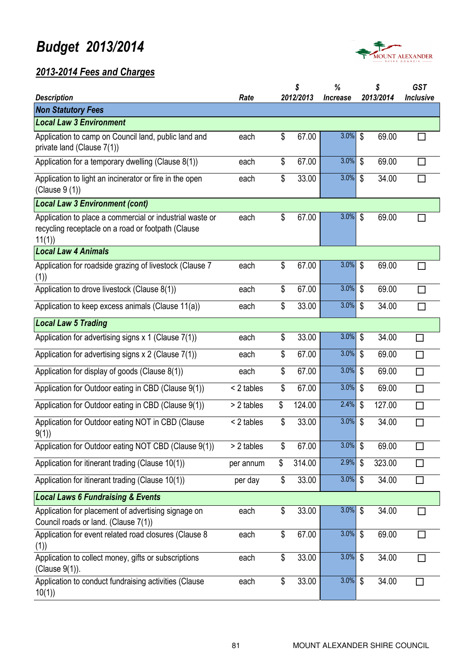

|                                                                                                                         |            | \$<br>2012/2013 | %                             | \$<br>2013/2014                    | <b>GST</b>       |
|-------------------------------------------------------------------------------------------------------------------------|------------|-----------------|-------------------------------|------------------------------------|------------------|
| <b>Description</b><br><b>Non Statutory Fees</b>                                                                         | Rate       |                 | <i><u><b>Increase</b></u></i> |                                    | <b>Inclusive</b> |
| <b>Local Law 3 Environment</b>                                                                                          |            |                 |                               |                                    |                  |
| Application to camp on Council land, public land and<br>private land (Clause 7(1))                                      | each       | \$<br>67.00     | 3.0%                          | $\mathbb{S}$<br>69.00              |                  |
| Application for a temporary dwelling (Clause 8(1))                                                                      | each       | \$<br>67.00     | 3.0%                          | $\mathbb{S}$<br>69.00              | <b>Talent</b>    |
| Application to light an incinerator or fire in the open<br>(Clause 9 (1))                                               | each       | \$<br>33.00     | 3.0%                          | $\boldsymbol{\mathsf{S}}$<br>34.00 | П                |
| <b>Local Law 3 Environment (cont)</b>                                                                                   |            |                 |                               |                                    |                  |
| Application to place a commercial or industrial waste or<br>recycling receptacle on a road or footpath (Clause<br>11(1) | each       | \$<br>67.00     | 3.0%                          | \$<br>69.00                        |                  |
| <b>Local Law 4 Animals</b>                                                                                              |            |                 |                               |                                    |                  |
| Application for roadside grazing of livestock (Clause 7<br>(1)                                                          | each       | \$<br>67.00     | 3.0%                          | \$<br>69.00                        | П                |
| Application to drove livestock (Clause 8(1))                                                                            | each       | \$<br>67.00     | $3.0\%$ \$                    | 69.00                              | П                |
| Application to keep excess animals (Clause 11(a))                                                                       | each       | \$<br>33.00     | 3.0%                          | \$<br>34.00                        | $\Box$           |
| <b>Local Law 5 Trading</b>                                                                                              |            |                 |                               |                                    |                  |
| Application for advertising signs $x$ 1 (Clause 7(1))                                                                   | each       | \$<br>33.00     | 3.0%                          | \$<br>34.00                        |                  |
| Application for advertising signs x 2 (Clause 7(1))                                                                     | each       | \$<br>67.00     | 3.0%                          | $\boldsymbol{\mathsf{S}}$<br>69.00 | П                |
| Application for display of goods (Clause 8(1))                                                                          | each       | \$<br>67.00     | 3.0%                          | \$<br>69.00                        | П                |
| Application for Outdoor eating in CBD (Clause 9(1))                                                                     | < 2 tables | \$<br>67.00     | 3.0%                          | $\boldsymbol{\mathsf{S}}$<br>69.00 | П                |
| Application for Outdoor eating in CBD (Clause 9(1))                                                                     | > 2 tables | \$<br>124.00    | 2.4%                          | \$<br>127.00                       | П                |
| Application for Outdoor eating NOT in CBD (Clause<br>9(1)                                                               | < 2 tables | \$<br>33.00     | 3.0%                          | \$<br>34.00                        | П                |
| Application for Outdoor eating NOT CBD (Clause 9(1))                                                                    | > 2 tables | \$<br>67.00     | $3.0\%$ \$                    | 69.00                              | $\Box$           |
| Application for itinerant trading (Clause 10(1))                                                                        | per annum  | \$<br>314.00    | $2.9\%$ \$                    | 323.00                             | $\Box$           |
| Application for itinerant trading (Clause 10(1))                                                                        | per day    | \$<br>33.00     | 3.0%                          | \$<br>34.00                        | П                |
| <b>Local Laws 6 Fundraising &amp; Events</b>                                                                            |            |                 |                               |                                    |                  |
| Application for placement of advertising signage on<br>Council roads or land. (Clause 7(1))                             | each       | \$<br>33.00     | $3.0\%$ \$                    | 34.00                              | $\Box$           |
| Application for event related road closures (Clause 8<br>(1)                                                            | each       | \$<br>67.00     | $3.0\%$ \$                    | 69.00                              | $\Box$           |
| Application to collect money, gifts or subscriptions<br>(Clause 9(1)).                                                  | each       | \$<br>33.00     | $3.0\%$ \$                    | 34.00                              | П                |
| Application to conduct fundraising activities (Clause<br>10(1)                                                          | each       | \$<br>33.00     | $3.0\%$ \$                    | 34.00                              | ΙI               |